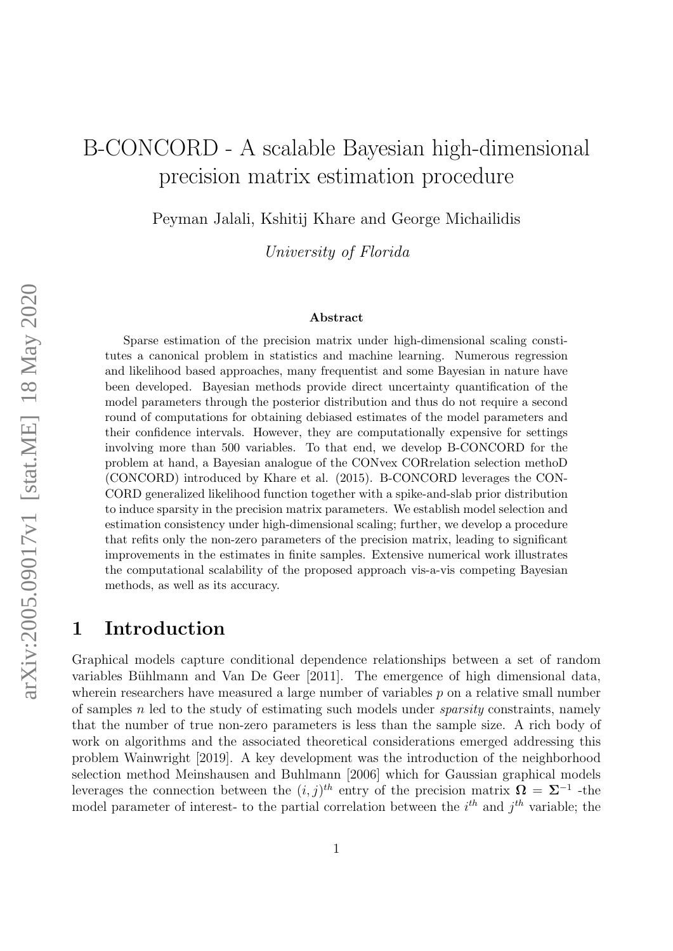# B-CONCORD - A scalable Bayesian high-dimensional precision matrix estimation procedure

Peyman Jalali, Kshitij Khare and George Michailidis

University of Florida

#### Abstract

Sparse estimation of the precision matrix under high-dimensional scaling constitutes a canonical problem in statistics and machine learning. Numerous regression and likelihood based approaches, many frequentist and some Bayesian in nature have been developed. Bayesian methods provide direct uncertainty quantification of the model parameters through the posterior distribution and thus do not require a second round of computations for obtaining debiased estimates of the model parameters and their confidence intervals. However, they are computationally expensive for settings involving more than 500 variables. To that end, we develop B-CONCORD for the problem at hand, a Bayesian analogue of the CONvex CORrelation selection methoD (CONCORD) introduced by Khare et al. (2015). B-CONCORD leverages the CON-CORD generalized likelihood function together with a spike-and-slab prior distribution to induce sparsity in the precision matrix parameters. We establish model selection and estimation consistency under high-dimensional scaling; further, we develop a procedure that refits only the non-zero parameters of the precision matrix, leading to significant improvements in the estimates in finite samples. Extensive numerical work illustrates the computational scalability of the proposed approach vis-a-vis competing Bayesian methods, as well as its accuracy.

### 1 Introduction

Graphical models capture conditional dependence relationships between a set of random variables Bühlmann and Van De Geer [2011]. The emergence of high dimensional data, wherein researchers have measured a large number of variables  $p$  on a relative small number of samples  $n$  led to the study of estimating such models under *sparsity* constraints, namely that the number of true non-zero parameters is less than the sample size. A rich body of work on algorithms and the associated theoretical considerations emerged addressing this problem [Wainwright \[2019\]](#page-20-0). A key development was the introduction of the neighborhood selection method [Meinshausen and Buhlmann \[2006\]](#page-19-1) which for Gaussian graphical models leverages the connection between the  $(i, j)^{th}$  entry of the precision matrix  $\mathbf{\Omega} = \mathbf{\Sigma}^{-1}$  -the model parameter of interest- to the partial correlation between the  $i^{th}$  and  $j^{th}$  variable; the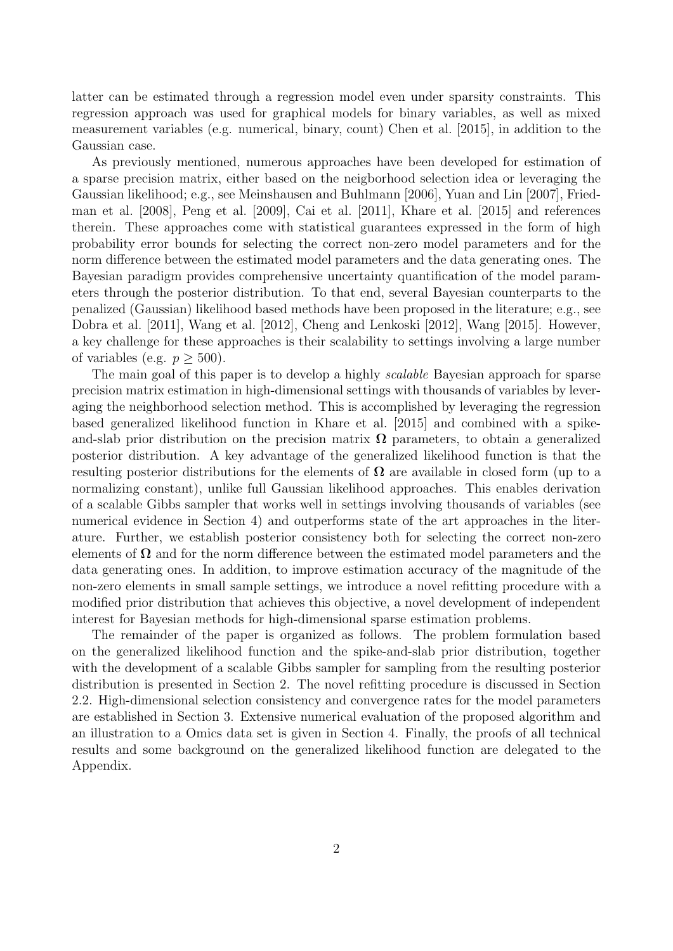latter can be estimated through a regression model even under sparsity constraints. This regression approach was used for graphical models for binary variables, as well as mixed measurement variables (e.g. numerical, binary, count) [Chen et al. \[2015\]](#page-19-2), in addition to the Gaussian case.

As previously mentioned, numerous approaches have been developed for estimation of a sparse precision matrix, either based on the neigborhood selection idea or leveraging the Gaussian likelihood; e.g., see [Meinshausen and Buhlmann \[2006\]](#page-19-1), [Yuan and Lin \[2007\]](#page-20-1), [Fried](#page-19-3)[man et al. \[2008\]](#page-19-3), [Peng et al. \[2009\]](#page-20-2), [Cai et al. \[2011\]](#page-19-4), [Khare et al. \[2015\]](#page-19-5) and references therein. These approaches come with statistical guarantees expressed in the form of high probability error bounds for selecting the correct non-zero model parameters and for the norm difference between the estimated model parameters and the data generating ones. The Bayesian paradigm provides comprehensive uncertainty quantification of the model parameters through the posterior distribution. To that end, several Bayesian counterparts to the penalized (Gaussian) likelihood based methods have been proposed in the literature; e.g., see [Dobra et al. \[2011\]](#page-19-6), [Wang et al. \[2012\]](#page-20-3), [Cheng and Lenkoski \[2012\]](#page-19-7), [Wang \[2015\]](#page-20-4). However, a key challenge for these approaches is their scalability to settings involving a large number of variables (e.g.  $p \geq 500$ ).

The main goal of this paper is to develop a highly *scalable* Bayesian approach for sparse precision matrix estimation in high-dimensional settings with thousands of variables by leveraging the neighborhood selection method. This is accomplished by leveraging the regression based generalized likelihood function in [Khare et al. \[2015\]](#page-19-5) and combined with a spikeand-slab prior distribution on the precision matrix  $\Omega$  parameters, to obtain a generalized posterior distribution. A key advantage of the generalized likelihood function is that the resulting posterior distributions for the elements of  $\Omega$  are available in closed form (up to a normalizing constant), unlike full Gaussian likelihood approaches. This enables derivation of a scalable Gibbs sampler that works well in settings involving thousands of variables (see numerical evidence in Section [4\)](#page-13-0) and outperforms state of the art approaches in the literature. Further, we establish posterior consistency both for selecting the correct non-zero elements of  $\Omega$  and for the norm difference between the estimated model parameters and the data generating ones. In addition, to improve estimation accuracy of the magnitude of the non-zero elements in small sample settings, we introduce a novel refitting procedure with a modified prior distribution that achieves this objective, a novel development of independent interest for Bayesian methods for high-dimensional sparse estimation problems.

The remainder of the paper is organized as follows. The problem formulation based on the generalized likelihood function and the spike-and-slab prior distribution, together with the development of a scalable Gibbs sampler for sampling from the resulting posterior distribution is presented in Section [2.](#page-2-0) The novel refitting procedure is discussed in Section [2.2.](#page-6-0) High-dimensional selection consistency and convergence rates for the model parameters are established in Section [3.](#page-9-0) Extensive numerical evaluation of the proposed algorithm and an illustration to a Omics data set is given in Section [4.](#page-13-0) Finally, the proofs of all technical results and some background on the generalized likelihood function are delegated to the Appendix.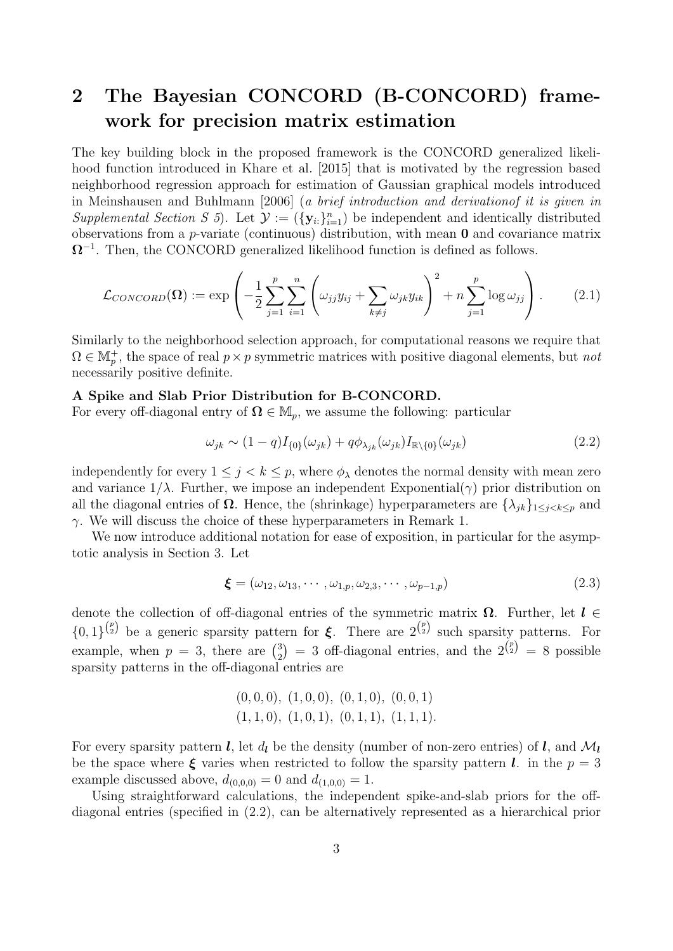# <span id="page-2-0"></span>2 The Bayesian CONCORD (B-CONCORD) framework for precision matrix estimation

The key building block in the proposed framework is the CONCORD generalized likelihood function introduced in [Khare et al. \[2015\]](#page-19-5) that is motivated by the regression based neighborhood regression approach for estimation of Gaussian graphical models introduced in [Meinshausen and Buhlmann \[2006\]](#page-19-1) (a brief introduction and derivationof it is given in Supplemental Section [S 5](#page-40-0)). Let  $\mathcal{Y} := (\{y_i\}_{i=1}^n)$  be independent and identically distributed observations from a p-variate (continuous) distribution, with mean 0 and covariance matrix  $\Omega^{-1}$ . Then, the CONCORD generalized likelihood function is defined as follows.

<span id="page-2-2"></span>
$$
\mathcal{L}_{CONCORD}(\Omega) := \exp\left(-\frac{1}{2}\sum_{j=1}^p \sum_{i=1}^n \left(\omega_{jj} y_{ij} + \sum_{k \neq j} \omega_{jk} y_{ik}\right)^2 + n \sum_{j=1}^p \log \omega_{jj}\right). \tag{2.1}
$$

Similarly to the neighborhood selection approach, for computational reasons we require that  $\Omega \in \mathbb{M}_p^+$ , the space of real  $p \times p$  symmetric matrices with positive diagonal elements, but not necessarily positive definite.

#### A Spike and Slab Prior Distribution for B-CONCORD.

For every off-diagonal entry of  $\Omega \in M_p$ , we assume the following: particular

<span id="page-2-1"></span>
$$
\omega_{jk} \sim (1-q)I_{\{0\}}(\omega_{jk}) + q\phi_{\lambda_{jk}}(\omega_{jk})I_{\mathbb{R}\backslash\{0\}}(\omega_{jk})
$$
\n(2.2)

independently for every  $1 \leq j \leq k \leq p$ , where  $\phi_{\lambda}$  denotes the normal density with mean zero and variance  $1/\lambda$ . Further, we impose an independent Exponential( $\gamma$ ) prior distribution on all the diagonal entries of  $\Omega$ . Hence, the (shrinkage) hyperparameters are  $\{\lambda_{ik}\}_{1\leq i\leq k\leq p}$  and  $\gamma$ . We will discuss the choice of these hyperparameters in Remark [1.](#page-5-0)

We now introduce additional notation for ease of exposition, in particular for the asymptotic analysis in Section [3.](#page-9-0) Let

<span id="page-2-3"></span>
$$
\boldsymbol{\xi} = (\omega_{12}, \omega_{13}, \cdots, \omega_{1,p}, \omega_{2,3}, \cdots, \omega_{p-1,p})
$$
\n(2.3)

denote the collection of off-diagonal entries of the symmetric matrix  $\Omega$ . Further, let  $l \in$  $\{0,1\}^{p \choose 2}$  be a generic sparsity pattern for  $\xi$ . There are  $2^{p \choose 2}$  such sparsity patterns. For example, when  $p = 3$ , there are  $\binom{3}{2}$  $2\binom{3}{2}$  = 3 off-diagonal entries, and the  $2\binom{p}{2}$  = 8 possible sparsity patterns in the off-diagonal entries are

$$
(0,0,0), (1,0,0), (0,1,0), (0,0,1) (1,1,0), (1,0,1), (0,1,1), (1,1,1).
$$

For every sparsity pattern l, let  $d_l$  be the density (number of non-zero entries) of l, and  $\mathcal{M}_l$ be the space where  $\xi$  varies when restricted to follow the sparsity pattern l. in the  $p = 3$ example discussed above,  $d_{(0,0,0)} = 0$  and  $d_{(1,0,0)} = 1$ .

Using straightforward calculations, the independent spike-and-slab priors for the offdiagonal entries (specified in [\(2.2\)](#page-2-1), can be alternatively represented as a hierarchical prior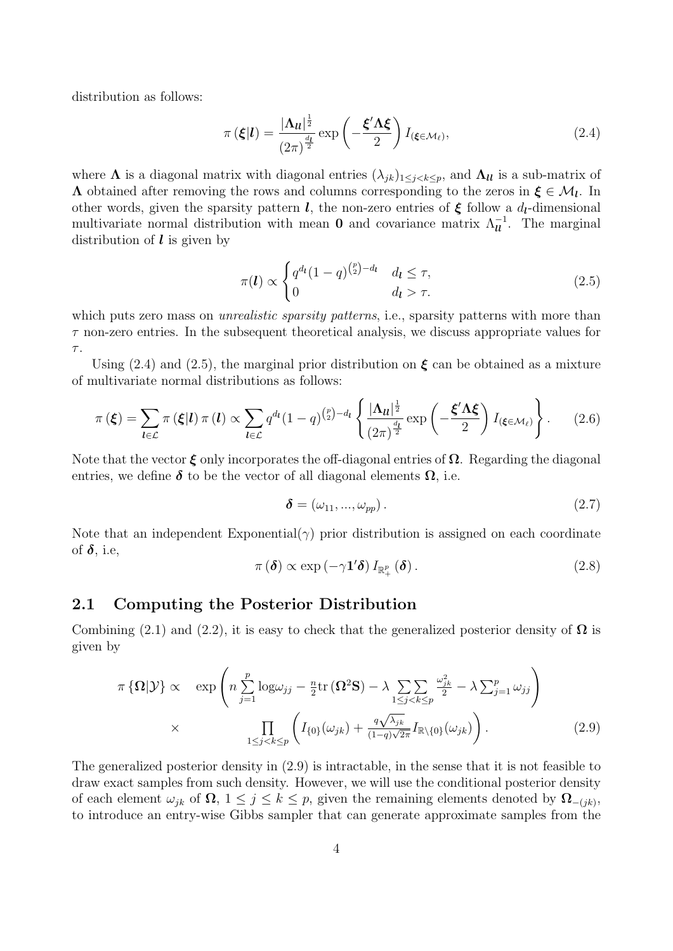distribution as follows:

<span id="page-3-0"></span>
$$
\pi(\boldsymbol{\xi}|\boldsymbol{l}) = \frac{|\boldsymbol{\Lambda}_{\boldsymbol{l\ell}}|^{\frac{1}{2}}}{(2\pi)^{\frac{d_{\boldsymbol{l}}}{2}}} \exp\left(-\frac{\boldsymbol{\xi}'\boldsymbol{\Lambda}\boldsymbol{\xi}}{2}\right) I_{(\boldsymbol{\xi}\in\mathcal{M}_{\ell})},\tag{2.4}
$$

where  $\Lambda$  is a diagonal matrix with diagonal entries  $(\lambda_{jk})_{1\leq j < k \leq p}$ , and  $\Lambda_{ll}$  is a sub-matrix of  $\Lambda$  obtained after removing the rows and columns corresponding to the zeros in  $\xi \in \mathcal{M}_l$ . In other words, given the sparsity pattern l, the non-zero entries of  $\xi$  follow a  $d_l$ -dimensional multivariate normal distribution with mean **0** and covariance matrix  $\Lambda_{\mathbf{u}}^{-1}$ . The marginal distribution of  $\boldsymbol{l}$  is given by

<span id="page-3-1"></span>
$$
\pi(\boldsymbol{l}) \propto \begin{cases} q^{d_{\boldsymbol{l}}}(1-q)^{\binom{p}{2}-d_{\boldsymbol{l}}} & d_{\boldsymbol{l}} \leq \tau, \\ 0 & d_{\boldsymbol{l}} > \tau. \end{cases} \tag{2.5}
$$

which puts zero mass on *unrealistic sparsity patterns*, i.e., sparsity patterns with more than  $\tau$  non-zero entries. In the subsequent theoretical analysis, we discuss appropriate values for  $\tau$ .

Using [\(2.4\)](#page-3-0) and [\(2.5\)](#page-3-1), the marginal prior distribution on  $\xi$  can be obtained as a mixture of multivariate normal distributions as follows:

<span id="page-3-5"></span>
$$
\pi(\boldsymbol{\xi}) = \sum_{\boldsymbol{l} \in \mathcal{L}} \pi(\boldsymbol{\xi}|\boldsymbol{l}) \pi(\boldsymbol{l}) \propto \sum_{\boldsymbol{l} \in \mathcal{L}} q^{d_{\boldsymbol{l}}}(1-q)^{\binom{p}{2}-d_{\boldsymbol{l}}} \left\{ \frac{|\boldsymbol{\Lambda}_{\boldsymbol{l}}|^{\frac{1}{2}}}{(2\pi)^{\frac{d_{\boldsymbol{l}}}{2}}} \exp\left(-\frac{\boldsymbol{\xi}'\boldsymbol{\Lambda}\boldsymbol{\xi}}{2}\right) I_{(\boldsymbol{\xi} \in \mathcal{M}_{\ell})} \right\}.
$$
 (2.6)

Note that the vector  $\xi$  only incorporates the off-diagonal entries of  $\Omega$ . Regarding the diagonal entries, we define  $\delta$  to be the vector of all diagonal elements  $\Omega$ , i.e.

<span id="page-3-4"></span>
$$
\delta = (\omega_{11}, ..., \omega_{pp}). \tag{2.7}
$$

Note that an independent Exponential( $\gamma$ ) prior distribution is assigned on each coordinate of  $\delta$ , i.e.

<span id="page-3-6"></span>
$$
\pi\left(\boldsymbol{\delta}\right) \propto \exp\left(-\gamma \mathbf{1}'\boldsymbol{\delta}\right) I_{\mathbb{R}^p_+}\left(\boldsymbol{\delta}\right). \tag{2.8}
$$

#### <span id="page-3-3"></span>2.1 Computing the Posterior Distribution

Combining [\(2.1\)](#page-2-2) and [\(2.2\)](#page-2-1), it is easy to check that the generalized posterior density of  $\Omega$  is given by

<span id="page-3-2"></span>
$$
\pi \{\Omega | \mathcal{Y}\}\propto \exp \left(n \sum_{j=1}^p \log \omega_{jj} - \frac{n}{2} \text{tr} \left(\Omega^2 \mathbf{S}\right) - \lambda \sum_{1 \le j < k \le p} \frac{\omega_{jk}^2}{2} - \lambda \sum_{j=1}^p \omega_{jj}\right) \times \prod_{1 \le j < k \le p} \left(I_{\{0\}}(\omega_{jk}) + \frac{q\sqrt{\lambda_{jk}}}{(1-q)\sqrt{2\pi}} I_{\mathbb{R}\setminus\{0\}}(\omega_{jk})\right). \tag{2.9}
$$

The generalized posterior density in [\(2.9\)](#page-3-2) is intractable, in the sense that it is not feasible to draw exact samples from such density. However, we will use the conditional posterior density of each element  $\omega_{jk}$  of  $\Omega$ ,  $1 \leq j \leq k \leq p$ , given the remaining elements denoted by  $\Omega_{-(jk)},$ to introduce an entry-wise Gibbs sampler that can generate approximate samples from the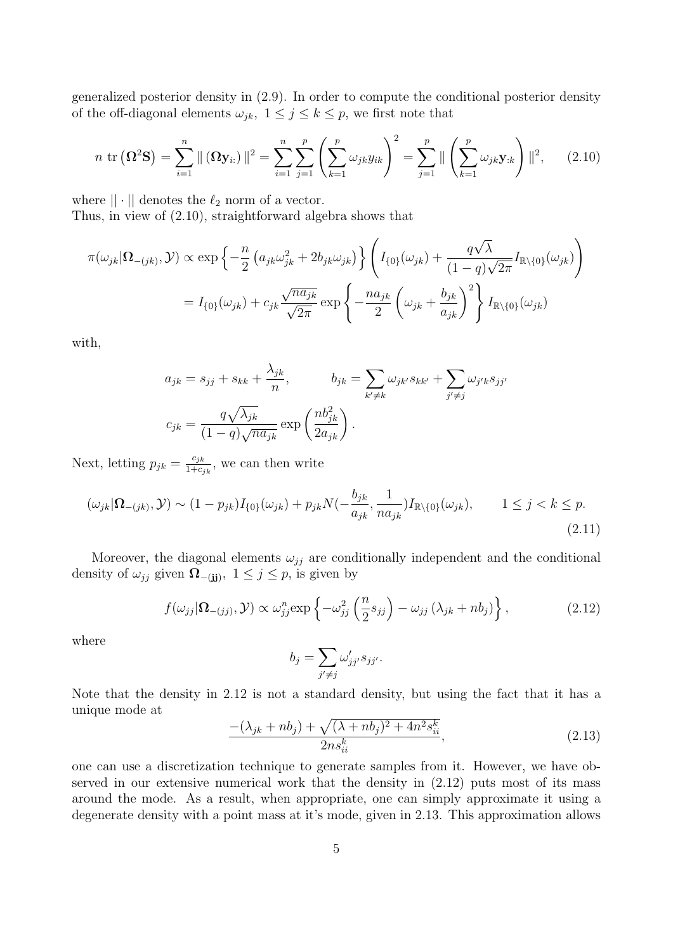generalized posterior density in [\(2.9\)](#page-3-2). In order to compute the conditional posterior density of the off-diagonal elements  $\omega_{jk}$ ,  $1 \leq j \leq k \leq p$ , we first note that

<span id="page-4-0"></span>
$$
n \operatorname{tr} (\Omega^2 \mathbf{S}) = \sum_{i=1}^n \| (\Omega \mathbf{y}_{i:}) \|^2 = \sum_{i=1}^n \sum_{j=1}^p \left( \sum_{k=1}^p \omega_{jk} y_{ik} \right)^2 = \sum_{j=1}^p \| \left( \sum_{k=1}^p \omega_{jk} \mathbf{y}_{:k} \right) \|^2, \qquad (2.10)
$$

where  $|| \cdot ||$  denotes the  $\ell_2$  norm of a vector.

Thus, in view of [\(2.10\)](#page-4-0), straightforward algebra shows that

$$
\pi(\omega_{jk}|\Omega_{-(jk)},\mathcal{Y}) \propto \exp\left\{-\frac{n}{2}\left(a_{jk}\omega_{jk}^2 + 2b_{jk}\omega_{jk}\right)\right\} \left(I_{\{0\}}(\omega_{jk}) + \frac{q\sqrt{\lambda}}{(1-q)\sqrt{2\pi}}I_{\mathbb{R}\backslash\{0\}}(\omega_{jk})\right)
$$

$$
= I_{\{0\}}(\omega_{jk}) + c_{jk}\frac{\sqrt{n a_{jk}}}{\sqrt{2\pi}}\exp\left\{-\frac{n a_{jk}}{2}\left(\omega_{jk} + \frac{b_{jk}}{a_{jk}}\right)^2\right\}I_{\mathbb{R}\backslash\{0\}}(\omega_{jk})
$$

with,

$$
a_{jk} = s_{jj} + s_{kk} + \frac{\lambda_{jk}}{n}, \qquad b_{jk} = \sum_{k' \neq k} \omega_{jk'} s_{kk'} + \sum_{j' \neq j} \omega_{j'k} s_{jj'}
$$

$$
c_{jk} = \frac{q\sqrt{\lambda_{jk}}}{(1-q)\sqrt{n a_{jk}}} \exp\left(\frac{n b_{jk}^2}{2a_{jk}}\right).
$$

Next, letting  $p_{jk} = \frac{c_{jk}}{1+c}$  $\frac{c_{jk}}{1+c_{jk}}$ , we can then write

<span id="page-4-3"></span>
$$
(\omega_{jk}|\Omega_{-(jk)}, \mathcal{Y}) \sim (1 - p_{jk})I_{\{0\}}(\omega_{jk}) + p_{jk}N(-\frac{b_{jk}}{a_{jk}}, \frac{1}{na_{jk}})I_{\mathbb{R}\backslash\{0\}}(\omega_{jk}), \qquad 1 \le j < k \le p. \tag{2.11}
$$

Moreover, the diagonal elements  $\omega_{jj}$  are conditionally independent and the conditional density of  $\omega_{jj}$  given  $\Omega_{-(jj)}$ ,  $1 \leq j \leq p$ , is given by

$$
f(\omega_{jj}|\mathbf{\Omega}_{-(jj)},\mathcal{Y}) \propto \omega_{jj}^{n} \exp\left\{-\omega_{jj}^{2}\left(\frac{n}{2}s_{jj}\right) - \omega_{jj}\left(\lambda_{jk} + nb_{j}\right)\right\},\tag{2.12}
$$

<span id="page-4-1"></span>where

$$
b_j = \sum_{j' \neq j} \omega'_{jj'} s_{jj'}.
$$

Note that the density in [2.12](#page-4-1) is not a standard density, but using the fact that it has a unique mode at

<span id="page-4-2"></span>
$$
\frac{- (\lambda_{jk} + nb_j) + \sqrt{(\lambda + nb_j)^2 + 4n^2 s_{ii}^k}}{2ns_{ii}^k},
$$
\n(2.13)

one can use a discretization technique to generate samples from it. However, we have observed in our extensive numerical work that the density in [\(2.12\)](#page-4-1) puts most of its mass around the mode. As a result, when appropriate, one can simply approximate it using a degenerate density with a point mass at it's mode, given in [2.13.](#page-4-2) This approximation allows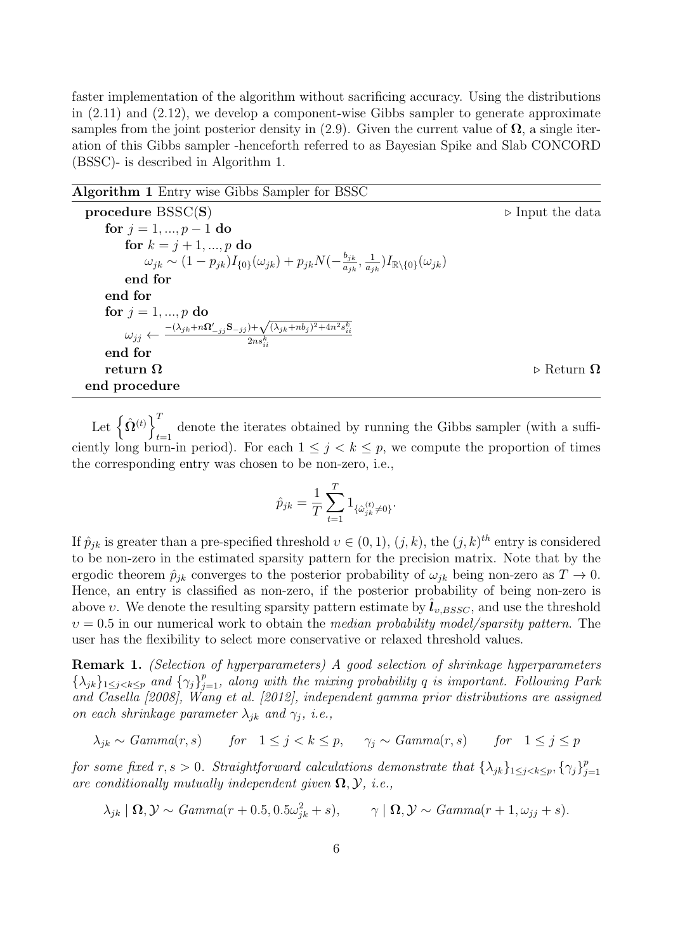faster implementation of the algorithm without sacrificing accuracy. Using the distributions in [\(2.11\)](#page-4-3) and [\(2.12\)](#page-4-1), we develop a component-wise Gibbs sampler to generate approximate samples from the joint posterior density in [\(2.9\)](#page-3-2). Given the current value of  $\Omega$ , a single iteration of this Gibbs sampler -henceforth referred to as Bayesian Spike and Slab CONCORD (BSSC)- is described in Algorithm [1.](#page-5-1)

<span id="page-5-1"></span>

for  $j = 1, ..., p - 1$  do

**procedure** BSSC(S)  $\triangleright$  Input the data

| for $k = j + 1, , p$ do                                                                                                                             |                                  |
|-----------------------------------------------------------------------------------------------------------------------------------------------------|----------------------------------|
| $\omega_{jk} \sim (1-p_{jk}) I_{\{0\}}(\omega_{jk}) + p_{jk} N(-\frac{b_{jk}}{a_{ik}}, \frac{1}{a_{ik}}) I_{\mathbb{R}\setminus\{0\}}(\omega_{jk})$ |                                  |
| end for                                                                                                                                             |                                  |
| end for                                                                                                                                             |                                  |
| for $j = 1, , p$ do                                                                                                                                 |                                  |
| $\omega_{jj} \leftarrow \frac{-(\lambda_{jk} + n\Omega_{-jj}'\mathbf{S}_{-jj}) + \sqrt{(\lambda_{jk} + nb_j)^2 + 4n^2s_{ii}^k}}{2ns_{ii}^k}$        |                                  |
| end for                                                                                                                                             |                                  |
| return $\Omega$                                                                                                                                     | $\triangleright$ Return $\Omega$ |
| end procedure                                                                                                                                       |                                  |
|                                                                                                                                                     |                                  |

Let  $\left\{\hat{\mathbf{\Omega}}^{(t)}\right\}^T$ denote the iterates obtained by running the Gibbs sampler (with a sufficiently long burn-in period). For each  $1 \leq j \leq k \leq p$ , we compute the proportion of times the corresponding entry was chosen to be non-zero, i.e.,

$$
\hat{p}_{jk} = \frac{1}{T} \sum_{t=1}^{T} 1_{\{\hat{\omega}_{jk}^{(t)} \neq 0\}}.
$$

If  $\hat{p}_{jk}$  is greater than a pre-specified threshold  $v \in (0,1)$ ,  $(j,k)$ , the  $(j,k)^{th}$  entry is considered to be non-zero in the estimated sparsity pattern for the precision matrix. Note that by the ergodic theorem  $\hat{p}_{ik}$  converges to the posterior probability of  $\omega_{ik}$  being non-zero as  $T \to 0$ . Hence, an entry is classified as non-zero, if the posterior probability of being non-zero is above v. We denote the resulting sparsity pattern estimate by  $l_{v, BSSC}$ , and use the threshold  $v = 0.5$  in our numerical work to obtain the *median probability model/sparsity pattern*. The user has the flexibility to select more conservative or relaxed threshold values.

<span id="page-5-0"></span>Remark 1. (Selection of hyperparameters) A good selection of shrinkage hyperparameters  $\{\lambda_{jk}\}_{1\leq j < k \leq p}$  and  $\{\gamma_j\}_{j=1}^p$ , along with the mixing probability q is important. Following [Park](#page-20-5) [and Casella](#page-20-5) [\[2008\]](#page-20-5), [Wang et al.](#page-20-3) [\[2012\]](#page-20-3), independent gamma prior distributions are assigned on each shrinkage parameter  $\lambda_{ik}$  and  $\gamma_i$ , i.e.,

 $\lambda_{jk} \sim Gamma(r, s)$  for  $1 \leq j < k \leq p$ ,  $\gamma_j \sim Gamma(r, s)$  for  $1 \leq j \leq p$ 

for some fixed r, s > 0. Straightforward calculations demonstrate that  $\{\lambda_{jk}\}_{1\leq j < k \leq p}$ ,  $\{\gamma_j\}_{j=1}^p$  $j=1$ are conditionally mutually independent given  $\Omega$ ,  $\mathcal{Y}$ , i.e.,

 $\lambda_{jk} \mid \mathbf{\Omega}, \mathcal{Y} \sim \text{Gamma}(r + 0.5, 0.5\omega_{jk}^2 + s), \qquad \gamma \mid \mathbf{\Omega}, \mathcal{Y} \sim \text{Gamma}(r + 1, \omega_{jj} + s).$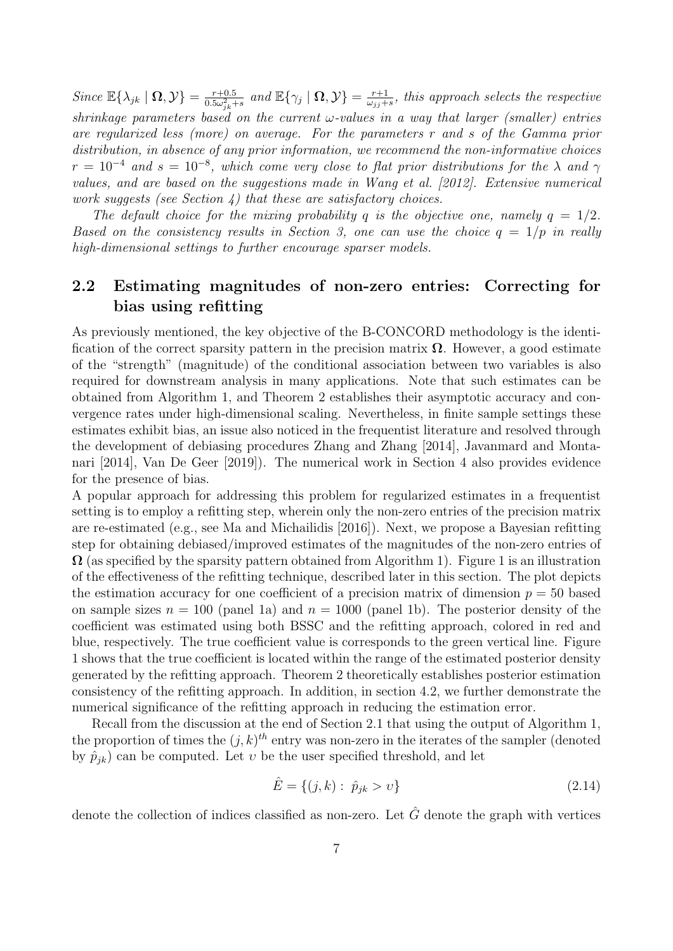Since  $\mathbb{E}\{\lambda_{jk} \mid \mathbf{\Omega}, \mathcal{Y}\} = \frac{r+0.5}{0.5\omega_{\text{tot}}^2}$  $\frac{r+0.5}{0.5\omega_{jk}^2+s}$  and  $\mathbb{E}\{\gamma_j \mid \mathbf{\Omega}, \mathcal{Y}\} = \frac{r+1}{\omega_{jj}+1}$  $\frac{r+1}{\omega_{jj}+s}$ , this approach selects the respective shrinkage parameters based on the current  $\omega$ -values in a way that larger (smaller) entries are regularized less (more) on average. For the parameters r and s of the Gamma prior distribution, in absence of any prior information, we recommend the non-informative choices  $r = 10^{-4}$  and  $s = 10^{-8}$ , which come very close to flat prior distributions for the  $\lambda$  and  $\gamma$ values, and are based on the suggestions made in [Wang et al.](#page-20-3) [\[2012\]](#page-20-3). Extensive numerical work suggests (see Section [4\)](#page-13-0) that these are satisfactory choices.

The default choice for the mixing probability q is the objective one, namely  $q = 1/2$ . Based on the consistency results in Section [3,](#page-9-0) one can use the choice  $q = 1/p$  in really high-dimensional settings to further encourage sparser models.

#### <span id="page-6-0"></span>2.2 Estimating magnitudes of non-zero entries: Correcting for bias using refitting

As previously mentioned, the key objective of the B-CONCORD methodology is the identification of the correct sparsity pattern in the precision matrix  $\Omega$ . However, a good estimate of the "strength" (magnitude) of the conditional association between two variables is also required for downstream analysis in many applications. Note that such estimates can be obtained from Algorithm [1,](#page-5-1) and Theorem [2](#page-13-1) establishes their asymptotic accuracy and convergence rates under high-dimensional scaling. Nevertheless, in finite sample settings these estimates exhibit bias, an issue also noticed in the frequentist literature and resolved through the development of debiasing procedures [Zhang and Zhang \[2014\]](#page-20-6), [Javanmard and Monta](#page-19-8)[nari \[2014\]](#page-19-8), [Van De Geer \[2019\]](#page-20-7)). The numerical work in Section [4](#page-13-0) also provides evidence for the presence of bias.

A popular approach for addressing this problem for regularized estimates in a frequentist setting is to employ a refitting step, wherein only the non-zero entries of the precision matrix are re-estimated (e.g., see [Ma and Michailidis \[2016\]](#page-19-9)). Next, we propose a Bayesian refitting step for obtaining debiased/improved estimates of the magnitudes of the non-zero entries of  $\Omega$  (as specified by the sparsity pattern obtained from Algorithm [1\)](#page-5-1). Figure [1](#page-7-0) is an illustration of the effectiveness of the refitting technique, described later in this section. The plot depicts the estimation accuracy for one coefficient of a precision matrix of dimension  $p = 50$  based on sample sizes  $n = 100$  (panel [1a\)](#page-7-0) and  $n = 1000$  (panel [1b\)](#page-7-0). The posterior density of the coefficient was estimated using both BSSC and the refitting approach, colored in red and blue, respectively. The true coefficient value is corresponds to the green vertical line. Figure [1](#page-7-0) shows that the true coefficient is located within the range of the estimated posterior density generated by the refitting approach. Theorem [2](#page-13-1) theoretically establishes posterior estimation consistency of the refitting approach. In addition, in section [4.2,](#page-15-0) we further demonstrate the numerical significance of the refitting approach in reducing the estimation error.

Recall from the discussion at the end of Section [2.1](#page-3-3) that using the output of Algorithm [1,](#page-5-1) the proportion of times the  $(j, k)$ <sup>th</sup> entry was non-zero in the iterates of the sampler (denoted by  $\hat{p}_{jk}$ ) can be computed. Let v be the user specified threshold, and let

<span id="page-6-1"></span>
$$
\hat{E} = \{ (j,k) : \ \hat{p}_{jk} > v \}
$$
\n(2.14)

denote the collection of indices classified as non-zero. Let  $\hat{G}$  denote the graph with vertices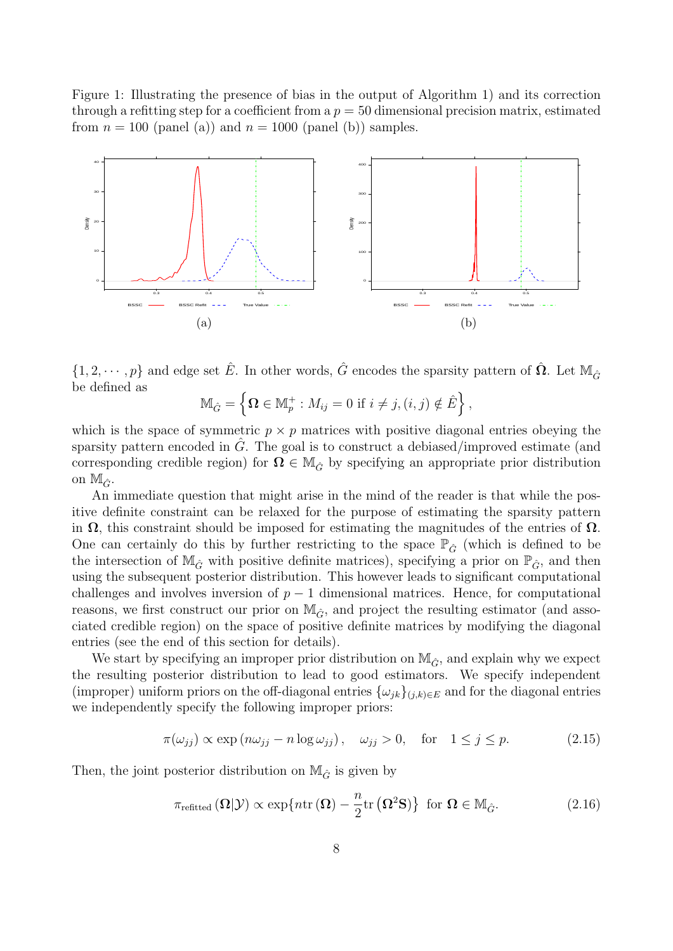<span id="page-7-0"></span>Figure 1: Illustrating the presence of bias in the output of Algorithm [1\)](#page-5-1) and its correction through a refitting step for a coefficient from a  $p = 50$  dimensional precision matrix, estimated from  $n = 100$  (panel (a)) and  $n = 1000$  (panel (b)) samples.



 $\{1, 2, \cdots, p\}$  and edge set  $\hat{E}$ . In other words,  $\hat{G}$  encodes the sparsity pattern of  $\hat{\Omega}$ . Let  $\mathbb{M}_{\hat{G}}$ be defined as

$$
\mathbb{M}_{\hat{G}} = \left\{ \mathbf{\Omega} \in \mathbb{M}_p^+ : M_{ij} = 0 \text{ if } i \neq j, (i, j) \notin \hat{E} \right\},\
$$

which is the space of symmetric  $p \times p$  matrices with positive diagonal entries obeying the sparsity pattern encoded in  $G$ . The goal is to construct a debiased/improved estimate (and corresponding credible region) for  $\Omega \in M_{\hat{G}}$  by specifying an appropriate prior distribution on  $\mathbb{M}_{\hat{G}}$ .

An immediate question that might arise in the mind of the reader is that while the positive definite constraint can be relaxed for the purpose of estimating the sparsity pattern in  $\Omega$ , this constraint should be imposed for estimating the magnitudes of the entries of  $\Omega$ . One can certainly do this by further restricting to the space  $\mathbb{P}_{\hat{G}}$  (which is defined to be the intersection of  $\mathbb{M}_{\hat{G}}$  with positive definite matrices), specifying a prior on  $\mathbb{P}_{\hat{G}}$ , and then using the subsequent posterior distribution. This however leads to significant computational challenges and involves inversion of  $p-1$  dimensional matrices. Hence, for computational reasons, we first construct our prior on  $\mathbb{M}_{\hat{G}}$ , and project the resulting estimator (and associated credible region) on the space of positive definite matrices by modifying the diagonal entries (see the end of this section for details).

We start by specifying an improper prior distribution on  $\mathbb{M}_{\hat{G}}$ , and explain why we expect the resulting posterior distribution to lead to good estimators. We specify independent (improper) uniform priors on the off-diagonal entries  $\{\omega_{jk}\}_{(j,k)\in E}$  and for the diagonal entries we independently specify the following improper priors:

$$
\pi(\omega_{jj}) \propto \exp(n\omega_{jj} - n\log\omega_{jj}), \quad \omega_{jj} > 0, \quad \text{for} \quad 1 \le j \le p. \tag{2.15}
$$

Then, the joint posterior distribution on  $\mathbb{M}_{\hat{G}}$  is given by

<span id="page-7-1"></span>
$$
\pi_{\text{refitted}}\left(\Omega|\mathcal{Y}\right) \propto \exp\{n \text{tr}\left(\Omega\right) - \frac{n}{2} \text{tr}\left(\Omega^2 \mathbf{S}\right)\} \text{ for } \Omega \in \mathbb{M}_{\hat{G}}.\tag{2.16}
$$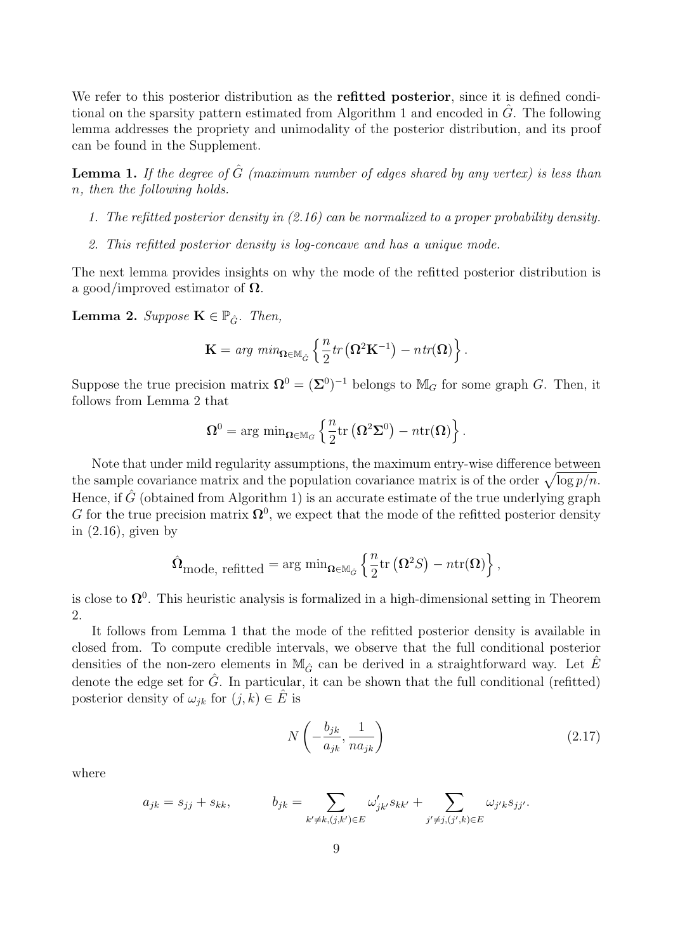We refer to this posterior distribution as the **refitted posterior**, since it is defined condi-tional on the sparsity pattern estimated from Algorithm [1](#page-5-1) and encoded in  $\hat{G}$ . The following lemma addresses the propriety and unimodality of the posterior distribution, and its proof can be found in the Supplement.

<span id="page-8-1"></span>**Lemma 1.** If the degree of  $\hat{G}$  (maximum number of edges shared by any vertex) is less than n, then the following holds.

- 1. The refitted posterior density in [\(2.16\)](#page-7-1) can be normalized to a proper probability density.
- 2. This refitted posterior density is log-concave and has a unique mode.

The next lemma provides insights on why the mode of the refitted posterior distribution is a good/improved estimator of  $\Omega$ .

<span id="page-8-0"></span>**Lemma 2.** Suppose  $\mathbf{K} \in \mathbb{P}_{\hat{G}}$ . Then,

$$
\mathbf{K} = \arg \ min_{\mathbf{\Omega} \in \mathbb{M}_{\hat{G}}} \left\{ \frac{n}{2} tr\left( \mathbf{\Omega}^2 \mathbf{K}^{-1} \right) - n tr(\mathbf{\Omega}) \right\}.
$$

Suppose the true precision matrix  $\mathbf{\Omega}^0 = (\mathbf{\Sigma}^0)^{-1}$  belongs to  $\mathbb{M}_G$  for some graph G. Then, it follows from Lemma [2](#page-8-0) that

$$
\Omega^0 = \arg\,\min_{\boldsymbol{\Omega} \in \mathbb{M}_G} \left\{ \frac{n}{2} \mathrm{tr}\left(\boldsymbol{\Omega}^2 \boldsymbol{\Sigma}^0 \right) - n \mathrm{tr}(\boldsymbol{\Omega}) \right\}.
$$

Note that under mild regularity assumptions, the maximum entry-wise difference between the sample covariance matrix and the population covariance matrix is of the order  $\sqrt{\log p/n}$ . Hence, if  $\hat{G}$  (obtained from Algorithm [1\)](#page-5-1) is an accurate estimate of the true underlying graph G for the true precision matrix  $\mathbf{\Omega}^0$ , we expect that the mode of the refitted posterior density in [\(2.16\)](#page-7-1), given by

$$
\hat{\mathbf{\Omega}}_{\text{mode, refitted}} = \arg \min_{\mathbf{\Omega} \in \mathbb{M}_{\hat{G}}} \left\{ \frac{n}{2} \text{tr} \left( \mathbf{\Omega}^2 S \right) - n \text{tr}(\mathbf{\Omega}) \right\},\,
$$

is close to  $\Omega^0$ . This heuristic analysis is formalized in a high-dimensional setting in Theorem [2.](#page-13-1)

It follows from Lemma [1](#page-8-1) that the mode of the refitted posterior density is available in closed from. To compute credible intervals, we observe that the full conditional posterior densities of the non-zero elements in  $\mathbb{M}_{\hat{G}}$  can be derived in a straightforward way. Let E denote the edge set for  $\tilde{G}$ . In particular, it can be shown that the full conditional (refitted) posterior density of  $\omega_{ik}$  for  $(j, k) \in E$  is

$$
N\left(-\frac{b_{jk}}{a_{jk}}, \frac{1}{na_{jk}}\right) \tag{2.17}
$$

where

$$
a_{jk} = s_{jj} + s_{kk}, \qquad b_{jk} = \sum_{k' \neq k, (j,k') \in E} \omega'_{jk'} s_{kk'} + \sum_{j' \neq j, (j',k) \in E} \omega_{j'k} s_{jj'}.
$$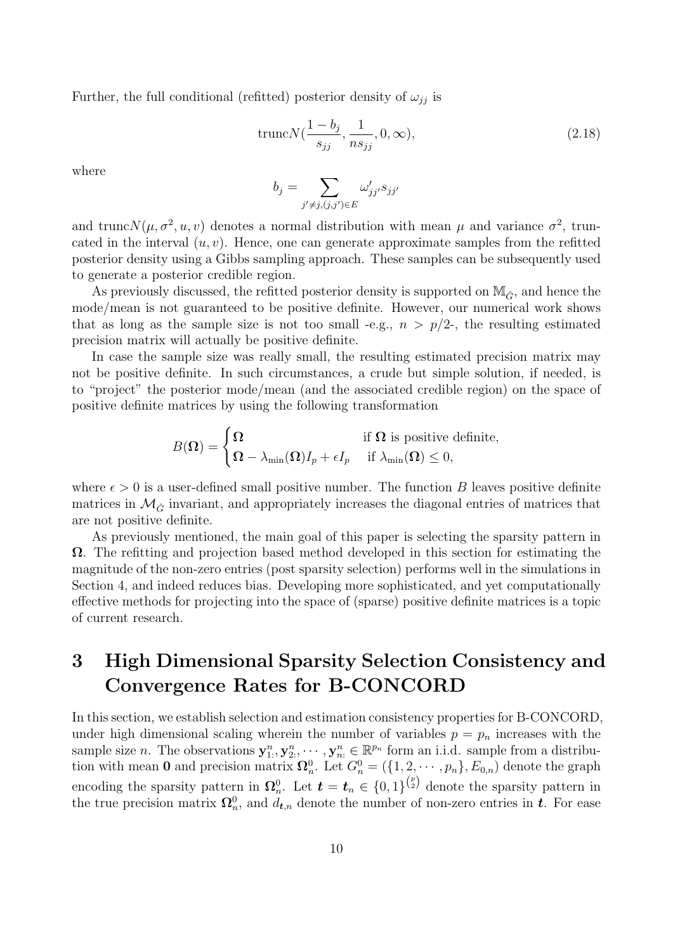Further, the full conditional (refitted) posterior density of  $\omega_{ij}$  is

$$
truncN(\frac{1-b_j}{s_{jj}}, \frac{1}{ns_{jj}}, 0, \infty),
$$
\n(2.18)

where

$$
b_j = \sum_{j' \neq j, (j,j') \in E} \omega'_{jj'} s_{jj'}
$$

and trunc $N(\mu, \sigma^2, u, v)$  denotes a normal distribution with mean  $\mu$  and variance  $\sigma^2$ , truncated in the interval  $(u, v)$ . Hence, one can generate approximate samples from the refitted posterior density using a Gibbs sampling approach. These samples can be subsequently used to generate a posterior credible region.

As previously discussed, the refitted posterior density is supported on  $\mathbb{M}_{\hat{C}}$ , and hence the mode/mean is not guaranteed to be positive definite. However, our numerical work shows that as long as the sample size is not too small -e.g.,  $n > p/2$ -, the resulting estimated precision matrix will actually be positive definite.

In case the sample size was really small, the resulting estimated precision matrix may not be positive definite. In such circumstances, a crude but simple solution, if needed, is to "project" the posterior mode/mean (and the associated credible region) on the space of positive definite matrices by using the following transformation

$$
B(\Omega) = \begin{cases} \Omega & \text{if } \Omega \text{ is positive definite,} \\ \Omega - \lambda_{\min}(\Omega)I_p + \epsilon I_p & \text{if } \lambda_{\min}(\Omega) \le 0, \end{cases}
$$

where  $\epsilon > 0$  is a user-defined small positive number. The function B leaves positive definite matrices in  $\mathcal{M}_{\hat{G}}$  invariant, and appropriately increases the diagonal entries of matrices that are not positive definite.

As previously mentioned, the main goal of this paper is selecting the sparsity pattern in  $\Omega$ . The refitting and projection based method developed in this section for estimating the magnitude of the non-zero entries (post sparsity selection) performs well in the simulations in Section [4,](#page-13-0) and indeed reduces bias. Developing more sophisticated, and yet computationally effective methods for projecting into the space of (sparse) positive definite matrices is a topic of current research.

## <span id="page-9-0"></span>3 High Dimensional Sparsity Selection Consistency and Convergence Rates for B-CONCORD

In this section, we establish selection and estimation consistency properties for B-CONCORD, under high dimensional scaling wherein the number of variables  $p = p_n$  increases with the sample size *n*. The observations  $y_1^n, y_2^n, \dots, y_n^n \in \mathbb{R}^{p_n}$  form an i.i.d. sample from a distribution with mean 0 and precision matrix  $\mathbf{\Omega}_n^0$ . Let  $G_n^0 = (\{1, 2, \cdots, p_n\}, E_{0,n})$  denote the graph encoding the sparsity pattern in  $\Omega_n^0$ . Let  $\boldsymbol{t} = \boldsymbol{t}_n \in \{0,1\}^{p \choose 2}$  denote the sparsity pattern in the true precision matrix  $\mathbf{\Omega}_n^0$ , and  $d_{t,n}$  denote the number of non-zero entries in  $t$ . For ease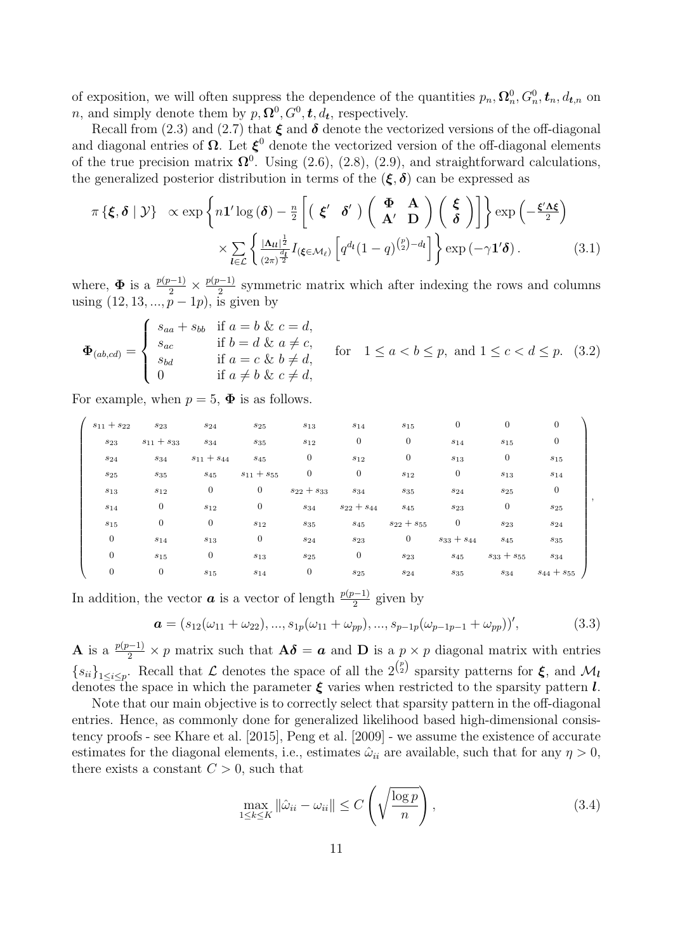of exposition, we will often suppress the dependence of the quantities  $p_n, \Omega_n^0, G_n^0, \mathbf{t}_n, d_{\mathbf{t},n}$  on *n*, and simply denote them by  $p, \Omega^0, G^0, t, d_t$ , respectively.

Recall from [\(2.3\)](#page-2-3) and [\(2.7\)](#page-3-4) that  $\xi$  and  $\delta$  denote the vectorized versions of the off-diagonal and diagonal entries of  $\Omega$ . Let  $\xi^0$  denote the vectorized version of the off-diagonal elements of the true precision matrix  $\mathbf{\Omega}^0$ . Using [\(2.6\)](#page-3-5), [\(2.8\)](#page-3-6), [\(2.9\)](#page-3-2), and straightforward calculations, the generalized posterior distribution in terms of the  $(\xi, \delta)$  can be expressed as

<span id="page-10-0"></span>
$$
\pi \left\{ \boldsymbol{\xi}, \boldsymbol{\delta} \mid \mathcal{Y} \right\} \propto \exp \left\{ n \mathbf{1}' \log \left( \boldsymbol{\delta} \right) - \frac{n}{2} \left[ \left( \boldsymbol{\xi}' \boldsymbol{\delta}' \right) \left( \boldsymbol{\Phi} \boldsymbol{\Lambda} \right) \left( \boldsymbol{\xi} \right) \right] \right\} \exp \left( -\frac{\boldsymbol{\xi}' \boldsymbol{\Lambda} \boldsymbol{\xi}}{2} \right) \times \sum_{l \in \mathcal{L}} \left\{ \frac{|\boldsymbol{\Lambda}l|^{\frac{1}{2}}}{(2\pi)^{\frac{d_l}{2}}} I_{\left( \boldsymbol{\xi} \in \mathcal{M}_\ell \right)} \left[ q^{d_l} (1-q)^{\binom{p}{2} - d_l} \right] \right\} \exp \left( -\gamma \mathbf{1}' \boldsymbol{\delta} \right). \tag{3.1}
$$

where,  $\Phi$  is a  $\frac{p(p-1)}{2} \times \frac{p(p-1)}{2}$  $\frac{2^{n-1}}{2}$  symmetric matrix which after indexing the rows and columns using  $(12, 13, ..., p-1p)$ , is given by

<span id="page-10-1"></span>
$$
\Phi_{(ab,cd)} = \begin{cases}\n s_{aa} + s_{bb} & \text{if } a = b \& c = d, \\
 s_{ac} & \text{if } b = d \& a \neq c, \\
 s_{bd} & \text{if } a = c \& b \neq d, \\
 0 & \text{if } a \neq b \& c \neq d,\n\end{cases} \quad \text{for} \quad 1 \leq a < b \leq p, \text{ and } 1 \leq c < d \leq p. \tag{3.2}
$$

For example, when  $p = 5$ ,  $\Phi$  is as follows.

| $s_{11} + s_{22}$ | $s_{23}$          | $s_{24}$          | $s_{25}$          | $s_{13}$          | $s_{14}$           | $s_{15}$          | $\mathbf{0}$      | $\boldsymbol{0}$  | $\boldsymbol{0}$  |  |
|-------------------|-------------------|-------------------|-------------------|-------------------|--------------------|-------------------|-------------------|-------------------|-------------------|--|
| $s_{23}$          | $s_{11} + s_{33}$ | $\sqrt{s_{34}}$   | $s_{35}$          | $s_{12}$          | $\boldsymbol{0}$   | 0                 | $s_{14}$          | $s_{15}$          | $\overline{0}$    |  |
| $\sqrt{s_{24}}$   | $s_{34}$          | $s_{11} + s_{44}$ | $s_{45}$          | $\overline{0}$    | $s_{12}$           | $\mathbf{0}$      | $s_{13}$          | $\boldsymbol{0}$  | $\sqrt{s_{15}}$   |  |
| $s_{25}$          | $\sqrt{s_{35}}$   | $s_{45}$          | $s_{11} + s_{55}$ | $\overline{0}$    | $\overline{0}$     | $s_{12}$          | $\overline{0}$    | $s_{13}$          | $\sqrt{s_{14}}$   |  |
| $s_{13}$          | $s_{12}$          | $\overline{0}$    | $\overline{0}$    | $s_{22} + s_{33}$ | $s_{34}$           | $s_{35}$          | $s_{24}$          | $s_{25}$          | $\boldsymbol{0}$  |  |
| $s_{14}$          | $\mathbf{0}$      | $s_{12}$          | 0                 | $s_{34}$          | $s_{22} + s_{44}$  | $\sqrt{s_{45}}$   | $s_{23}$          | $\boldsymbol{0}$  | $s_{25}$          |  |
| $s_{15}$          | $\mathbf{0}$      | $\mathbf{0}$      | $s_{12}$          | $s_{35}$          | $\boldsymbol{s}45$ | $s_{22} + s_{55}$ | $\overline{0}$    | $s_{23}$          | $s_{24}$          |  |
| $\boldsymbol{0}$  | $s_{14}$          | $s_{13}$          | 0                 | $s_{24}$          | $s_{23}$           | $\boldsymbol{0}$  | $s_{33} + s_{44}$ | $s_{45}$          | $s_{35}$          |  |
| $\overline{0}$    | $s_{15}$          | $\mathbf{0}$      | $s_{13}$          | $s_{25}$          | $\boldsymbol{0}$   | $\sqrt{s_{23}}$   | $s_{45}$          | $s_{33} + s_{55}$ | $s_{34}$          |  |
| $\boldsymbol{0}$  | $\overline{0}$    | $s_{15}$          | $s_{14}$          | $\boldsymbol{0}$  | $s_{25}$           | $s_{24}$          | $s_{35}$          | $s_{34}$          | $s_{44} + s_{55}$ |  |

In addition, the vector  $\boldsymbol{a}$  is a vector of length  $\frac{p(p-1)}{2}$  given by

<span id="page-10-2"></span>
$$
\boldsymbol{a} = (s_{12}(\omega_{11} + \omega_{22}), ..., s_{1p}(\omega_{11} + \omega_{pp}), ..., s_{p-1p}(\omega_{p-1p-1} + \omega_{pp}))',
$$
(3.3)

**A** is a  $\frac{p(p-1)}{2} \times p$  matrix such that  $\mathbf{A}\boldsymbol{\delta} = \boldsymbol{a}$  and **D** is a  $p \times p$  diagonal matrix with entries  ${s_{ii}}_{1\leq i\leq p}$ . Recall that L denotes the space of all the  $2^{p \choose 2}$  sparsity patterns for  $\xi$ , and  $\mathcal{M}_l$ denotes the space in which the parameter  $\xi$  varies when restricted to the sparsity pattern l.

Note that our main objective is to correctly select that sparsity pattern in the off-diagonal entries. Hence, as commonly done for generalized likelihood based high-dimensional consistency proofs - see [Khare et al. \[2015\]](#page-19-5), [Peng et al. \[2009\]](#page-20-2) - we assume the existence of accurate estimates for the diagonal elements, i.e., estimates  $\hat{\omega}_{ii}$  are available, such that for any  $\eta > 0$ , there exists a constant  $C > 0$ , such that

<span id="page-10-3"></span>
$$
\max_{1 \le k \le K} \|\hat{\omega}_{ii} - \omega_{ii}\| \le C \left(\sqrt{\frac{\log p}{n}}\right),\tag{3.4}
$$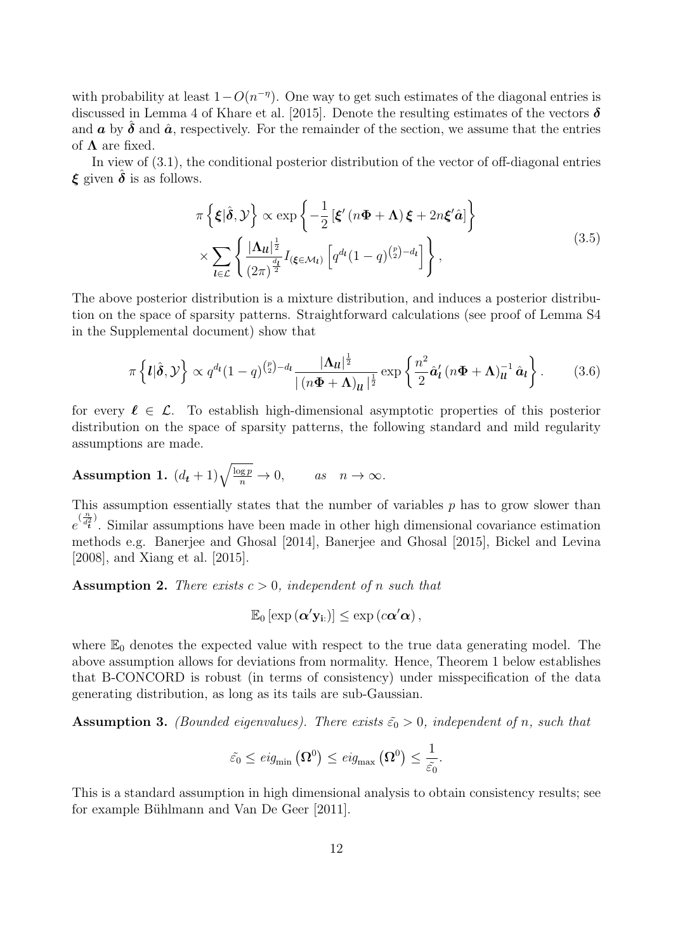with probability at least  $1 - O(n^{-\eta})$ . One way to get such estimates of the diagonal entries is discussed in Lemma 4 of [Khare et al. \[2015\]](#page-19-5). Denote the resulting estimates of the vectors  $\delta$ and  $\boldsymbol{a}$  by  $\boldsymbol{\delta}$  and  $\hat{\boldsymbol{a}}$ , respectively. For the remainder of the section, we assume that the entries of  $\Lambda$  are fixed.

In view of [\(3.1\)](#page-10-0), the conditional posterior distribution of the vector of off-diagonal entries  $\xi$  given  $\delta$  is as follows.

$$
\pi \left\{ \boldsymbol{\xi} | \hat{\boldsymbol{\delta}}, \mathcal{Y} \right\} \propto \exp \left\{ -\frac{1}{2} \left[ \boldsymbol{\xi}' \left( n \boldsymbol{\Phi} + \boldsymbol{\Lambda} \right) \boldsymbol{\xi} + 2n \boldsymbol{\xi}' \hat{\boldsymbol{a}} \right] \right\} \times \sum_{l \in \mathcal{L}} \left\{ \frac{|\boldsymbol{\Lambda}_{ll}|^{\frac{1}{2}}}{\left( 2\pi \right)^{\frac{d_l}{2}}} I_{\left( \boldsymbol{\xi} \in \mathcal{M}_l \right)} \left[ q^{d_l} (1 - q)^{\binom{p}{2} - d_l} \right] \right\},
$$
\n(3.5)

<span id="page-11-4"></span>The above posterior distribution is a mixture distribution, and induces a posterior distribution on the space of sparsity patterns. Straightforward calculations (see proof of Lemma S4 in the Supplemental document) show that

<span id="page-11-1"></span>
$$
\pi\left\{l|\hat{\boldsymbol{\delta}},\mathcal{Y}\right\} \propto q^{d_l}(1-q)^{{p \choose 2}-d_l}\frac{|\boldsymbol{\Lambda}_{ll}|^{\frac{1}{2}}}{|(n\boldsymbol{\Phi}+\boldsymbol{\Lambda})_{ll}|^{\frac{1}{2}}}\exp\left\{\frac{n^2}{2}\hat{\boldsymbol{a}}'_l\left(n\boldsymbol{\Phi}+\boldsymbol{\Lambda}\right)_{ll}^{-1}\hat{\boldsymbol{a}}_l\right\}.
$$
 (3.6)

for every  $\ell \in \mathcal{L}$ . To establish high-dimensional asymptotic properties of this posterior distribution on the space of sparsity patterns, the following standard and mild regularity assumptions are made.

<span id="page-11-0"></span>**Assumption 1.** 
$$
(d_t + 1)\sqrt{\frac{\log p}{n}} \to 0
$$
, as  $n \to \infty$ .

This assumption essentially states that the number of variables  $p$  has to grow slower than  $e^{(\frac{n}{d_t^2})}$ . Similar assumptions have been made in other high dimensional covariance estimation methods e.g. [Banerjee and Ghosal \[2014\]](#page-18-0), [Banerjee and Ghosal \[2015\]](#page-18-1), [Bickel and Levina](#page-19-10) [\[2008\]](#page-19-10), and [Xiang et al. \[2015\]](#page-20-8).

<span id="page-11-2"></span>**Assumption 2.** There exists  $c > 0$ , independent of n such that

$$
\mathbb{E}_0\left[\exp\left(\boldsymbol{\alpha}'\mathbf{y}_{i:}\right)\right] \leq \exp\left(c\boldsymbol{\alpha}'\boldsymbol{\alpha}\right),
$$

where  $\mathbb{E}_0$  denotes the expected value with respect to the true data generating model. The above assumption allows for deviations from normality. Hence, Theorem [1](#page-12-0) below establishes that B-CONCORD is robust (in terms of consistency) under misspecification of the data generating distribution, as long as its tails are sub-Gaussian.

<span id="page-11-3"></span>**Assumption 3.** (Bounded eigenvalues). There exists  $\tilde{\epsilon_0} > 0$ , independent of n, such that

$$
\tilde{\varepsilon_0} \leq \text{eig}_{\min}\left(\Omega^0\right) \leq \text{eig}_{\max}\left(\Omega^0\right) \leq \frac{1}{\tilde{\varepsilon_0}}.
$$

This is a standard assumption in high dimensional analysis to obtain consistency results; see for example Bühlmann and Van De Geer [2011].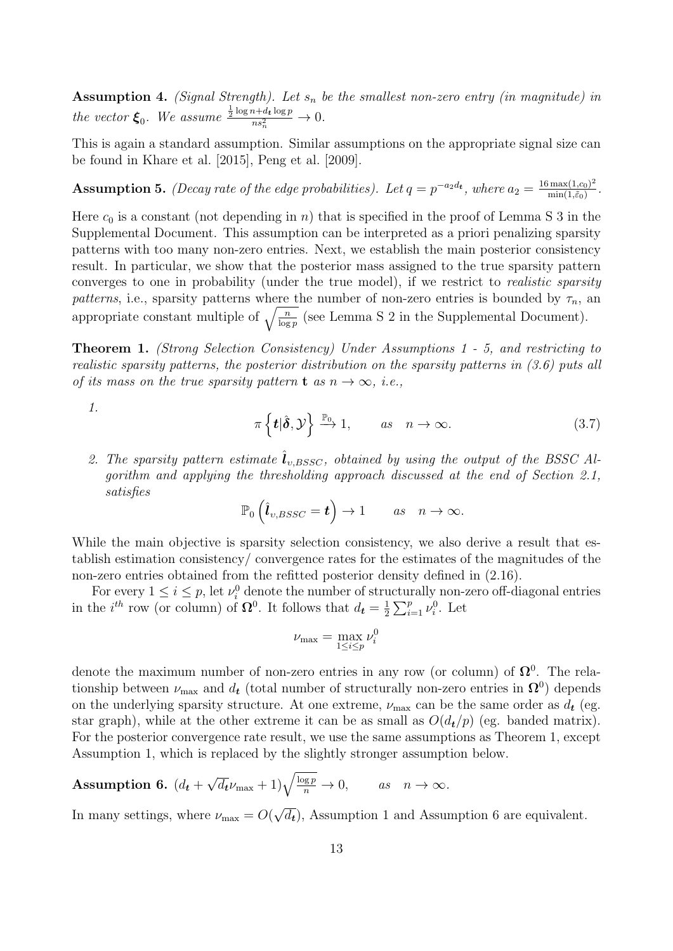<span id="page-12-3"></span>**Assumption 4.** (Signal Strength). Let  $s_n$  be the smallest non-zero entry (in magnitude) in the vector  $\xi_0$ . We assume  $\frac{\frac{1}{2} \log n + d_t \log p}{n s_n^2}$  $\frac{n+u_t \log p}{n s_n^2} \to 0.$ 

This is again a standard assumption. Similar assumptions on the appropriate signal size can be found in [Khare et al. \[2015\]](#page-19-5), [Peng et al. \[2009\]](#page-20-2).

<span id="page-12-1"></span>**Assumption 5.** (Decay rate of the edge probabilities). Let  $q = p^{-a_2 d_t}$ , where  $a_2 = \frac{16 \max(1, c_0)^2}{\min(1, \tilde{\varepsilon}_0)}$  $\frac{\max(1, c_0)^2}{\min(1, \tilde{\varepsilon}_0)}.$ 

Here  $c_0$  is a constant (not depending in n) that is specified in the proof of Lemma [S 3](#page-23-0) in the Supplemental Document. This assumption can be interpreted as a priori penalizing sparsity patterns with too many non-zero entries. Next, we establish the main posterior consistency result. In particular, we show that the posterior mass assigned to the true sparsity pattern converges to one in probability (under the true model), if we restrict to realistic sparsity patterns, i.e., sparsity patterns where the number of non-zero entries is bounded by  $\tau_n$ , an appropriate constant multiple of  $\sqrt{\frac{n}{\log p}}$  (see Lemma [S 2](#page-22-0) in the Supplemental Document).

<span id="page-12-0"></span>Theorem 1. (Strong Selection Consistency) Under Assumptions [1](#page-11-0) - [5,](#page-12-1) and restricting to realistic sparsity patterns, the posterior distribution on the sparsity patterns in [\(3.6\)](#page-11-1) puts all of its mass on the true sparsity pattern **t** as  $n \to \infty$ , i.e.,

1.

$$
\pi\left\{\boldsymbol{t}|\hat{\boldsymbol{\delta}},\mathcal{Y}\right\}\stackrel{\mathbb{P}_{0}}{\longrightarrow}1,\qquad as\quad n\to\infty.\tag{3.7}
$$

2. The sparsity pattern estimate  $l_{v, BSSC}$ , obtained by using the output of the BSSC Algorithm and applying the thresholding approach discussed at the end of Section [2.1,](#page-3-3) satisfies

$$
\mathbb{P}_0\left(\hat{\bm{l}}_{v,BSSC}=\bm{t}\right)\to 1 \qquad as \quad n\to\infty.
$$

While the main objective is sparsity selection consistency, we also derive a result that establish estimation consistency/ convergence rates for the estimates of the magnitudes of the non-zero entries obtained from the refitted posterior density defined in [\(2.16\)](#page-7-1).

For every  $1 \leq i \leq p$ , let  $\nu_i^0$  denote the number of structurally non-zero off-diagonal entries in the  $i^{th}$  row (or column) of  $\Omega^0$ . It follows that  $d_t = \frac{1}{2}$  $\frac{1}{2} \sum_{i=1}^{p} \nu_i^0$ . Let

$$
\nu_{\max} = \max_{1 \le i \le p} \nu_i^0
$$

denote the maximum number of non-zero entries in any row (or column) of  $\Omega^0$ . The relationship between  $\nu_{\text{max}}$  and  $d_t$  (total number of structurally non-zero entries in  $\Omega^0$ ) depends on the underlying sparsity structure. At one extreme,  $\nu_{\text{max}}$  can be the same order as  $d_t$  (eg. star graph), while at the other extreme it can be as small as  $O(d_t/p)$  (eg. banded matrix). For the posterior convergence rate result, we use the same assumptions as Theorem [1,](#page-12-0) except Assumption [1,](#page-11-0) which is replaced by the slightly stronger assumption below.

<span id="page-12-2"></span>Assumption 6. 
$$
(d_t + \sqrt{d_t} \nu_{\text{max}} + 1) \sqrt{\frac{\log p}{n}} \to 0
$$
, as  $n \to \infty$ .

In many settings, where  $\nu_{\text{max}} = O($  $\overline{d_t}$ , Assumption [1](#page-11-0) and Assumption [6](#page-12-2) are equivalent.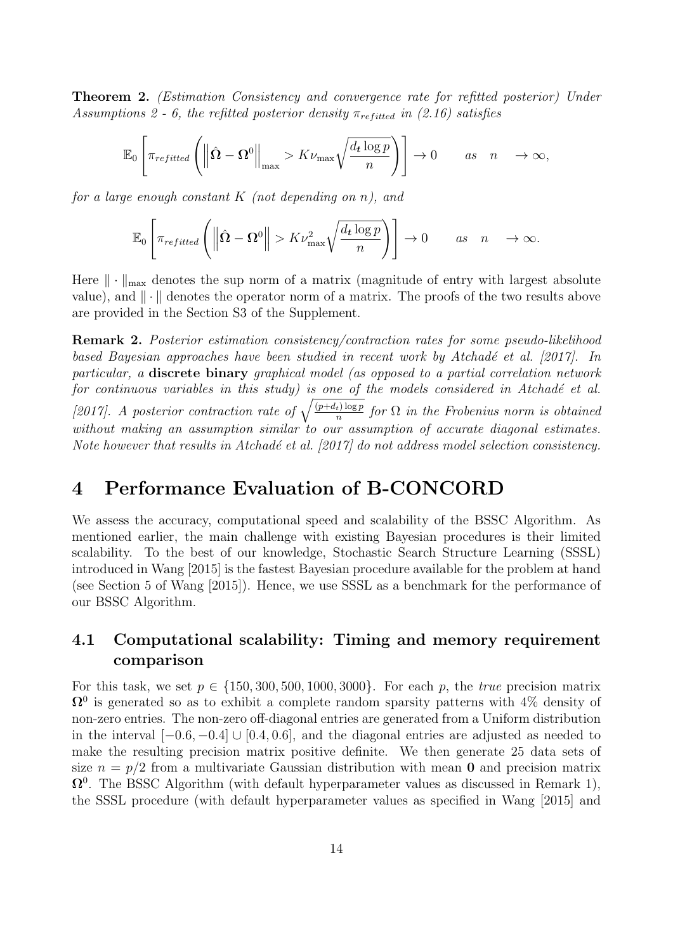<span id="page-13-1"></span>Theorem 2. (Estimation Consistency and convergence rate for refitted posterior) Under Assumptions [2](#page-11-2) - [6,](#page-12-2) the refitted posterior density  $\pi_{refitted}$  in [\(2.16\)](#page-7-1) satisfies

$$
\mathbb{E}_0\left[\pi_{refitted}\left(\left\|\hat{\Omega}-\Omega^0\right\|_{\max}>K\nu_{\max}\sqrt{\frac{d_t\log p}{n}}\right)\right]\to 0\qquad as\quad n\quad\to\infty,
$$

for a large enough constant  $K$  (not depending on n), and

$$
\mathbb{E}_0\left[\pi_{refitted}\left(\left\|\hat{\Omega}-\Omega^0\right\|>K\nu_{\max}^2\sqrt{\frac{d_t\log p}{n}}\right)\right]\to 0\qquad as\quad n\quad\to\infty.
$$

Here  $\|\cdot\|_{\max}$  denotes the sup norm of a matrix (magnitude of entry with largest absolute value), and  $\|\cdot\|$  denotes the operator norm of a matrix. The proofs of the two results above are provided in the Section S3 of the Supplement.

Remark 2. Posterior estimation consistency/contraction rates for some pseudo-likelihood based Bayesian approaches have been studied in recent work by Atchadé et al. [\[2017\]](#page-18-2). In particular, a discrete binary graphical model (as opposed to a partial correlation network for continuous variables in this study) is one of the models considered in Atchadé et al. [\[2017\]](#page-18-2). A posterior contraction rate of  $\sqrt{\frac{(p+d_t)\log p}{n}}$  for  $\Omega$  in the Frobenius norm is obtained without making an assumption similar to our assumption of accurate diagonal estimates. Note however that results in Atchadé et al.  $[2017]$  do not address model selection consistency.

## <span id="page-13-0"></span>4 Performance Evaluation of B-CONCORD

We assess the accuracy, computational speed and scalability of the BSSC Algorithm. As mentioned earlier, the main challenge with existing Bayesian procedures is their limited scalability. To the best of our knowledge, Stochastic Search Structure Learning (SSSL) introduced in [Wang \[2015\]](#page-20-4) is the fastest Bayesian procedure available for the problem at hand (see Section 5 of [Wang \[2015\]](#page-20-4)). Hence, we use SSSL as a benchmark for the performance of our BSSC Algorithm.

#### <span id="page-13-2"></span>4.1 Computational scalability: Timing and memory requirement comparison

For this task, we set  $p \in \{150, 300, 500, 1000, 3000\}$ . For each p, the *true* precision matrix  $\Omega^0$  is generated so as to exhibit a complete random sparsity patterns with  $4\%$  density of non-zero entries. The non-zero off-diagonal entries are generated from a Uniform distribution in the interval  $[-0.6, -0.4] \cup [0.4, 0.6]$ , and the diagonal entries are adjusted as needed to make the resulting precision matrix positive definite. We then generate 25 data sets of size  $n = p/2$  from a multivariate Gaussian distribution with mean **0** and precision matrix  $\Omega^0$ . The BSSC Algorithm (with default hyperparameter values as discussed in Remark [1\)](#page-5-0), the SSSL procedure (with default hyperparameter values as specified in [Wang \[2015\]](#page-20-4) and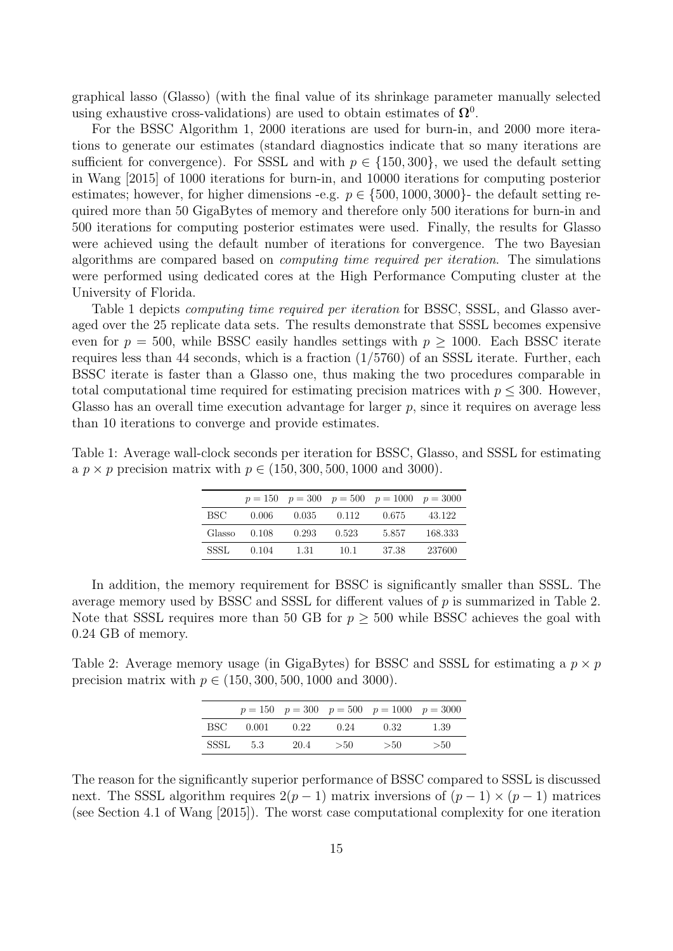graphical lasso (Glasso) (with the final value of its shrinkage parameter manually selected using exhaustive cross-validations) are used to obtain estimates of  $\Omega^0$ .

For the BSSC Algorithm [1,](#page-5-1) 2000 iterations are used for burn-in, and 2000 more iterations to generate our estimates (standard diagnostics indicate that so many iterations are sufficient for convergence). For SSSL and with  $p \in \{150, 300\}$ , we used the default setting in [Wang \[2015\]](#page-20-4) of 1000 iterations for burn-in, and 10000 iterations for computing posterior estimates; however, for higher dimensions -e.g.  $p \in \{500, 1000, 3000\}$ - the default setting required more than 50 GigaBytes of memory and therefore only 500 iterations for burn-in and 500 iterations for computing posterior estimates were used. Finally, the results for Glasso were achieved using the default number of iterations for convergence. The two Bayesian algorithms are compared based on computing time required per iteration. The simulations were performed using dedicated cores at the High Performance Computing cluster at the University of Florida.

Table [1](#page-14-0) depicts *computing time required per iteration* for BSSC, SSSL, and Glasso averaged over the 25 replicate data sets. The results demonstrate that SSSL becomes expensive even for  $p = 500$ , while BSSC easily handles settings with  $p > 1000$ . Each BSSC iterate requires less than 44 seconds, which is a fraction  $(1/5760)$  of an SSSL iterate. Further, each BSSC iterate is faster than a Glasso one, thus making the two procedures comparable in total computational time required for estimating precision matrices with  $p \leq 300$ . However, Glasso has an overall time execution advantage for larger  $p$ , since it requires on average less than 10 iterations to converge and provide estimates.

<span id="page-14-0"></span>Table 1: Average wall-clock seconds per iteration for BSSC, Glasso, and SSSL for estimating a  $p \times p$  precision matrix with  $p \in (150, 300, 500, 1000, 1000)$ .

|        |       |       |       | $p = 150$ $p = 300$ $p = 500$ $p = 1000$ $p = 3000$ |         |
|--------|-------|-------|-------|-----------------------------------------------------|---------|
| BSC.   | 0.006 | 0.035 | 0.112 | 0.675                                               | 43.122  |
| Glasso | 0.108 | 0.293 | 0.523 | 5.857                                               | 168.333 |
| SSSL   | 0.104 | 1.31  | 10.1  | -37.38                                              | 237600  |

In addition, the memory requirement for BSSC is significantly smaller than SSSL. The average memory used by BSSC and SSSL for different values of p is summarized in Table [2.](#page-14-1) Note that SSSL requires more than 50 GB for  $p \geq 500$  while BSSC achieves the goal with 0.24 GB of memory.

<span id="page-14-1"></span>Table 2: Average memory usage (in GigaBytes) for BSSC and SSSL for estimating a  $p \times p$ precision matrix with  $p \in (150, 300, 500, 1000, 3000)$ .

|             |       |      |      | $p = 150$ $p = 300$ $p = 500$ $p = 1000$ $p = 3000$ |      |
|-------------|-------|------|------|-----------------------------------------------------|------|
| BSC.        | 0.001 | 0.22 | 0.24 | 0.32                                                | 1.39 |
| <b>SSSL</b> | -5.3  | 20.4 | > 50 | >50                                                 | >50  |

The reason for the significantly superior performance of BSSC compared to SSSL is discussed next. The SSSL algorithm requires  $2(p-1)$  matrix inversions of  $(p-1) \times (p-1)$  matrices (see Section 4.1 of [Wang \[2015\]](#page-20-4)). The worst case computational complexity for one iteration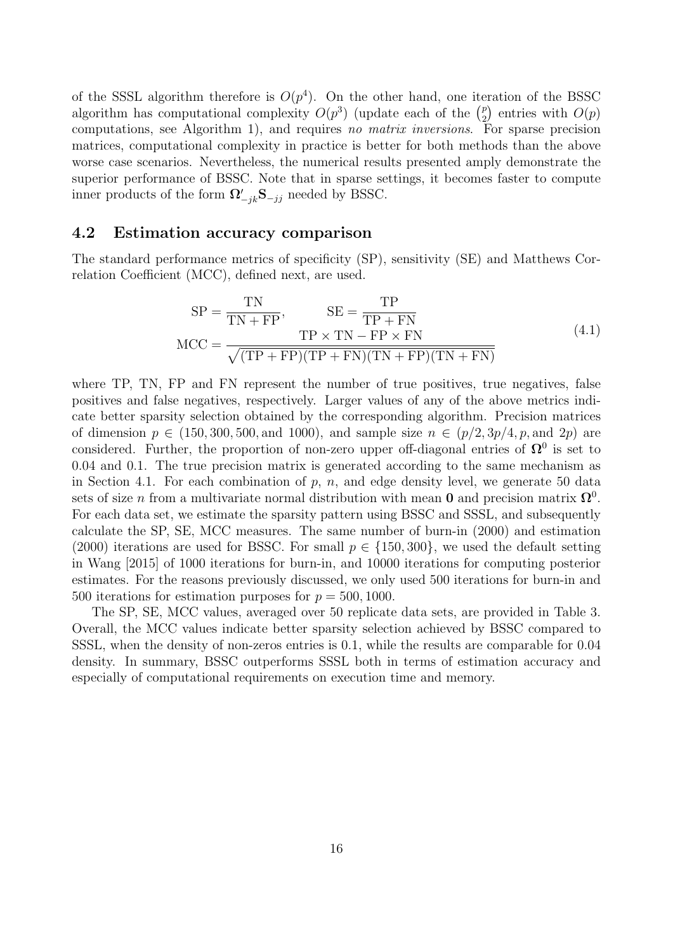of the SSSL algorithm therefore is  $O(p^4)$ . On the other hand, one iteration of the BSSC algorithm has computational complexity  $O(p^3)$  (update each of the  $\binom{p}{2}$  $_{2}^{p}$ ) entries with  $O(p)$ computations, see Algorithm [1\)](#page-5-1), and requires no matrix inversions. For sparse precision matrices, computational complexity in practice is better for both methods than the above worse case scenarios. Nevertheless, the numerical results presented amply demonstrate the superior performance of BSSC. Note that in sparse settings, it becomes faster to compute inner products of the form  $\Omega'_{-jk}$ **S** $_{-jj}$  needed by BSSC.

#### <span id="page-15-0"></span>4.2 Estimation accuracy comparison

The standard performance metrics of specificity (SP), sensitivity (SE) and Matthews Correlation Coefficient (MCC), defined next, are used.

$$
SP = \frac{TN}{TN + FP}, \qquad SE = \frac{TP}{TP + FN}
$$
  
MCC = 
$$
\frac{TP \times TN - FP \times FN}{\sqrt{(TP + FP)(TP + FN)(TN + FP)(TN + FN)}}
$$
 (4.1)

<span id="page-15-1"></span>where TP, TN, FP and FN represent the number of true positives, true negatives, false positives and false negatives, respectively. Larger values of any of the above metrics indicate better sparsity selection obtained by the corresponding algorithm. Precision matrices of dimension  $p \in (150, 300, 500, \text{ and } 1000)$ , and sample size  $n \in (p/2, 3p/4, p, \text{ and } 2p)$  are considered. Further, the proportion of non-zero upper off-diagonal entries of  $\Omega^0$  is set to 0.04 and 0.1. The true precision matrix is generated according to the same mechanism as in Section [4.1.](#page-13-2) For each combination of  $p$ ,  $n$ , and edge density level, we generate 50 data sets of size n from a multivariate normal distribution with mean 0 and precision matrix  $\Omega^0$ . For each data set, we estimate the sparsity pattern using BSSC and SSSL, and subsequently calculate the SP, SE, MCC measures. The same number of burn-in (2000) and estimation (2000) iterations are used for BSSC. For small  $p \in \{150, 300\}$ , we used the default setting in [Wang \[2015\]](#page-20-4) of 1000 iterations for burn-in, and 10000 iterations for computing posterior estimates. For the reasons previously discussed, we only used 500 iterations for burn-in and 500 iterations for estimation purposes for  $p = 500, 1000$ .

The SP, SE, MCC values, averaged over 50 replicate data sets, are provided in Table [3.](#page-16-0) Overall, the MCC values indicate better sparsity selection achieved by BSSC compared to SSSL, when the density of non-zeros entries is 0.1, while the results are comparable for 0.04 density. In summary, BSSC outperforms SSSL both in terms of estimation accuracy and especially of computational requirements on execution time and memory.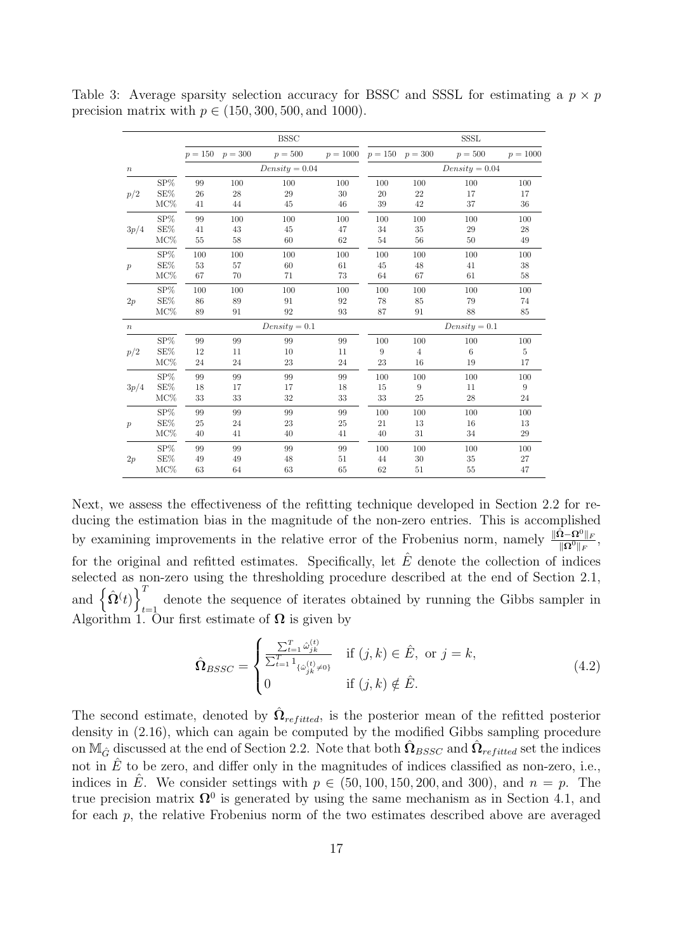|                  |                 |                 |                     | <b>BSSC</b>      |            |     |                     | <b>SSSL</b>      |            |  |
|------------------|-----------------|-----------------|---------------------|------------------|------------|-----|---------------------|------------------|------------|--|
|                  |                 |                 | $p = 150$ $p = 300$ | $p = 500$        | $p = 1000$ |     | $p = 150$ $p = 300$ | $p = 500$        | $p = 1000$ |  |
| $\boldsymbol{n}$ |                 |                 |                     | $Density = 0.04$ |            |     |                     | $Density = 0.04$ |            |  |
|                  | $SP\%$          | 99              | 100                 | 100              | 100        | 100 | 100                 | 100              | 100        |  |
| p/2              | SE%             | 26              | 28                  | 29               | 30         | 20  | 22                  | 17               | 17         |  |
|                  | $\rm MC\%$      | 41              | 44                  | 45               | 46         | 39  | 42                  | 37               | 36         |  |
|                  | SP%             | 99              | 100                 | 100              | 100        | 100 | 100                 | 100              | 100        |  |
| 3p/4             | SE%             | 41              | 43                  | 45               | 47         | 34  | 35                  | 29               | 28         |  |
|                  | $MC\%$          | $55\,$          | 58                  | 60               | 62         | 54  | 56                  | 50               | 49         |  |
|                  | SP%             | 100             | 100                 | 100              | 100        | 100 | 100                 | 100              | 100        |  |
| $\boldsymbol{p}$ | SE%             | 53              | 57                  | 60               | 61         | 45  | 48                  | 41               | 38         |  |
|                  | $MC\%$          | 67              | 70                  | 71               | 73         | 64  | 67                  | 61               | 58         |  |
|                  | $SP\%$          | 100             | 100                 | 100              | 100        | 100 | 100                 | 100              | 100        |  |
| 2p               | $\mathrm{SE}\%$ | 86              | 89                  | 91               | 92         | 78  | 85                  | 79               | 74         |  |
|                  | $MC\%$          | 89              | 91                  | 92               | 93         | 87  | 91                  | 88               | 85         |  |
| $\boldsymbol{n}$ |                 | $Density = 0.1$ |                     |                  |            |     | $Density = 0.1$     |                  |            |  |
|                  | $SP\%$          | 99              | 99                  | 99               | 99         | 100 | 100                 | 100              | 100        |  |
| p/2              | $\mathrm{SE}\%$ | 12              | 11                  | 10               | 11         | 9   | $\overline{4}$      | $\,$ 6 $\,$      | $\bf 5$    |  |
|                  | $MC\%$          | 24              | 24                  | 23               | 24         | 23  | 16                  | 19               | 17         |  |
|                  | SP%             | 99              | 99                  | 99               | 99         | 100 | 100                 | 100              | 100        |  |
| 3p/4             | SE%             | 18              | 17                  | 17               | 18         | 15  | 9                   | 11               | 9          |  |
|                  | $MC\%$          | 33              | 33                  | 32               | 33         | 33  | 25                  | 28               | 24         |  |
|                  | $SP\%$          | 99              | 99                  | 99               | 99         | 100 | 100                 | 100              | 100        |  |
| $\boldsymbol{p}$ | SE%             | 25              | 24                  | 23               | 25         | 21  | 13                  | 16               | 13         |  |
|                  | MC%             | 40              | 41                  | 40               | 41         | 40  | 31                  | 34               | 29         |  |
|                  | ${\rm SP}\%$    | 99              | 99                  | 99               | 99         | 100 | 100                 | 100              | 100        |  |
| 2p               | SE%             | 49              | 49                  | 48               | 51         | 44  | 30                  | 35               | 27         |  |
|                  | $MC\%$          | 63              | 64                  | 63               | 65         | 62  | 51                  | 55               | 47         |  |

<span id="page-16-0"></span>Table 3: Average sparsity selection accuracy for BSSC and SSSL for estimating a  $p \times p$ precision matrix with  $p \in (150, 300, 500, \text{ and } 1000)$ .

Next, we assess the effectiveness of the refitting technique developed in Section [2.2](#page-6-0) for reducing the estimation bias in the magnitude of the non-zero entries. This is accomplished by examining improvements in the relative error of the Frobenius norm, namely  $\frac{\|\hat{\Omega} - \Omega^0\|_F}{\|\Omega^0\|_F}$ , for the original and refitted estimates. Specifically, let  $\hat{E}$  denote the collection of indices selected as non-zero using the thresholding procedure described at the end of Section [2.1,](#page-3-3) and  $\left\{ \hat{\mathbf{\Omega}}(t) \right\}^T$ denote the sequence of iterates obtained by running the Gibbs sampler in  $t=1$ Algorithm [1.](#page-5-1) Our first estimate of  $\Omega$  is given by

$$
\hat{\Omega}_{BSSC} = \begin{cases}\n\frac{\sum_{t=1}^{T} \hat{\omega}_{jk}^{(t)}}{\sum_{t=1}^{T} 1_{\{\hat{\omega}_{jk}^{(t)} \neq 0\}}} & \text{if } (j,k) \in \hat{E}, \text{ or } j = k, \\
0 & \text{if } (j,k) \notin \hat{E}.\n\end{cases}
$$
\n(4.2)

The second estimate, denoted by  $\hat{\Omega}_{refitted}$ , is the posterior mean of the refitted posterior density in [\(2.16\)](#page-7-1), which can again be computed by the modified Gibbs sampling procedure on  $\mathbb{M}_{\hat{G}}$  discussed at the end of Section [2.2.](#page-6-0) Note that both  $\hat{\Omega}_{BSSC}$  and  $\hat{\Omega}_{refitted}$  set the indices not in  $\hat{E}$  to be zero, and differ only in the magnitudes of indices classified as non-zero, i.e., indices in  $\hat{E}$ . We consider settings with  $p \in (50, 100, 150, 200, \text{ and } 300)$ , and  $n = p$ . The true precision matrix  $\Omega^0$  is generated by using the same mechanism as in Section [4.1,](#page-13-2) and for each p, the relative Frobenius norm of the two estimates described above are averaged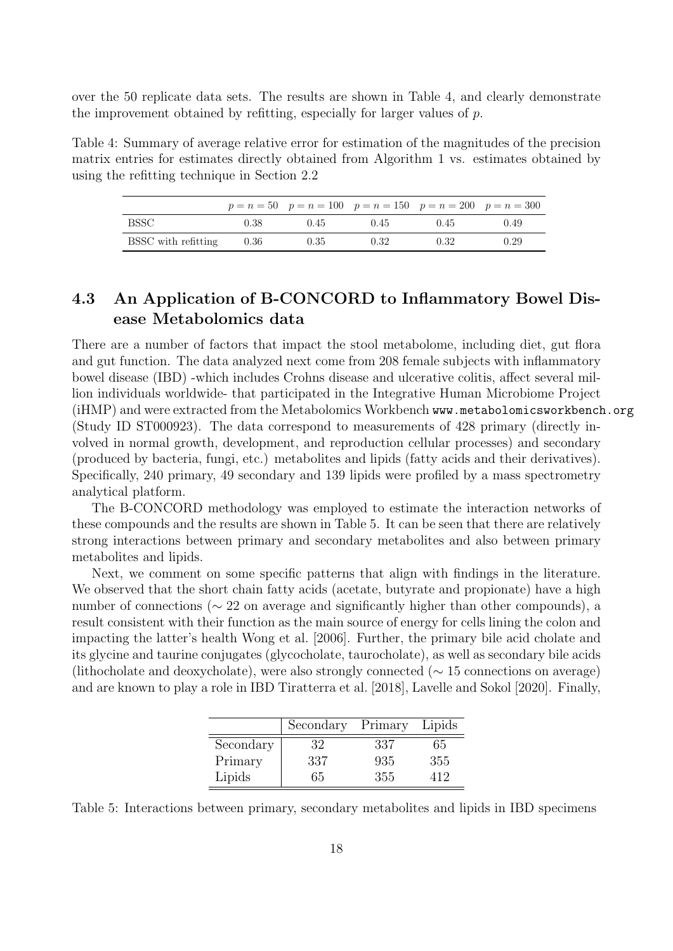over the 50 replicate data sets. The results are shown in Table [4,](#page-17-0) and clearly demonstrate the improvement obtained by refitting, especially for larger values of p.

<span id="page-17-0"></span>Table 4: Summary of average relative error for estimation of the magnitudes of the precision matrix entries for estimates directly obtained from Algorithm [1](#page-5-1) vs. estimates obtained by using the refitting technique in Section [2.2](#page-6-0)

|                     |      |      | $p = n = 50$ $p = n = 100$ $p = n = 150$ $p = n = 200$ $p = n = 300$ |      |      |
|---------------------|------|------|----------------------------------------------------------------------|------|------|
| BSSC.               | 0.38 | 0.45 | 0.45                                                                 | 0.45 | 0.49 |
| BSSC with refitting | 0.36 | 0.35 | 0.32                                                                 | 0.32 | 0.29 |

#### 4.3 An Application of B-CONCORD to Inflammatory Bowel Disease Metabolomics data

There are a number of factors that impact the stool metabolome, including diet, gut flora and gut function. The data analyzed next come from 208 female subjects with inflammatory bowel disease (IBD) -which includes Crohns disease and ulcerative colitis, affect several million individuals worldwide- that participated in the Integrative Human Microbiome Project (iHMP) and were extracted from the Metabolomics Workbench www.metabolomicsworkbench.org (Study ID ST000923). The data correspond to measurements of 428 primary (directly involved in normal growth, development, and reproduction cellular processes) and secondary (produced by bacteria, fungi, etc.) metabolites and lipids (fatty acids and their derivatives). Specifically, 240 primary, 49 secondary and 139 lipids were profiled by a mass spectrometry analytical platform.

The B-CONCORD methodology was employed to estimate the interaction networks of these compounds and the results are shown in Table [5.](#page-17-1) It can be seen that there are relatively strong interactions between primary and secondary metabolites and also between primary metabolites and lipids.

Next, we comment on some specific patterns that align with findings in the literature. We observed that the short chain fatty acids (acetate, butyrate and propionate) have a high number of connections (∼ 22 on average and significantly higher than other compounds), a result consistent with their function as the main source of energy for cells lining the colon and impacting the latter's health [Wong et al. \[2006\]](#page-20-9). Further, the primary bile acid cholate and its glycine and taurine conjugates (glycocholate, taurocholate), as well as secondary bile acids (lithocholate and deoxycholate), were also strongly connected (∼ 15 connections on average) and are known to play a role in IBD [Tiratterra et al. \[2018\]](#page-20-10), [Lavelle and Sokol \[2020\]](#page-19-11). Finally,

|           | Secondary | Primary | Lipids |
|-----------|-----------|---------|--------|
| Secondary | 32        | 337     | 65     |
| Primary   | 337       | 935     | 355    |
| Lipids    | 65        | 355     | 419    |

<span id="page-17-1"></span>Table 5: Interactions between primary, secondary metabolites and lipids in IBD specimens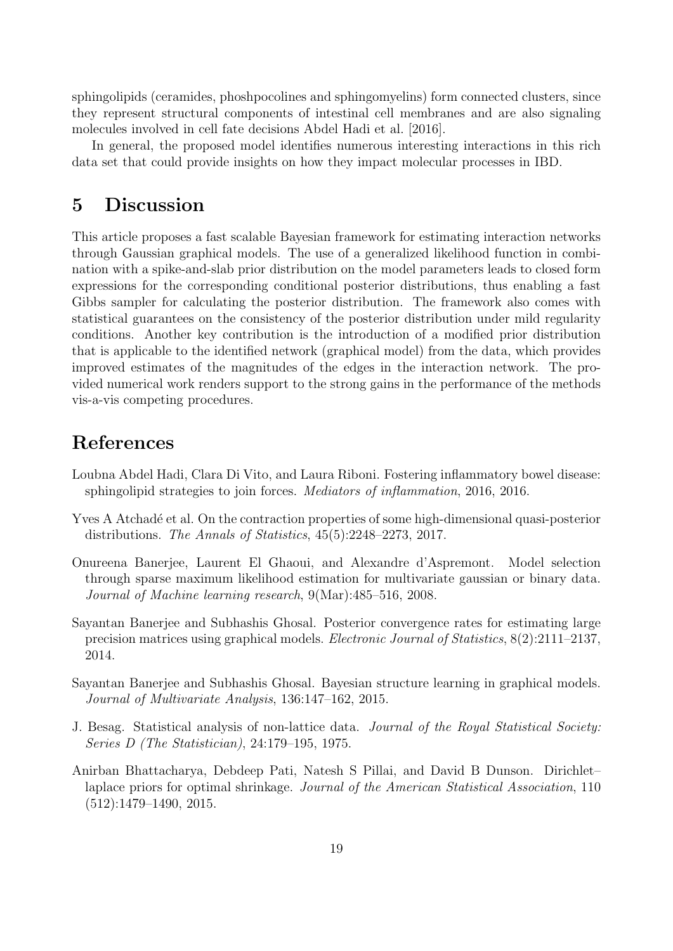sphingolipids (ceramides, phoshpocolines and sphingomyelins) form connected clusters, since they represent structural components of intestinal cell membranes and are also signaling molecules involved in cell fate decisions [Abdel Hadi et al. \[2016\]](#page-18-3).

In general, the proposed model identifies numerous interesting interactions in this rich data set that could provide insights on how they impact molecular processes in IBD.

## 5 Discussion

This article proposes a fast scalable Bayesian framework for estimating interaction networks through Gaussian graphical models. The use of a generalized likelihood function in combination with a spike-and-slab prior distribution on the model parameters leads to closed form expressions for the corresponding conditional posterior distributions, thus enabling a fast Gibbs sampler for calculating the posterior distribution. The framework also comes with statistical guarantees on the consistency of the posterior distribution under mild regularity conditions. Another key contribution is the introduction of a modified prior distribution that is applicable to the identified network (graphical model) from the data, which provides improved estimates of the magnitudes of the edges in the interaction network. The provided numerical work renders support to the strong gains in the performance of the methods vis-a-vis competing procedures.

## References

- <span id="page-18-3"></span>Loubna Abdel Hadi, Clara Di Vito, and Laura Riboni. Fostering inflammatory bowel disease: sphingolipid strategies to join forces. Mediators of inflammation, 2016, 2016.
- <span id="page-18-2"></span>Yves A Atchadé et al. On the contraction properties of some high-dimensional quasi-posterior distributions. The Annals of Statistics, 45(5):2248–2273, 2017.
- <span id="page-18-5"></span>Onureena Banerjee, Laurent El Ghaoui, and Alexandre d'Aspremont. Model selection through sparse maximum likelihood estimation for multivariate gaussian or binary data. Journal of Machine learning research, 9(Mar):485–516, 2008.
- <span id="page-18-0"></span>Sayantan Banerjee and Subhashis Ghosal. Posterior convergence rates for estimating large precision matrices using graphical models. Electronic Journal of Statistics, 8(2):2111–2137, 2014.
- <span id="page-18-1"></span>Sayantan Banerjee and Subhashis Ghosal. Bayesian structure learning in graphical models. Journal of Multivariate Analysis, 136:147–162, 2015.
- <span id="page-18-6"></span>J. Besag. Statistical analysis of non-lattice data. Journal of the Royal Statistical Society: Series D (The Statistician), 24:179–195, 1975.
- <span id="page-18-4"></span>Anirban Bhattacharya, Debdeep Pati, Natesh S Pillai, and David B Dunson. Dirichlet– laplace priors for optimal shrinkage. Journal of the American Statistical Association, 110 (512):1479–1490, 2015.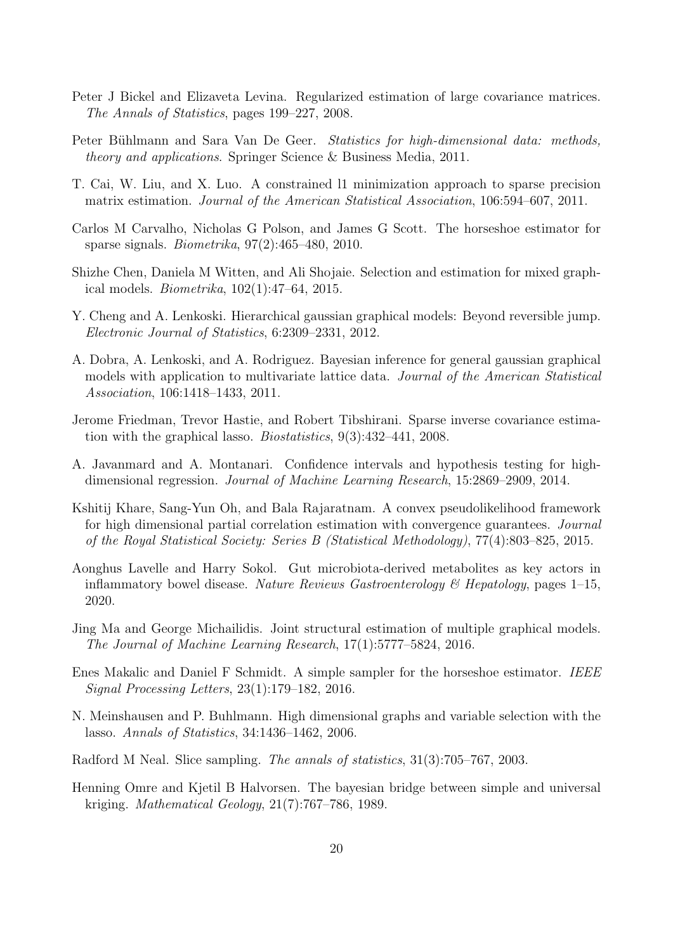- <span id="page-19-10"></span>Peter J Bickel and Elizaveta Levina. Regularized estimation of large covariance matrices. The Annals of Statistics, pages 199–227, 2008.
- <span id="page-19-0"></span>Peter Bühlmann and Sara Van De Geer. Statistics for high-dimensional data: methods, theory and applications. Springer Science & Business Media, 2011.
- <span id="page-19-4"></span>T. Cai, W. Liu, and X. Luo. A constrained l1 minimization approach to sparse precision matrix estimation. Journal of the American Statistical Association, 106:594–607, 2011.
- <span id="page-19-12"></span>Carlos M Carvalho, Nicholas G Polson, and James G Scott. The horseshoe estimator for sparse signals. Biometrika, 97(2):465–480, 2010.
- <span id="page-19-2"></span>Shizhe Chen, Daniela M Witten, and Ali Shojaie. Selection and estimation for mixed graphical models. Biometrika, 102(1):47–64, 2015.
- <span id="page-19-7"></span>Y. Cheng and A. Lenkoski. Hierarchical gaussian graphical models: Beyond reversible jump. Electronic Journal of Statistics, 6:2309–2331, 2012.
- <span id="page-19-6"></span>A. Dobra, A. Lenkoski, and A. Rodriguez. Bayesian inference for general gaussian graphical models with application to multivariate lattice data. Journal of the American Statistical Association, 106:1418–1433, 2011.
- <span id="page-19-3"></span>Jerome Friedman, Trevor Hastie, and Robert Tibshirani. Sparse inverse covariance estimation with the graphical lasso. Biostatistics, 9(3):432–441, 2008.
- <span id="page-19-8"></span>A. Javanmard and A. Montanari. Confidence intervals and hypothesis testing for highdimensional regression. Journal of Machine Learning Research, 15:2869–2909, 2014.
- <span id="page-19-5"></span>Kshitij Khare, Sang-Yun Oh, and Bala Rajaratnam. A convex pseudolikelihood framework for high dimensional partial correlation estimation with convergence guarantees. Journal of the Royal Statistical Society: Series B (Statistical Methodology), 77(4):803–825, 2015.
- <span id="page-19-11"></span>Aonghus Lavelle and Harry Sokol. Gut microbiota-derived metabolites as key actors in inflammatory bowel disease. Nature Reviews Gastroenterology  $\mathcal C$  Hepatology, pages 1–15, 2020.
- <span id="page-19-9"></span>Jing Ma and George Michailidis. Joint structural estimation of multiple graphical models. The Journal of Machine Learning Research, 17(1):5777–5824, 2016.
- <span id="page-19-15"></span>Enes Makalic and Daniel F Schmidt. A simple sampler for the horseshoe estimator. IEEE Signal Processing Letters, 23(1):179–182, 2016.
- <span id="page-19-1"></span>N. Meinshausen and P. Buhlmann. High dimensional graphs and variable selection with the lasso. Annals of Statistics, 34:1436–1462, 2006.
- <span id="page-19-13"></span>Radford M Neal. Slice sampling. The annals of statistics, 31(3):705–767, 2003.
- <span id="page-19-14"></span>Henning Omre and Kjetil B Halvorsen. The bayesian bridge between simple and universal kriging. Mathematical Geology, 21(7):767–786, 1989.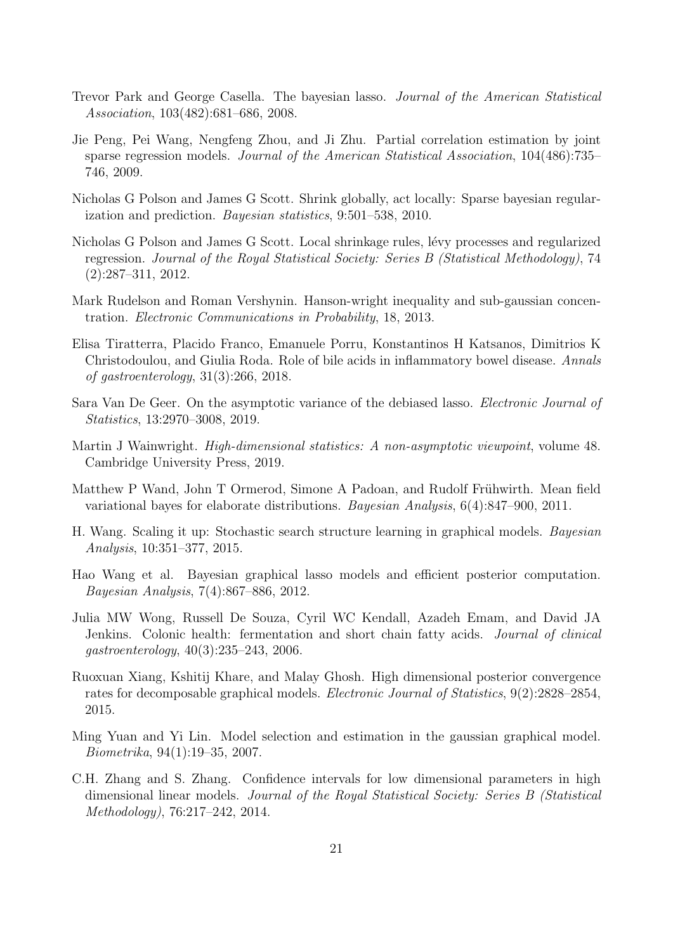- <span id="page-20-5"></span>Trevor Park and George Casella. The bayesian lasso. Journal of the American Statistical Association, 103(482):681–686, 2008.
- <span id="page-20-2"></span>Jie Peng, Pei Wang, Nengfeng Zhou, and Ji Zhu. Partial correlation estimation by joint sparse regression models. Journal of the American Statistical Association, 104(486):735– 746, 2009.
- <span id="page-20-12"></span>Nicholas G Polson and James G Scott. Shrink globally, act locally: Sparse bayesian regularization and prediction. Bayesian statistics, 9:501–538, 2010.
- <span id="page-20-13"></span>Nicholas G Polson and James G Scott. Local shrinkage rules, lévy processes and regularized regression. Journal of the Royal Statistical Society: Series B (Statistical Methodology), 74 (2):287–311, 2012.
- <span id="page-20-11"></span>Mark Rudelson and Roman Vershynin. Hanson-wright inequality and sub-gaussian concentration. Electronic Communications in Probability, 18, 2013.
- <span id="page-20-10"></span>Elisa Tiratterra, Placido Franco, Emanuele Porru, Konstantinos H Katsanos, Dimitrios K Christodoulou, and Giulia Roda. Role of bile acids in inflammatory bowel disease. Annals of gastroenterology, 31(3):266, 2018.
- <span id="page-20-7"></span>Sara Van De Geer. On the asymptotic variance of the debiased lasso. *Electronic Journal of* Statistics, 13:2970–3008, 2019.
- <span id="page-20-0"></span>Martin J Wainwright. *High-dimensional statistics: A non-asymptotic viewpoint*, volume 48. Cambridge University Press, 2019.
- <span id="page-20-14"></span>Matthew P Wand, John T Ormerod, Simone A Padoan, and Rudolf Frühwirth. Mean field variational bayes for elaborate distributions. Bayesian Analysis, 6(4):847–900, 2011.
- <span id="page-20-4"></span>H. Wang. Scaling it up: Stochastic search structure learning in graphical models. Bayesian Analysis, 10:351–377, 2015.
- <span id="page-20-3"></span>Hao Wang et al. Bayesian graphical lasso models and efficient posterior computation. Bayesian Analysis, 7(4):867–886, 2012.
- <span id="page-20-9"></span>Julia MW Wong, Russell De Souza, Cyril WC Kendall, Azadeh Emam, and David JA Jenkins. Colonic health: fermentation and short chain fatty acids. Journal of clinical gastroenterology, 40(3):235–243, 2006.
- <span id="page-20-8"></span>Ruoxuan Xiang, Kshitij Khare, and Malay Ghosh. High dimensional posterior convergence rates for decomposable graphical models. Electronic Journal of Statistics, 9(2):2828–2854, 2015.
- <span id="page-20-1"></span>Ming Yuan and Yi Lin. Model selection and estimation in the gaussian graphical model. Biometrika, 94(1):19–35, 2007.
- <span id="page-20-6"></span>C.H. Zhang and S. Zhang. Confidence intervals for low dimensional parameters in high dimensional linear models. Journal of the Royal Statistical Society: Series B (Statistical Methodology), 76:217–242, 2014.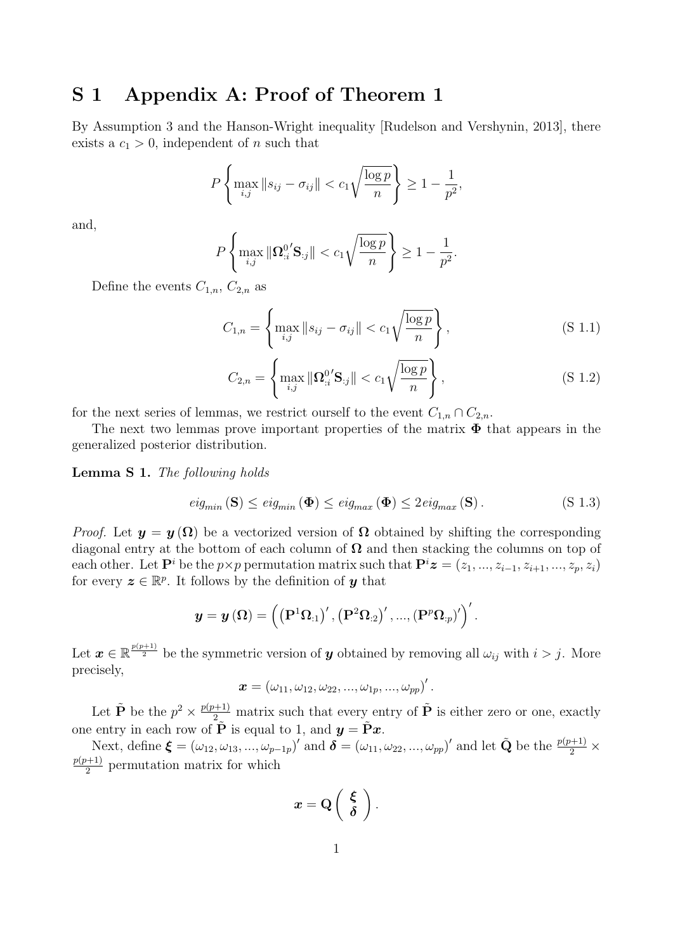## S 1 Appendix A: Proof of Theorem 1

By Assumption 3 and the Hanson-Wright inequality [\[Rudelson and Vershynin, 2013\]](#page-20-11), there exists a  $c_1 > 0$ , independent of *n* such that

$$
P\left\{\max_{i,j} \|s_{ij} - \sigma_{ij}\| < c_1 \sqrt{\frac{\log p}{n}} \right\} \ge 1 - \frac{1}{p^2},
$$

and,

$$
P\left\{\max_{i,j}\|\Omega_{:i}^{0'}\mathbf{S}_{:j}\|
$$

Define the events  $C_{1,n}$ ,  $C_{2,n}$  as

$$
C_{1,n} = \left\{ \max_{i,j} \|s_{ij} - \sigma_{ij}\| < c_1 \sqrt{\frac{\log p}{n}} \right\},\tag{S 1.1}
$$

$$
C_{2,n} = \left\{ \max_{i,j} \|\mathbf{\Omega}_{:i}^{0'}\mathbf{S}_{:j}\| < c_1 \sqrt{\frac{\log p}{n}} \right\},\tag{S 1.2}
$$

for the next series of lemmas, we restrict ourself to the event  $C_{1,n} \cap C_{2,n}$ .

The next two lemmas prove important properties of the matrix  $\Phi$  that appears in the generalized posterior distribution.

<span id="page-21-0"></span>Lemma S 1. The following holds

$$
eig_{min}(\mathbf{S}) \le eig_{min}(\mathbf{\Phi}) \le eig_{max}(\mathbf{\Phi}) \le 2 eig_{max}(\mathbf{S}). \tag{S 1.3}
$$

*Proof.* Let  $y = y(\Omega)$  be a vectorized version of  $\Omega$  obtained by shifting the corresponding diagonal entry at the bottom of each column of  $\Omega$  and then stacking the columns on top of each other. Let  $\mathbf{P}^i$  be the  $p \times p$  permutation matrix such that  $\mathbf{P}^i \mathbf{z} = (z_1, ..., z_{i-1}, z_{i+1}, ..., z_p, z_i)$ for every  $\boldsymbol{z} \in \mathbb{R}^p$ . It follows by the definition of **y** that

$$
\boldsymbol{y}=\boldsymbol{y}\left(\boldsymbol{\Omega}\right)=\left(\left(\mathbf{P}^{1} \boldsymbol{\Omega}_{:1}\right)',\left(\mathbf{P}^{2} \boldsymbol{\Omega}_{:2}\right)',...,\left(\mathbf{P}^{p} \boldsymbol{\Omega}_{:p}\right)'\right)'.
$$

Let  $\boldsymbol{x} \in \mathbb{R}^{\frac{p(p+1)}{2}}$  be the symmetric version of  $\boldsymbol{y}$  obtained by removing all  $\omega_{ij}$  with  $i > j$ . More precisely,

$$
\boldsymbol{x}=\left(\omega_{11},\omega_{12},\omega_{22},...,\omega_{1p},...,\omega_{pp}\right)'.
$$

Let  $\tilde{\mathbf{P}}$  be the  $p^2 \times \frac{p(p+1)}{2}$  matrix such that every entry of  $\tilde{\mathbf{P}}$  is either zero or one, exactly one entry in each row of  $\tilde{\mathbf{P}}$  is equal to 1, and  $\mathbf{y} = \tilde{\mathbf{P}} \mathbf{x}$ .

Next, define  $\boldsymbol{\xi} = (\omega_{12}, \omega_{13}, ..., \omega_{p-1p})'$  and  $\boldsymbol{\delta} = (\omega_{11}, \omega_{22}, ..., \omega_{pp})'$  and let  $\tilde{\mathbf{Q}}$  be the  $\frac{p(p+1)}{2} \times$  $p(p+1)$  $\frac{p+1}{2}$  permutation matrix for which

$$
x = Q\left(\begin{array}{c} \xi \\ \delta \end{array}\right).
$$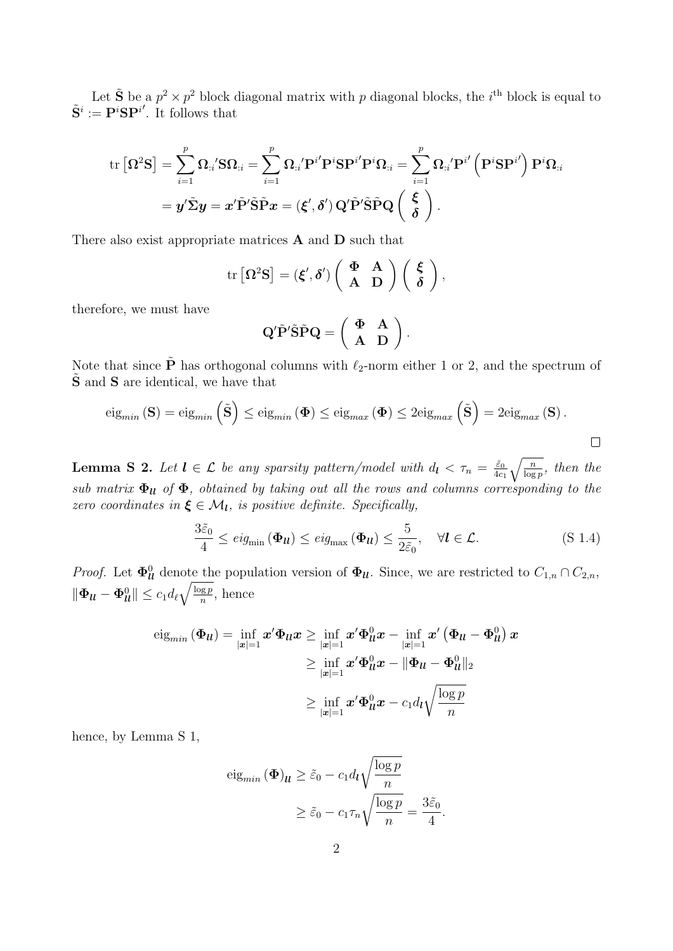Let  $\tilde{S}$  be a  $p^2 \times p^2$  block diagonal matrix with p diagonal blocks, the *i*<sup>th</sup> block is equal to  $\tilde{\mathbf{S}}^i := \mathbf{P}^i \mathbf{S} \mathbf{P}^{i'}$ . It follows that

$$
\begin{aligned} \text{tr}\left[\boldsymbol{\Omega}^2\mathbf{S}\right] &= \sum_{i=1}^p \boldsymbol{\Omega}_{:i}{}^\prime \mathbf{S} \boldsymbol{\Omega}_{:i} = \sum_{i=1}^p \boldsymbol{\Omega}_{:i}{}^\prime \mathbf{P}^i \mathbf{P}^i \mathbf{S} \mathbf{P}^{i}{}^\prime \mathbf{P}^i \boldsymbol{\Omega}_{:i} = \sum_{i=1}^p \boldsymbol{\Omega}_{:i}{}^\prime \mathbf{P}^{i}{}^\prime \left(\mathbf{P}^i \mathbf{S} \mathbf{P}^{i}{}^\prime\right) \mathbf{P}^i \boldsymbol{\Omega}_{:i} \\ &= \boldsymbol{y}{}^\prime \tilde{\boldsymbol{\Sigma}} \boldsymbol{y} = \boldsymbol{x}{}^\prime \tilde{\mathbf{P}}{}^\prime \tilde{\mathbf{S}} \tilde{\mathbf{P}} \boldsymbol{x} = \left(\boldsymbol{\xi}{}^\prime,\boldsymbol{\delta}{}^\prime\right) \mathbf{Q}{}^\prime \tilde{\mathbf{P}}{}^\prime \tilde{\mathbf{S}} \tilde{\mathbf{P}} \mathbf{Q} \left(\begin{array}{c} \boldsymbol{\xi} \\ \boldsymbol{\delta} \end{array}\right). \end{aligned}
$$

There also exist appropriate matrices A and D such that

$$
\mathrm{tr}\left[\Omega^2\mathbf{S}\right] = \left(\boldsymbol{\xi}',\boldsymbol{\delta}'\right)\left(\begin{array}{cc} \boldsymbol{\Phi} & \mathbf{A} \\ \mathbf{A} & \mathbf{D} \end{array}\right)\left(\begin{array}{c} \boldsymbol{\xi} \\ \boldsymbol{\delta} \end{array}\right),\,
$$

therefore, we must have

$$
Q'\tilde{P}'\tilde{S}\tilde{P}Q = \left(\begin{array}{cc} \Phi & A \\ A & D \end{array}\right).
$$

Note that since  $\tilde{\mathbf{P}}$  has orthogonal columns with  $\ell_2$ -norm either 1 or 2, and the spectrum of  $\tilde{\mathbf{S}}$  and  $\mathbf{S}$  are identical, we have that

$$
\mathrm{eig}_{min}(\mathbf{S}) = \mathrm{eig}_{min}(\tilde{\mathbf{S}}) \leq \mathrm{eig}_{min}(\mathbf{\Phi}) \leq \mathrm{eig}_{max}(\mathbf{\Phi}) \leq 2\mathrm{eig}_{max}(\tilde{\mathbf{S}}) = 2\mathrm{eig}_{max}(\mathbf{S}).
$$

<span id="page-22-0"></span>**Lemma S 2.** Let  $l \in \mathcal{L}$  be any sparsity pattern/model with  $d_l < \tau_n = \frac{\tilde{\varepsilon}_0}{4c}$  $\frac{\tilde{\varepsilon}_0}{4c_1}\sqrt{\frac{n}{\log p}}$ , then the sub matrix  $\Phi_{ll}$  of  $\Phi$ , obtained by taking out all the rows and columns corresponding to the zero coordinates in  $\xi \in \mathcal{M}_l$ , is positive definite. Specifically,

$$
\frac{3\tilde{\varepsilon}_0}{4} \le \text{eig}_{\min} \left( \mathbf{\Phi}_{\mathbf{u}} \right) \le \text{eig}_{\max} \left( \mathbf{\Phi}_{\mathbf{u}} \right) \le \frac{5}{2\tilde{\varepsilon}_0}, \quad \forall \mathbf{l} \in \mathcal{L}.\tag{S 1.4}
$$

*Proof.* Let  $\Phi_{ll}^0$  denote the population version of  $\Phi_{ll}$ . Since, we are restricted to  $C_{1,n} \cap C_{2,n}$ ,  $\|\boldsymbol{\Phi_{ll}}-\boldsymbol{\Phi_{ll}^0}\|\leq c_1d_\ell\sqrt{\frac{\log p}{n}}$  $\frac{\log p}{n}$ , hence

$$
\begin{aligned} \mathrm{eig}_{min}\left(\boldsymbol{\Phi}_{\boldsymbol{u}}\right) &=\inf_{\left|\boldsymbol{x}\right|=1} \boldsymbol{x}^{\prime} \boldsymbol{\Phi}_{\boldsymbol{u}} \boldsymbol{x} \geq \inf_{\left|\boldsymbol{x}\right|=1} \boldsymbol{x}^{\prime} \boldsymbol{\Phi}_{\boldsymbol{u}}^{0} \boldsymbol{x}-\inf_{\left|\boldsymbol{x}\right|=1} \boldsymbol{x}^{\prime}\left(\boldsymbol{\Phi}_{\boldsymbol{u}}-\boldsymbol{\Phi}_{\boldsymbol{u}}^{0}\right) \boldsymbol{x} \\ & \geq \inf_{\left|\boldsymbol{x}\right|=1} \boldsymbol{x}^{\prime} \boldsymbol{\Phi}_{\boldsymbol{u}}^{0} \boldsymbol{x}-\|\boldsymbol{\Phi}_{\boldsymbol{u}}-\boldsymbol{\Phi}_{\boldsymbol{u}}^{0}\|_{2} \\ & \geq \inf_{\left|\boldsymbol{x}\right|=1} \boldsymbol{x}^{\prime} \boldsymbol{\Phi}_{\boldsymbol{u}}^{0} \boldsymbol{x}-c_{1} d_{\boldsymbol{l}} \sqrt{\frac{\log p}{n}} \end{aligned}
$$

hence, by Lemma [S 1,](#page-21-0)

$$
\text{eig}_{min} \left( \Phi \right)_{\mathcal{U}} \ge \tilde{\varepsilon}_0 - c_1 d_{\mathcal{U}} \sqrt{\frac{\log p}{n}} \ge \tilde{\varepsilon}_0 - c_1 \tau_n \sqrt{\frac{\log p}{n}} = \frac{3\tilde{\varepsilon}_0}{4}.
$$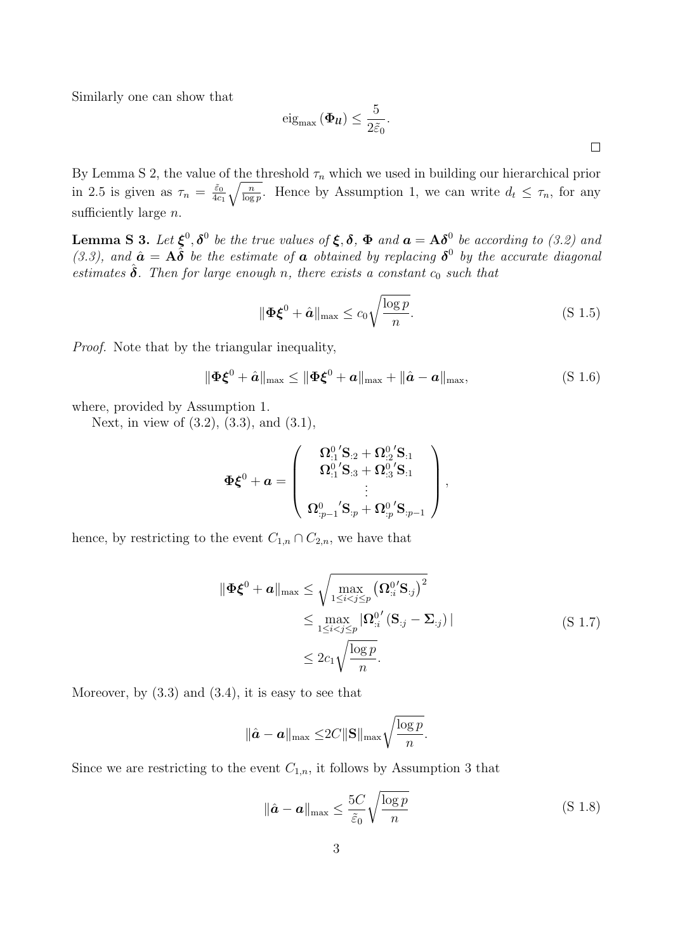Similarly one can show that

$$
\operatorname{eig}_{\max} \left( \mathbf{\Phi}_{\boldsymbol{u}} \right) \leq \frac{5}{2\tilde{\varepsilon}_0}.
$$

By Lemma [S 2,](#page-22-0) the value of the threshold  $\tau_n$  which we used in building our hierarchical prior in [2.5](#page-3-1) is given as  $\tau_n = \frac{\tilde{\varepsilon}_0}{4c}$  $\frac{\tilde{\varepsilon}_0}{4c_1} \sqrt{\frac{n}{\log p}}$ . Hence by Assumption [1,](#page-11-0) we can write  $d_t \leq \tau_n$ , for any sufficiently large  $n$ .

<span id="page-23-0"></span>**Lemma S 3.** Let  $\xi^0$ ,  $\delta^0$  be the true values of  $\xi$ ,  $\delta$ ,  $\Phi$  and  $a = A\delta^0$  be according to [\(3.2\)](#page-10-1) and [\(3.3\)](#page-10-2), and  $\hat{a} = A\tilde{\delta}$  be the estimate of  $a$  obtained by replacing  $\delta^0$  by the accurate diagonal estimates  $\hat{\delta}$ . Then for large enough n, there exists a constant  $c_0$  such that

$$
\|\mathbf{\Phi}\mathbf{\xi}^{0} + \hat{\mathbf{a}}\|_{\max} \le c_0 \sqrt{\frac{\log p}{n}}.\tag{S 1.5}
$$

Proof. Note that by the triangular inequality,

<span id="page-23-1"></span>
$$
\|\boldsymbol{\Phi}\boldsymbol{\xi}^{0} + \hat{\boldsymbol{a}}\|_{\max} \le \|\boldsymbol{\Phi}\boldsymbol{\xi}^{0} + \boldsymbol{a}\|_{\max} + \|\hat{\boldsymbol{a}} - \boldsymbol{a}\|_{\max},
$$
\n(S 1.6)

where, provided by Assumption 1.

Next, in view of [\(3.2\)](#page-10-1), [\(3.3\)](#page-10-2), and (3.1),

$$
\Phi \bm{\xi}^0 + \bm{a} = \left(\begin{array}{c} \bm{\Omega}_{:1}^{0}{}^{'}\mathbf{S}_{:2} + \bm{\Omega}_{:2}^{0}{}^{'}\mathbf{S}_{:1}\\ \bm{\Omega}_{:1}^{0}{}^{'}\mathbf{S}_{:3} + \bm{\Omega}_{:3}^{0}{}^{'}\mathbf{S}_{:1}\\ \vdots \\ \bm{\Omega}_{:p-1}^{0}{}^{'}\mathbf{S}_{:p} + \bm{\Omega}_{:p}^{0}{}^{'}\mathbf{S}_{:p-1} \end{array}\right),
$$

hence, by restricting to the event  $C_{1,n} \cap C_{2,n}$ , we have that

$$
\|\mathbf{\Phi}\boldsymbol{\xi}^{0} + \boldsymbol{a}\|_{\max} \leq \sqrt{\max_{1 \leq i < j \leq p} (\boldsymbol{\Omega}_{:i}^{0'}\mathbf{S}_{:j})^{2}} \leq \max_{1 \leq i < j \leq p} |\boldsymbol{\Omega}_{:i}^{0'}(\mathbf{S}_{:j} - \boldsymbol{\Sigma}_{:j})|
$$
\n
$$
\leq 2c_{1} \sqrt{\frac{\log p}{n}}.
$$
\n(S 1.7)

<span id="page-23-2"></span>Moreover, by  $(3.3)$  and  $(3.4)$ , it is easy to see that

$$
\|\hat{\boldsymbol{a}}-\boldsymbol{a}\|_{\max}\leq 2C\|\mathbf{S}\|_{\max}\sqrt{\frac{\log p}{n}}.
$$

<span id="page-23-3"></span>Since we are restricting to the event  $C_{1,n}$ , it follows by Assumption [3](#page-11-3) that

$$
\|\hat{\boldsymbol{a}} - \boldsymbol{a}\|_{\max} \le \frac{5C}{\tilde{\varepsilon}_0} \sqrt{\frac{\log p}{n}} \tag{S.1.8}
$$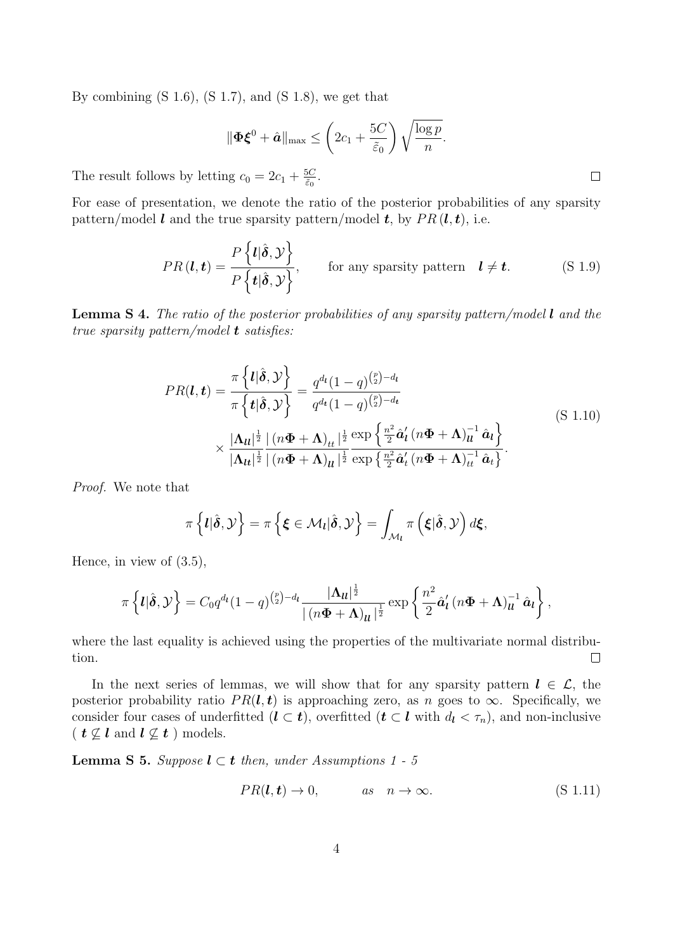By combining  $(S\ 1.6)$ ,  $(S\ 1.7)$ , and  $(S\ 1.8)$ , we get that

$$
\|\mathbf{\Phi}\boldsymbol{\xi}^{0} + \hat{\boldsymbol{a}}\|_{\max} \leq \left(2c_1 + \frac{5C}{\tilde{\varepsilon}_0}\right) \sqrt{\frac{\log p}{n}}.
$$

The result follows by letting  $c_0 = 2c_1 + \frac{5C}{60}$  $\frac{5C}{\tilde{\varepsilon}_0}.$ 

For ease of presentation, we denote the ratio of the posterior probabilities of any sparsity pattern/model l and the true sparsity pattern/model t, by  $PR(l, t)$ , i.e.

$$
PR(\boldsymbol{l}, \boldsymbol{t}) = \frac{P\left\{\boldsymbol{l}|\hat{\boldsymbol{\delta}}, \mathcal{Y}\right\}}{P\left\{\boldsymbol{t}|\hat{\boldsymbol{\delta}}, \mathcal{Y}\right\}}, \quad \text{for any sparsity pattern} \quad \boldsymbol{l} \neq \boldsymbol{t}. \quad (S\ 1.9)
$$

**Lemma S 4.** The ratio of the posterior probabilities of any sparsity pattern/model  $\mathbf{l}$  and the true sparsity pattern/model **t** satisfies:

$$
PR(\boldsymbol{l}, \boldsymbol{t}) = \frac{\pi \left\{ \boldsymbol{l} | \hat{\boldsymbol{\delta}}, \mathcal{Y} \right\}}{\pi \left\{ \boldsymbol{t} | \hat{\boldsymbol{\delta}}, \mathcal{Y} \right\}} = \frac{q^{d_{\boldsymbol{l}}}(1-q)^{\binom{p}{2}-d_{\boldsymbol{l}}}}{q^{d_{\boldsymbol{t}}}(1-q)^{\binom{p}{2}-d_{\boldsymbol{t}}}}
$$
\n
$$
\times \frac{|\boldsymbol{\Lambda}_{\boldsymbol{l}}|^{\frac{1}{2}}}{|\boldsymbol{\Lambda}_{\boldsymbol{l}}|^{\frac{1}{2}}} \frac{|\left(n\boldsymbol{\Phi} + \boldsymbol{\Lambda}\right)_{tt}|^{\frac{1}{2}}}{|\left(n\boldsymbol{\Phi} + \boldsymbol{\Lambda}\right)_{tt}|^{\frac{1}{2}}} \frac{\exp\left\{\frac{n^{2}}{2}\hat{\boldsymbol{a}}'_{\boldsymbol{l}}\left(n\boldsymbol{\Phi} + \boldsymbol{\Lambda}\right)_{tt}^{-1}\hat{\boldsymbol{a}}_{\boldsymbol{l}}\right\}}{|\boldsymbol{\Lambda}_{\boldsymbol{l}}|^{\frac{1}{2}} \left| (n\boldsymbol{\Phi} + \boldsymbol{\Lambda})_{\boldsymbol{l}} \right|^{\frac{1}{2}}} \exp\left\{\frac{n^{2}}{2}\hat{\boldsymbol{a}}'_{\boldsymbol{l}}\left(n\boldsymbol{\Phi} + \boldsymbol{\Lambda}\right)_{tt}^{-1}\hat{\boldsymbol{a}}_{\boldsymbol{t}}\right\}}.
$$
\n(S 1.10)

Proof. We note that

$$
\pi\left\{l|\hat{\boldsymbol{\delta}},\mathcal{Y}\right\}=\pi\left\{\boldsymbol{\xi}\in\mathcal{M}_{l}|\hat{\boldsymbol{\delta}},\mathcal{Y}\right\}=\int_{\mathcal{M}_{l}}\pi\left(\boldsymbol{\xi}|\hat{\boldsymbol{\delta}},\mathcal{Y}\right)d\boldsymbol{\xi},
$$

Hence, in view of [\(3.5\)](#page-11-4),

$$
\pi\left\{ \boldsymbol{l}|\hat{\boldsymbol{\delta}},\mathcal{Y}\right\} = C_0q^{d_{\boldsymbol{l}}}(1-q)^{{p\choose 2}-d_{\boldsymbol{l}}}\frac{|\boldsymbol{\Lambda}_{\boldsymbol{l\ell}}|^{\frac{1}{2}}}{|(n\boldsymbol{\Phi}+\boldsymbol{\Lambda})_{\boldsymbol{l\ell}}|^{\frac{1}{2}}}\exp\left\{ \frac{n^2}{2}\hat{\boldsymbol{a}}'_{\boldsymbol{l}}(n\boldsymbol{\Phi}+\boldsymbol{\Lambda})_{\boldsymbol{l\ell}}^{-1}\hat{\boldsymbol{a}}_{\boldsymbol{l}}\right\},\,
$$

where the last equality is achieved using the properties of the multivariate normal distribution.  $\Box$ 

In the next series of lemmas, we will show that for any sparsity pattern  $l \in \mathcal{L}$ , the posterior probability ratio  $PR(l, t)$  is approaching zero, as n goes to  $\infty$ . Specifically, we consider four cases of underfitted  $(l \subset t)$ , overfitted  $(t \subset l$  with  $d_l < \tau_n$ , and non-inclusive (  $t \not\subseteq l$  and  $l \not\subseteq t$  ) models.

<span id="page-24-0"></span>**Lemma S [5](#page-12-1).** Suppose  $l \subset t$  then, under Assumptions [1](#page-11-0) - 5

$$
PR(l, t) \rightarrow 0,
$$
 as  $n \rightarrow \infty.$  (S 1.11)

 $\Box$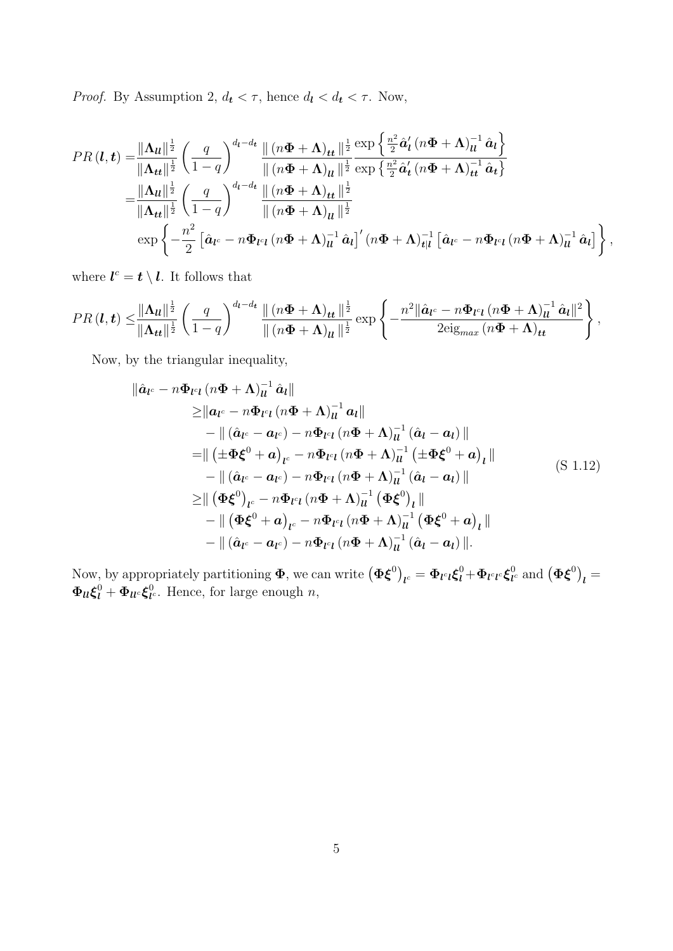*Proof.* By Assumption 2,  $d_t < \tau$ , hence  $d_l < d_t < \tau$ . Now,

$$
PR\left(\boldsymbol{l},\boldsymbol{t}\right) = \frac{\|\boldsymbol{\Lambda}_{\boldsymbol{u}}\|^{\frac{1}{2}}}{\|\boldsymbol{\Lambda}_{\boldsymbol{t}\boldsymbol{t}}\|^{\frac{1}{2}}} \left(\frac{q}{1-q}\right)^{d_{\boldsymbol{l}}-d_{\boldsymbol{t}}}\frac{\|\left(n\boldsymbol{\Phi}+\boldsymbol{\Lambda}\right)_{\boldsymbol{t}\boldsymbol{t}}\|^{\frac{1}{2}}}{\|\left(n\boldsymbol{\Phi}+\boldsymbol{\Lambda}\right)_{\boldsymbol{u}}\|^{\frac{1}{2}}} \frac{\exp\left\{\frac{n^{2}}{2}\hat{\boldsymbol{a}}'_{\boldsymbol{l}}\left(n\boldsymbol{\Phi}+\boldsymbol{\Lambda}\right)_{\boldsymbol{u}}^{-1}\hat{\boldsymbol{a}}_{\boldsymbol{l}}\right\}}{\|\left(n\boldsymbol{\Phi}+\boldsymbol{\Lambda}\right)_{\boldsymbol{u}}\|^{\frac{1}{2}}} \frac{\exp\left\{\frac{n^{2}}{2}\hat{\boldsymbol{a}}'_{\boldsymbol{l}}\left(n\boldsymbol{\Phi}+\boldsymbol{\Lambda}\right)_{\boldsymbol{u}}^{-1}\hat{\boldsymbol{a}}_{\boldsymbol{t}}\right\}}{\|\boldsymbol{\Lambda}_{\boldsymbol{t}\boldsymbol{t}}\|^{\frac{1}{2}}} \\ = \frac{\|\boldsymbol{\Lambda}_{\boldsymbol{u}}\|^{\frac{1}{2}}}{\|\boldsymbol{\Lambda}_{\boldsymbol{t}\boldsymbol{t}}\|^{\frac{1}{2}}} \left(\frac{q}{1-q}\right)^{d_{\boldsymbol{l}}-d_{\boldsymbol{t}}}\frac{\|\left(n\boldsymbol{\Phi}+\boldsymbol{\Lambda}\right)_{\boldsymbol{t}\boldsymbol{t}}\|^{\frac{1}{2}}}{\|\left(n\boldsymbol{\Phi}+\boldsymbol{\Lambda}\right)_{\boldsymbol{u}}\|^{\frac{1}{2}}} \\ \exp\left\{-\frac{n^{2}}{2}\left[\hat{\boldsymbol{a}}_{\boldsymbol{l}^{c}}-n\boldsymbol{\Phi}_{\boldsymbol{l}^{c}\boldsymbol{l}}\left(n\boldsymbol{\Phi}+\boldsymbol{\Lambda}\right)_{\boldsymbol{u}}^{-1}\hat{\boldsymbol{a}}_{\boldsymbol{l}}\right]'\left(n\boldsymbol{\Phi}+\boldsymbol{\Lambda}\right)_{\boldsymbol{t}\vert\boldsymbol{l}}^{-1}\left[\hat{\boldsymbol{a}}_{\boldsymbol{l}^{c}}-n\boldsymbol{\Phi}_{\boldsymbol{l}^{c}\boldsymbol{l}}\left(n\boldsymbol{\Phi}+\boldsymbol{\Lambda}\right)_{\boldsymbol{u}}^{-1}\hat{\boldsymbol{a}}_{\boldsymbol{l}}\right]\right\},
$$

where  $\mathbf{l}^c = \mathbf{t} \setminus \mathbf{l}$ . It follows that

$$
PR\left(\boldsymbol{l},\boldsymbol{t}\right) \leq \frac{\|\boldsymbol{\Lambda}_{\boldsymbol{u}}\|^{\frac{1}{2}}}{\|\boldsymbol{\Lambda}_{\boldsymbol{t}\boldsymbol{t}}\|^{\frac{1}{2}}}\left(\frac{q}{1-q}\right)^{d_{\boldsymbol{l}}-d_{\boldsymbol{t}}}\frac{\|\left(n\boldsymbol{\Phi}+\boldsymbol{\Lambda}\right)_{\boldsymbol{t}\boldsymbol{t}}\|^{\frac{1}{2}}}{\|\left(n\boldsymbol{\Phi}+\boldsymbol{\Lambda}\right)_{\boldsymbol{u}}\|^{\frac{1}{2}}}\exp\left\{-\frac{n^{2}\|\hat{\boldsymbol{a}}_{\boldsymbol{l}^{c}}-n\boldsymbol{\Phi}_{\boldsymbol{l}^{c}\boldsymbol{l}}\left(n\boldsymbol{\Phi}+\boldsymbol{\Lambda}\right)_{\boldsymbol{u}}^{-1}\hat{\boldsymbol{a}}_{\boldsymbol{t}}\|^2}{2\text{eig}_{max}\left(n\boldsymbol{\Phi}+\boldsymbol{\Lambda}\right)_{\boldsymbol{t}\boldsymbol{t}}}\right\},
$$

Now, by the triangular inequality,

<span id="page-25-0"></span>
$$
\|\hat{a}_{l^{c}} - n\Phi_{l^{c}l} (n\Phi + \Lambda)_{ll}^{-1} \hat{a}_{l} \| \n\geq \|a_{l^{c}} - n\Phi_{l^{c}l} (n\Phi + \Lambda)_{ll}^{-1} a_{l} \| \n- \|(\hat{a}_{l^{c}} - a_{l^{c}}) - n\Phi_{l^{c}l} (n\Phi + \Lambda)_{ll}^{-1} (\hat{a}_{l} - a_{l}) \| \n= \|(\pm \Phi \xi^{0} + a)_{l^{c}} - n\Phi_{l^{c}l} (n\Phi + \Lambda)_{ll}^{-1} (\pm \Phi \xi^{0} + a)_{l} \| \n- \|(\hat{a}_{l^{c}} - a_{l^{c}}) - n\Phi_{l^{c}l} (n\Phi + \Lambda)_{ll}^{-1} (\hat{a}_{l} - a_{l}) \| \n\geq \|(\Phi \xi^{0})_{l^{c}} - n\Phi_{l^{c}l} (n\Phi + \Lambda)_{ll}^{-1} (\Phi \xi^{0})_{l} \| \n- \|(\Phi \xi^{0} + a)_{l^{c}} - n\Phi_{l^{c}l} (n\Phi + \Lambda)_{ll}^{-1} (\Phi \xi^{0} + a)_{l} \| \n- \|(\hat{a}_{l^{c}} - a_{l^{c}}) - n\Phi_{l^{c}l} (n\Phi + \Lambda)_{ll}^{-1} (\hat{a}_{l} - a_{l}) \|.
$$
\n(S.1.12)

Now, by appropriately partitioning  $\pmb{\Phi}$ , we can write  $\left(\pmb{\Phi}\pmb{\xi}^0\right)_{\pmb{l}^c} = \pmb{\Phi}_{\pmb{l}^c\pmb{l}}\pmb{\xi}^0_{\pmb{l}} + \pmb{\Phi}_{\pmb{l}^c\pmb{l}^c}\pmb{\xi}^0_{\pmb{l}^c}$  $\small \begin{array}{l} {0} \ell ^{0} \end{array} \text{and} \ \big( \Phi \bm{\xi}^{0} \big)_{\bm{l}} =$  $\Phi_{ll}\xi^0_l + \Phi_{ll^c}\xi^0_{l^c}$  $_{l}^{\circ}$ . Hence, for large enough n,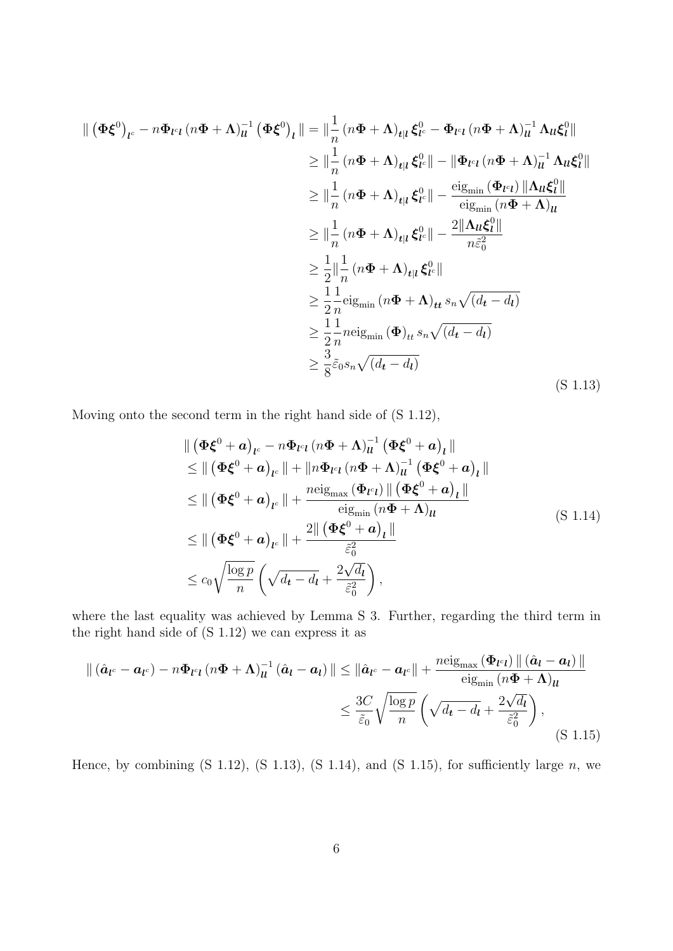<span id="page-26-0"></span>
$$
\begin{split}\n\| \left( \Phi \xi^{0} \right)_{l^{c}} - n \Phi_{l^{c}l} \left( n \Phi + \Lambda \right)_{ll}^{-1} \left( \Phi \xi^{0} \right)_{l} \|\n\leq \|\frac{1}{n} \left( n \Phi + \Lambda \right)_{tl} \xi_{l^{c}}^{0} - \Phi_{l^{c}l} \left( n \Phi + \Lambda \right)_{ll}^{-1} \Lambda_{ll} \xi_{l}^{0} \|\n\leq \|\frac{1}{n} \left( n \Phi + \Lambda \right)_{tl} \xi_{l^{c}}^{0} - \|\Phi_{l^{c}l} \left( n \Phi + \Lambda \right)_{ll}^{-1} \Lambda_{ll} \xi_{l}^{0} \|\n\leq \|\frac{1}{n} \left( n \Phi + \Lambda \right)_{tl} \xi_{l^{c}}^{0} - \frac{\text{eig}_{\min} \left( \Phi_{l^{c}l} \right) \|\Lambda_{ll} \xi_{l}^{0} \|\n\leq \|\frac{1}{n} \left( n \Phi + \Lambda \right)_{tl} \xi_{l^{c}}^{0} - \frac{2 \|\Lambda_{ll} \xi_{l^{c}}^{0} \|\|\Delta_{ll} \xi_{l}^{0} \|\n\leq \|\frac{1}{n} \left( n \Phi + \Lambda \right)_{tl} \xi_{l^{c}}^{0} \|\n\leq \frac{1}{2} \|\frac{1}{n} \left( n \Phi + \Lambda \right)_{tl} \xi_{l^{c}}^{0} \|\n\leq \frac{1}{2} \frac{1}{n} \text{eig}_{\min} \left( n \Phi + \Lambda \right)_{tt} s_{n} \sqrt{\left( d_{t} - d_{t} \right)}\n\leq \frac{1}{2} \frac{1}{n} \text{neig}_{\min} \left( \Phi \right)_{tt} s_{n} \sqrt{\left( d_{t} - d_{t} \right)}\n\leq \frac{3}{8} \tilde{\varepsilon}_{0} s_{n} \sqrt{\left( d_{t} - d_{t} \right)} \n\end{split} \tag{S 1.13}
$$

<span id="page-26-1"></span>Moving onto the second term in the right hand side of [\(S 1.12\)](#page-25-0),

$$
\| \left( \Phi \xi^{0} + \mathbf{a} \right)_{l^{c}} - n \Phi_{l^{c}l} \left( n \Phi + \Lambda \right)_{ll}^{-1} \left( \Phi \xi^{0} + \mathbf{a} \right)_{l} \|
$$
\n
$$
\leq \| \left( \Phi \xi^{0} + \mathbf{a} \right)_{l^{c}} \| + \| n \Phi_{l^{c}l} \left( n \Phi + \Lambda \right)_{ll}^{-1} \left( \Phi \xi^{0} + \mathbf{a} \right)_{l} \|
$$
\n
$$
\leq \| \left( \Phi \xi^{0} + \mathbf{a} \right)_{l^{c}} \| + \frac{n \text{eig}_{\text{max}} \left( \Phi_{l^{c}l} \right) \| \left( \Phi \xi^{0} + \mathbf{a} \right)_{l} \|}{\text{eig}_{\text{min}} \left( n \Phi + \Lambda \right)_{ll}} \right]
$$
\n
$$
\leq \| \left( \Phi \xi^{0} + \mathbf{a} \right)_{l^{c}} \| + \frac{2 \| \left( \Phi \xi^{0} + \mathbf{a} \right)_{l} \|}{\tilde{\varepsilon}_{0}^{2}}
$$
\n
$$
\leq c_{0} \sqrt{\frac{\log p}{n}} \left( \sqrt{d_{t} - d_{t}} + \frac{2 \sqrt{d_{t}}}{\tilde{\varepsilon}_{0}^{2}} \right), \tag{S 1.14}
$$

where the last equality was achieved by Lemma [S 3.](#page-23-0) Further, regarding the third term in the right hand side of [\(S 1.12\)](#page-25-0) we can express it as

<span id="page-26-2"></span>
$$
\| (\hat{\boldsymbol{a}}_{l^c} - \boldsymbol{a}_{l^c}) - n\boldsymbol{\Phi}_{l^c l} (n\boldsymbol{\Phi} + \boldsymbol{\Lambda})_{ll}^{-1} (\hat{\boldsymbol{a}}_l - \boldsymbol{a}_l) \| \leq \|\hat{\boldsymbol{a}}_{l^c} - \boldsymbol{a}_{l^c}\| + \frac{n \text{eig}_{\text{max}} (\boldsymbol{\Phi}_{l^c l}) \| (\hat{\boldsymbol{a}}_l - \boldsymbol{a}_l) \|}{\text{eig}_{\text{min}} (n\boldsymbol{\Phi} + \boldsymbol{\Lambda})_{ll}}
$$
  

$$
\leq \frac{3C}{\tilde{\varepsilon}_0} \sqrt{\frac{\log p}{n}} \left( \sqrt{d_t - d_l} + \frac{2\sqrt{d_l}}{\tilde{\varepsilon}_0^2} \right),
$$
(S 1.15)

Hence, by combining  $(S\ 1.12)$ ,  $(S\ 1.13)$ ,  $(S\ 1.14)$ , and  $(S\ 1.15)$ , for sufficiently large n, we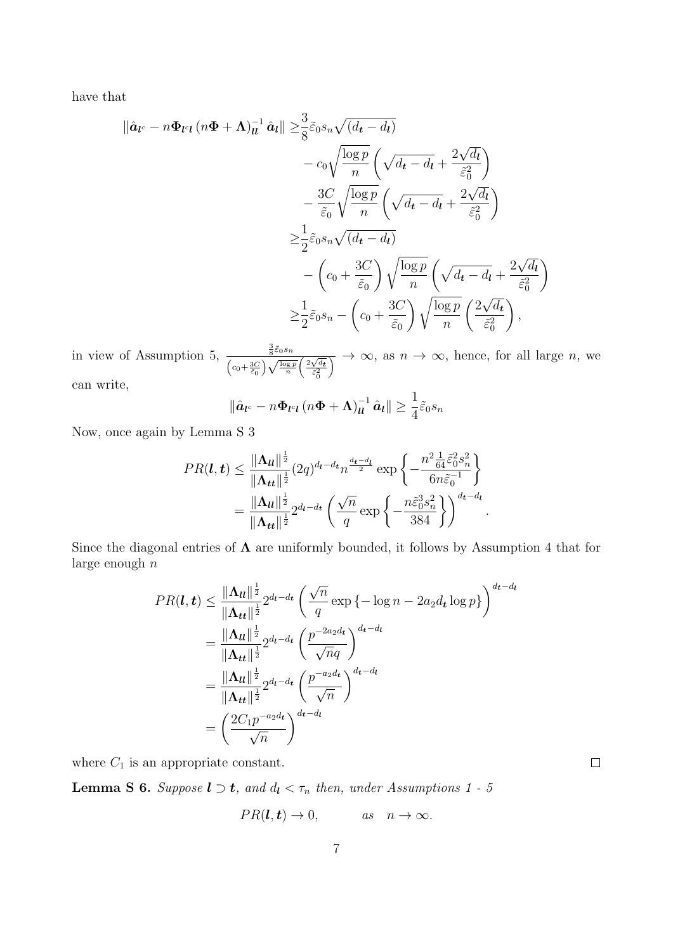have that

$$
\|\hat{\mathbf{a}}_{l^{c}} - n\Phi_{l^{c}l} (n\Phi + \Lambda)_{ll}^{-1} \hat{\mathbf{a}}_{l} \| \geq \frac{3}{8} \tilde{\varepsilon}_{0} s_{n} \sqrt{(d_{t} - d_{l})} \n- c_{0} \sqrt{\frac{\log p}{n}} \left( \sqrt{d_{t} - d_{l}} + \frac{2\sqrt{d_{l}}}{\tilde{\varepsilon}_{0}^{2}} \right) \n- \frac{3C}{\tilde{\varepsilon}_{0}} \sqrt{\frac{\log p}{n}} \left( \sqrt{d_{t} - d_{l}} + \frac{2\sqrt{d_{l}}}{\tilde{\varepsilon}_{0}^{2}} \right) \n\geq \frac{1}{2} \tilde{\varepsilon}_{0} s_{n} \sqrt{(d_{t} - d_{l})} \n- \left( c_{0} + \frac{3C}{\tilde{\varepsilon}_{0}} \right) \sqrt{\frac{\log p}{n}} \left( \sqrt{d_{t} - d_{l}} + \frac{2\sqrt{d_{l}}}{\tilde{\varepsilon}_{0}^{2}} \right) \n\geq \frac{1}{2} \tilde{\varepsilon}_{0} s_{n} - \left( c_{0} + \frac{3C}{\tilde{\varepsilon}_{0}} \right) \sqrt{\frac{\log p}{n}} \left( \frac{2\sqrt{d_{t}}}{\tilde{\varepsilon}_{0}^{2}} \right),
$$

in view of Assumption 5,  $\frac{\frac{3}{8}\tilde{\varepsilon}_{0}s_{n}}{\sqrt{1-\frac{3}{8}\tilde{\varepsilon}_{0}s_{n}}}$  $\frac{\frac{1}{8} \epsilon_0 s_n}{\left(c_0 + \frac{3C}{\tilde{\epsilon}_0}\right) \sqrt{\frac{\log p}{n}}}$  $\left(\frac{2\sqrt{d_t}}{\tilde{\varepsilon}_0^2}\right)$  $\overline{\wedge} \rightarrow \infty$ , as  $n \rightarrow \infty$ , hence, for all large n, we can write,

$$
\left\|\hat{\boldsymbol{a}}_{\boldsymbol{l}^c}-n\boldsymbol{\Phi}_{\boldsymbol{l}^c\boldsymbol{l}}\left(n\boldsymbol{\Phi}+\boldsymbol{\Lambda}\right)_{\boldsymbol{l}\boldsymbol{l}}^{-1}\hat{\boldsymbol{a}}_{\boldsymbol{l}}\right\|\geq\frac{1}{4}\tilde{\varepsilon}_0s_n
$$

Now, once again by Lemma [S 3](#page-23-0)

$$
PR(\mathbf{l}, \mathbf{t}) \leq \frac{\|\mathbf{\Lambda}_{\mathbf{l}}\|^{\frac{1}{2}}}{\|\mathbf{\Lambda}_{\mathbf{t}}\|^{\frac{1}{2}}} (2q)^{d_{\mathbf{l}} - d_{\mathbf{t}}} n^{\frac{d_{\mathbf{t}} - d_{\mathbf{l}}}{2}} \exp \left\{-\frac{n^2 \frac{1}{64} \tilde{\varepsilon}_0^2 s_n^2}{6n \tilde{\varepsilon}_0^{-1}}\right\}
$$
  
= 
$$
\frac{\|\mathbf{\Lambda}_{\mathbf{l}}\|^{\frac{1}{2}}}{\|\mathbf{\Lambda}_{\mathbf{t}}\|^{\frac{1}{2}}} 2^{d_{\mathbf{l}} - d_{\mathbf{t}}} \left(\frac{\sqrt{n}}{q} \exp \left\{-\frac{n \tilde{\varepsilon}_0^3 s_n^2}{384}\right\}\right)^{d_{\mathbf{t}} - d_{\mathbf{l}}}.
$$

Since the diagonal entries of  $\Lambda$  are uniformly bounded, it follows by Assumption [4](#page-12-3) that for large enough  $n$ 

$$
PR(\boldsymbol{l}, \boldsymbol{t}) \leq \frac{\|\boldsymbol{\Lambda}_{\boldsymbol{l}}\|^{\frac{1}{2}}}{\|\boldsymbol{\Lambda}_{\boldsymbol{t}}\|^{\frac{1}{2}}} 2^{d_{\boldsymbol{l}} - d_{\boldsymbol{t}}} \left(\frac{\sqrt{n}}{q} \exp\left\{-\log n - 2a_2 d_{\boldsymbol{t}} \log p\right\}\right)^{d_{\boldsymbol{t}} - d_{\boldsymbol{l}}}
$$

$$
= \frac{\|\boldsymbol{\Lambda}_{\boldsymbol{l}}\|^{\frac{1}{2}}}{\|\boldsymbol{\Lambda}_{\boldsymbol{t}}\|^{\frac{1}{2}}} 2^{d_{\boldsymbol{l}} - d_{\boldsymbol{t}}} \left(\frac{p^{-2a_2 d_{\boldsymbol{t}}}}{\sqrt{n}q}\right)^{d_{\boldsymbol{t}} - d_{\boldsymbol{l}}}
$$

$$
= \frac{\|\boldsymbol{\Lambda}_{\boldsymbol{l}}\|^{\frac{1}{2}}}{\|\boldsymbol{\Lambda}_{\boldsymbol{t}}\|^{\frac{1}{2}}} 2^{d_{\boldsymbol{l}} - d_{\boldsymbol{t}}} \left(\frac{p^{-a_2 d_{\boldsymbol{t}}}}{\sqrt{n}}\right)^{d_{\boldsymbol{t}} - d_{\boldsymbol{l}}}
$$

$$
= \left(\frac{2C_1 p^{-a_2 d_{\boldsymbol{t}}}}{\sqrt{n}}\right)^{d_{\boldsymbol{t}} - d_{\boldsymbol{l}}}
$$

where  $C_1$  is an appropriate constant.

<span id="page-27-0"></span>**Lemma S 6.** Suppose  $l \supset t$ , and  $d_l < \tau_n$  then, under Assumptions [1](#page-11-0) - [5](#page-12-1)

$$
PR(l, t) \rightarrow 0,
$$
 as  $n \rightarrow \infty.$ 

 $\Box$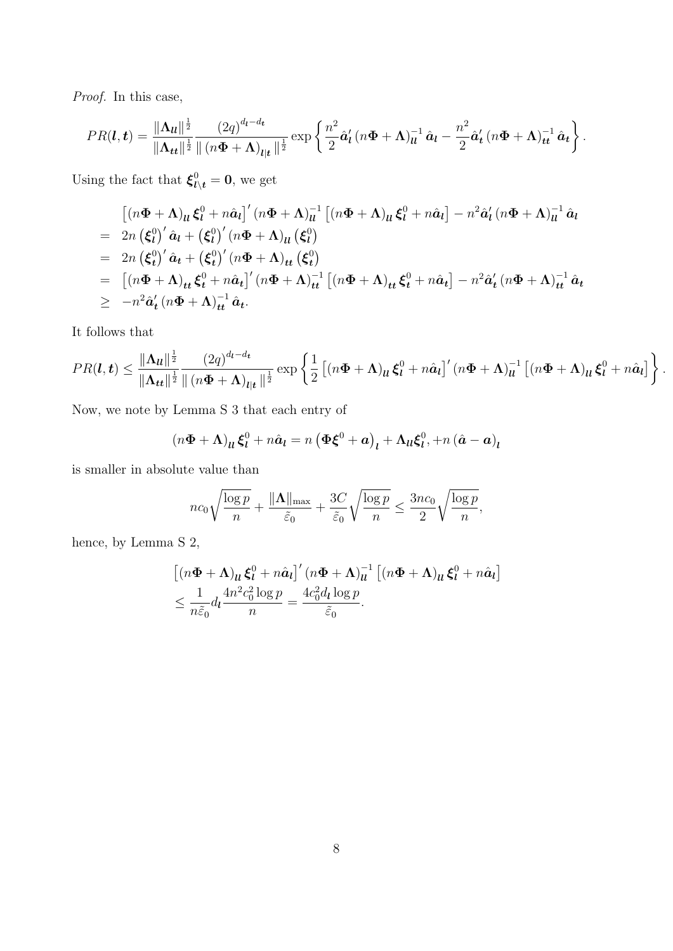Proof. In this case,

$$
PR(\boldsymbol{l},\boldsymbol{t}) = \frac{\|\boldsymbol{\Lambda}_{\boldsymbol{l}}\|^{\frac{1}{2}}}{\|\boldsymbol{\Lambda}_{\boldsymbol{t}\boldsymbol{t}}\|^{\frac{1}{2}}}\frac{(2q)^{d_{\boldsymbol{l}}-d_{\boldsymbol{t}}}}{\|(n\boldsymbol{\Phi}+\boldsymbol{\Lambda})_{\boldsymbol{l}|\boldsymbol{t}}\|^{\frac{1}{2}}} \exp\left\{\frac{n^2}{2}\hat{\boldsymbol{a}}_{\boldsymbol{l}}'(n\boldsymbol{\Phi}+\boldsymbol{\Lambda})_{\boldsymbol{l}}^{-1}\hat{\boldsymbol{a}}_{\boldsymbol{l}} - \frac{n^2}{2}\hat{\boldsymbol{a}}_{\boldsymbol{t}}'(n\boldsymbol{\Phi}+\boldsymbol{\Lambda})_{\boldsymbol{t}\boldsymbol{t}}^{-1}\hat{\boldsymbol{a}}_{\boldsymbol{t}}\right\}.
$$

Using the fact that  $\xi_{l\setminus t}^0 = 0$ , we get

$$
\begin{split}\n& \left[ (n\Phi + \Lambda)_{ll} \xi_l^0 + n\hat{a}_l \right]' (n\Phi + \Lambda)_{ll}^{-1} \left[ (n\Phi + \Lambda)_{ll} \xi_l^0 + n\hat{a}_l \right] - n^2 \hat{a}'_l (n\Phi + \Lambda)_{ll}^{-1} \hat{a}_l \\
&= 2n \left( \xi_l^0 \right)' \hat{a}_l + \left( \xi_l^0 \right)' (n\Phi + \Lambda)_{ll} \left( \xi_l^0 \right) \\
&= 2n \left( \xi_l^0 \right)' \hat{a}_t + \left( \xi_l^0 \right)' (n\Phi + \Lambda)_{tt} \left( \xi_l^0 \right) \\
&= \left[ (n\Phi + \Lambda)_{tt} \xi_t^0 + n\hat{a}_t \right]' (n\Phi + \Lambda)_{tt}^{-1} \left[ (n\Phi + \Lambda)_{tt} \xi_t^0 + n\hat{a}_t \right] - n^2 \hat{a}'_t (n\Phi + \Lambda)_{tt}^{-1} \hat{a}_t \\
&\geq -n^2 \hat{a}'_t (n\Phi + \Lambda)_{tt}^{-1} \hat{a}_t.\n\end{split}
$$

It follows that

$$
PR(\boldsymbol{l},\boldsymbol{t}) \leq \frac{\|\boldsymbol{\Lambda}_{\boldsymbol{l}}\|^{\frac{1}{2}}}{\|\boldsymbol{\Lambda}_{\boldsymbol{t}\boldsymbol{t}}\|^{\frac{1}{2}}}\frac{(2q)^{d_{\boldsymbol{l}}-d_{\boldsymbol{t}}}}{\|(n\boldsymbol{\Phi}+\boldsymbol{\Lambda})_{\boldsymbol{l}|\boldsymbol{t}}\|^{\frac{1}{2}}} \exp\left\{\frac{1}{2}\left[(n\boldsymbol{\Phi}+\boldsymbol{\Lambda})_{\boldsymbol{l}\boldsymbol{l}}\boldsymbol{\xi}_{\boldsymbol{l}}^{0}+n\hat{\boldsymbol{a}}_{\boldsymbol{l}}\right]'\left(n\boldsymbol{\Phi}+\boldsymbol{\Lambda}\right)_{\boldsymbol{l}\boldsymbol{l}}^{-1}\left[(n\boldsymbol{\Phi}+\boldsymbol{\Lambda})_{\boldsymbol{l}\boldsymbol{l}}\boldsymbol{\xi}_{\boldsymbol{l}}^{0}+n\hat{\boldsymbol{a}}_{\boldsymbol{l}}\right]\right\}.
$$

Now, we note by Lemma [S 3](#page-23-0) that each entry of

$$
(n\boldsymbol{\Phi} + \boldsymbol{\Lambda})_{ll}\boldsymbol{\xi}_l^0 + n\hat{\boldsymbol{a}}_l = n\left(\boldsymbol{\Phi}\boldsymbol{\xi}^0 + \boldsymbol{a}\right)_l + \boldsymbol{\Lambda}_{ll}\boldsymbol{\xi}_l^0, +n\left(\hat{\boldsymbol{a}} - \boldsymbol{a}\right)_l
$$

is smaller in absolute value than

$$
nc_0\sqrt{\frac{\log p}{n}} + \frac{\|\mathbf{\Lambda}\|_{\max}}{\tilde{\varepsilon}_0} + \frac{3C}{\tilde{\varepsilon}_0}\sqrt{\frac{\log p}{n}} \le \frac{3nc_0}{2}\sqrt{\frac{\log p}{n}},
$$

hence, by Lemma [S 2,](#page-22-0)

$$
\left[ (n\Phi + \Lambda)_{ll} \xi_l^0 + n\hat{a}_l \right]' (n\Phi + \Lambda)_{ll}^{-1} \left[ (n\Phi + \Lambda)_{ll} \xi_l^0 + n\hat{a}_l \right]
$$
  

$$
\leq \frac{1}{n\tilde{\varepsilon}_0} d_l \frac{4n^2 c_0^2 \log p}{n} = \frac{4c_0^2 d_l \log p}{\tilde{\varepsilon}_0}.
$$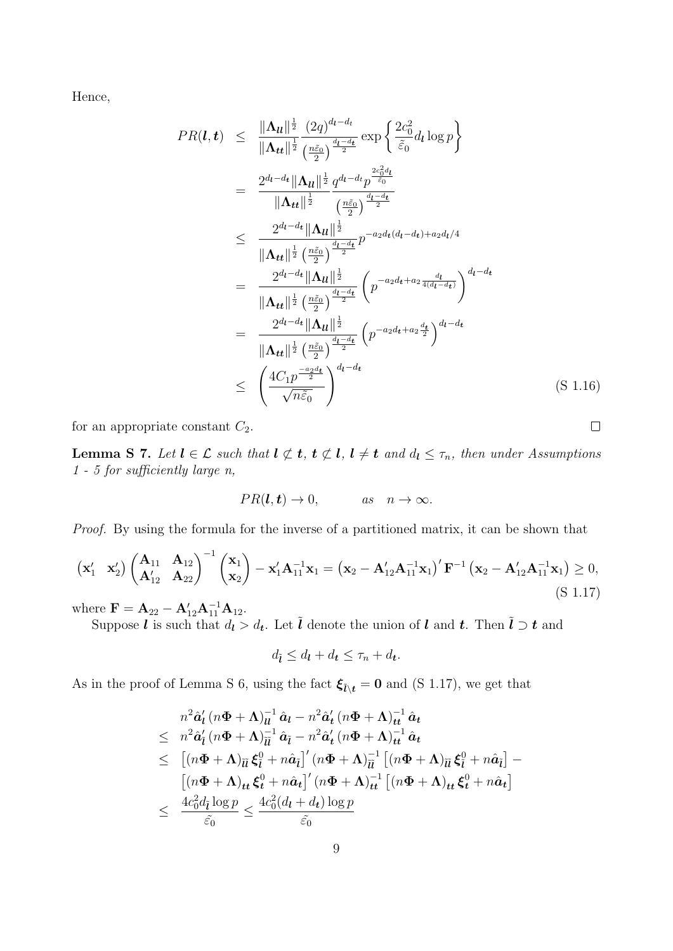Hence,

$$
PR(\boldsymbol{l}, \boldsymbol{t}) \leq \frac{\|\Lambda_{\boldsymbol{u}}\|_{2}^{\frac{1}{2}} (2q)^{d_{\boldsymbol{l}} - d_{\boldsymbol{t}}}}{\|\Lambda_{\boldsymbol{t}}\|_{2}^{\frac{1}{2}} \frac{(2q)^{d_{\boldsymbol{l}} - d_{\boldsymbol{t}}}}{(2q)^{\frac{d_{\boldsymbol{l}} - d_{\boldsymbol{t}}}{2}}}\exp\left\{\frac{2c_{0}^{2}d_{\boldsymbol{l}} \log p}{\tilde{\varepsilon}_{0}}\right\}
$$
\n
$$
= \frac{2^{d_{\boldsymbol{l}} - d_{\boldsymbol{t}}}\|\Lambda_{\boldsymbol{u}}\|_{2}^{\frac{1}{2}} q^{d_{\boldsymbol{l}} - d_{\boldsymbol{t}}} p^{\frac{2c_{0}^{2}d_{\boldsymbol{l}}}{\tilde{\varepsilon}_{0}}}}{\|\Lambda_{\boldsymbol{t}}\|_{2}^{\frac{1}{2}} \frac{(n\tilde{\varepsilon}_{0})}{2} \frac{d_{\boldsymbol{l}} - d_{\boldsymbol{t}}}{2}} p^{-a_{2}d_{\boldsymbol{t}}(d_{\boldsymbol{l}} - d_{\boldsymbol{t}}) + a_{2}d_{\boldsymbol{l}}/4}
$$
\n
$$
= \frac{2^{d_{\boldsymbol{l}} - d_{\boldsymbol{t}}}\|\Lambda_{\boldsymbol{u}}\|_{2}^{\frac{1}{2}} \left(\frac{n\tilde{\varepsilon}_{0}}{2}\right)^{\frac{d_{\boldsymbol{l}} - d_{\boldsymbol{t}}}{2}}}{\|\Lambda_{\boldsymbol{t}}\|_{2}^{\frac{1}{2}} \left(\frac{n\tilde{\varepsilon}_{0}}{2}\right)^{\frac{d_{\boldsymbol{l}} - d_{\boldsymbol{t}}}{2}} \left(p^{-a_{2}d_{\boldsymbol{t}} + a_{2} \frac{d_{\boldsymbol{l}}}{4(d_{\boldsymbol{l}} - d_{\boldsymbol{t}})}\right)^{d_{\boldsymbol{l}} - d_{\boldsymbol{t}}}}
$$
\n
$$
= \frac{2^{d_{\boldsymbol{l}} - d_{\boldsymbol{t}}}\|\Lambda_{\boldsymbol{u}}\|_{2}^{\frac{1}{2}}}{\|\Lambda_{\boldsymbol{t}}\|_{2}^{\frac{1}{2}} \left(\frac{n\tilde{\varepsilon}_{0}}{2}\right)^{\frac{d_{\boldsymbol{l}} - d_{\boldsymbol{t}}}{2}} \left(p^{-a_{2}d_{\boldsymbol{t}}
$$

for an appropriate constant  $C_2$ .

<span id="page-29-1"></span>**Lemma S 7.** Let  $l \in \mathcal{L}$  such that  $l \not\subset t$ ,  $t \not\subset l$ ,  $l \neq t$  and  $d_l \leq \tau_n$ , then under Assumptions [1](#page-11-0) - [5](#page-12-1) for sufficiently large n,

$$
PR(l, t) \rightarrow 0,
$$
 as  $n \rightarrow \infty.$ 

Proof. By using the formula for the inverse of a partitioned matrix, it can be shown that

<span id="page-29-0"></span>
$$
\begin{pmatrix} \mathbf{x}'_1 & \mathbf{x}'_2 \end{pmatrix} \begin{pmatrix} \mathbf{A}_{11} & \mathbf{A}_{12} \\ \mathbf{A}'_{12} & \mathbf{A}_{22} \end{pmatrix}^{-1} \begin{pmatrix} \mathbf{x}_1 \\ \mathbf{x}_2 \end{pmatrix} - \mathbf{x}'_1 \mathbf{A}_{11}^{-1} \mathbf{x}_1 = \left( \mathbf{x}_2 - \mathbf{A}'_{12} \mathbf{A}_{11}^{-1} \mathbf{x}_1 \right)' \mathbf{F}^{-1} \left( \mathbf{x}_2 - \mathbf{A}'_{12} \mathbf{A}_{11}^{-1} \mathbf{x}_1 \right) \ge 0, \tag{S 1.17}
$$

where  $\mathbf{F} = \mathbf{A}_{22} - \mathbf{A}_{12}' \mathbf{A}_{11}^{-1} \mathbf{A}_{12}$ .

Suppose *l* is such that  $d_l > d_t$ . Let  $\tilde{l}$  denote the union of *l* and *t*. Then  $\tilde{l} \supset t$  and

$$
d_{\tilde{l}} \leq d_{\boldsymbol{l}} + d_{\boldsymbol{t}} \leq \tau_n + d_{\boldsymbol{t}}.
$$

As in the proof of Lemma [S 6,](#page-27-0) using the fact  $\xi_{\tilde{l}\setminus t} = 0$  and [\(S 1.17\)](#page-29-0), we get that

$$
n^2 \hat{a}'_l (n\Phi + \Lambda)_{ll}^{-1} \hat{a}_l - n^2 \hat{a}'_l (n\Phi + \Lambda)_{tt}^{-1} \hat{a}_t
$$
  
\n
$$
\leq n^2 \hat{a}'_l (n\Phi + \Lambda)_{ll}^{-1} \hat{a}_l - n^2 \hat{a}'_l (n\Phi + \Lambda)_{tt}^{-1} \hat{a}_t
$$
  
\n
$$
\leq [(n\Phi + \Lambda)_{ll} \xi_l^0 + n\hat{a}_l]'(n\Phi + \Lambda)_{ll}^{-1} [(n\Phi + \Lambda)_{ll} \xi_l^0 + n\hat{a}_l] -
$$
  
\n
$$
[(n\Phi + \Lambda)_{tt} \xi_l^0 + n\hat{a}_t]' (n\Phi + \Lambda)_{tt}^{-1} [(n\Phi + \Lambda)_{tt} \xi_l^0 + n\hat{a}_t]
$$
  
\n
$$
\leq \frac{4c_0^2 d_l \log p}{\tilde{\varepsilon}_0} \leq \frac{4c_0^2 (d_l + d_t) \log p}{\tilde{\varepsilon}_0}
$$

 $\Box$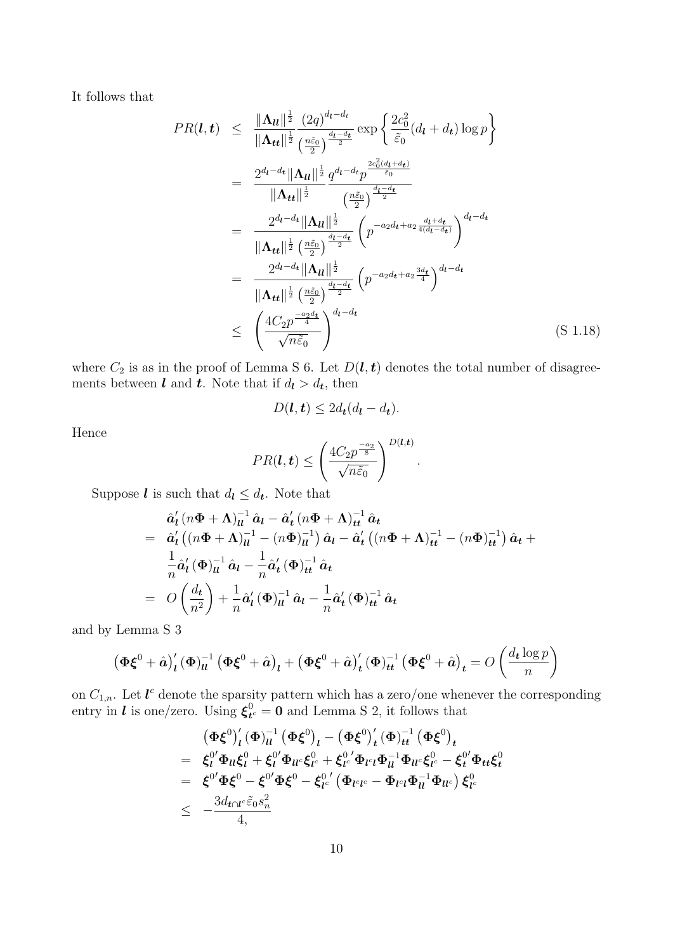It follows that

$$
PR(\boldsymbol{l}, \boldsymbol{t}) \leq \frac{\|\Lambda_{\boldsymbol{u}}\|^{\frac{1}{2}}}{\|\Lambda_{\boldsymbol{t}\boldsymbol{t}}\|^{\frac{1}{2}}}\frac{(2q)^{d_{\boldsymbol{l}}-d_{\boldsymbol{t}}}}{\binom{\frac{a\bar{c}_{0}}{2}}{2}}\exp\left\{\frac{2c_{0}^{2}}{\tilde{c}_{0}}(d_{\boldsymbol{l}}+d_{\boldsymbol{t}})\log p\right\}
$$
\n
$$
= \frac{2^{d_{\boldsymbol{l}}-d_{\boldsymbol{t}}}\|\Lambda_{\boldsymbol{u}}\|^{\frac{1}{2}}}{\|\Lambda_{\boldsymbol{t}\boldsymbol{t}}\|^{\frac{1}{2}}}\frac{q^{d_{\boldsymbol{l}}-d_{\boldsymbol{t}}}}{\binom{\frac{a\bar{c}_{0}}{2}}{\frac{d_{\boldsymbol{l}}-d_{\boldsymbol{t}}}{2}}}}{\|\Lambda_{\boldsymbol{t}\boldsymbol{t}}\|^{\frac{1}{2}}}\left(\frac{n\tilde{c}_{0}}{2}\right)^{\frac{d_{\boldsymbol{l}}-d_{\boldsymbol{t}}}{2}}}{\|\Lambda_{\boldsymbol{t}\boldsymbol{t}}\|^{\frac{1}{2}}}\frac{\left(n\tilde{c}_{0}\right)^{\frac{d_{\boldsymbol{l}}-d_{\boldsymbol{t}}}{2}}}{\binom{\frac{d_{\boldsymbol{l}}-d_{\boldsymbol{t}}}{2}d_{\boldsymbol{l}}+a_{2}\frac{d_{\boldsymbol{l}}+d_{\boldsymbol{t}}}{4(d_{\boldsymbol{l}}-d_{\boldsymbol{t}})}}}{\|\Lambda_{\boldsymbol{t}\boldsymbol{t}}\|^{\frac{1}{2}}}\frac{\left(n\tilde{c}_{0}\right)^{\frac{d_{\boldsymbol{l}}-d_{\boldsymbol{t}}}{2}}}{\binom{\frac{d_{\boldsymbol{l}}-d_{\boldsymbol{t}}}{2}d_{\boldsymbol{l}}+a_{2}\frac{3d_{\boldsymbol{t}}}{4}}{4}\right)^{d_{\boldsymbol{l}}-d_{\boldsymbol{t}}}}}{\|\Lambda_{\boldsymbol{t}\boldsymbol{t}}\|^{\frac{1}{2}}}\frac{\left(n\tilde{c}_{0}\right)^{\frac{d_{\boldsymbol{l}}-d_{\boldsymbol{t}}}{2}}}{\left(n\tilde{c}_{0}\right)^{\frac{d_{\boldsymbol{l}}-d_{\boldsymbol{t}}}{2}}}\left(n^{-a_{2}d_{\boldsymbol{t}}+a_{2}\frac{3d_{\boldsymbol{t}}}{
$$

.

where  $C_2$  is as in the proof of Lemma [S 6.](#page-27-0) Let  $D(l, t)$  denotes the total number of disagreements between **l** and **t**. Note that if  $d_l > d_t$ , then

$$
D(\boldsymbol{l}, \boldsymbol{t}) \leq 2d_{\boldsymbol{t}}(d_{\boldsymbol{l}} - d_{\boldsymbol{t}}).
$$

Hence

$$
PR(\boldsymbol{l}, \boldsymbol{t}) \le \left(\frac{4C_2 p^{\frac{-a_2}{8}}}{\sqrt{n\tilde{\varepsilon}_0}}\right)^{D(\boldsymbol{l}, \boldsymbol{t})}
$$

Suppose *l* is such that  $d_l \leq d_t$ . Note that

$$
\hat{a}'_l (n\Phi + \Lambda)_{ll}^{-1} \hat{a}_l - \hat{a}'_t (n\Phi + \Lambda)_{tt}^{-1} \hat{a}_t
$$
\n
$$
= \hat{a}'_l ( (n\Phi + \Lambda)_{ll}^{-1} - (n\Phi)_{ll}^{-1} ) \hat{a}_l - \hat{a}'_t ( (n\Phi + \Lambda)_{tt}^{-1} - (n\Phi)_{tt}^{-1} ) \hat{a}_t +
$$
\n
$$
\frac{1}{n} \hat{a}'_l (\Phi)_{ll}^{-1} \hat{a}_l - \frac{1}{n} \hat{a}'_t (\Phi)_{tt}^{-1} \hat{a}_t
$$
\n
$$
= O\left(\frac{d_t}{n^2}\right) + \frac{1}{n} \hat{a}'_l (\Phi)_{ll}^{-1} \hat{a}_l - \frac{1}{n} \hat{a}'_t (\Phi)_{tt}^{-1} \hat{a}_t
$$

and by Lemma [S 3](#page-23-0)

$$
\left(\Phi\xi^{0}+\hat{a}\right)_{l}^{\prime}\left(\Phi\right)_{ll}^{-1}\left(\Phi\xi^{0}+\hat{a}\right)_{l}+\left(\Phi\xi^{0}+\hat{a}\right)_{t}^{\prime}\left(\Phi\right)_{tt}^{-1}\left(\Phi\xi^{0}+\hat{a}\right)_{t}=O\left(\frac{d_{t}\log p}{n}\right)
$$

on  $C_{1,n}$ . Let  $\mathbf{l}^c$  denote the sparsity pattern which has a zero/one whenever the corresponding entry in *l* is one/zero. Using  $\xi_t^0$  $t_c = 0$  and Lemma [S 2,](#page-22-0) it follows that

$$
\begin{array}{lll} & \left(\Phi \xi^0\right)_l' \left(\Phi\right)_{ll}^{-1} \left(\Phi \xi^0\right)_l - \left(\Phi \xi^0\right)_t' \left(\Phi\right)_{tt}^{-1} \left(\Phi \xi^0\right)_t \\ = & \left.\xi_l^{0'}\Phi_{ll}\xi_l^0 + \xi_l^{0'}\Phi_{ll^c}\xi_{l^c}^0 + \xi_{l^c}^{0'}\Phi_{l^c l}\Phi_{ll}^{-1}\Phi_{ll^c}\xi_{l^c}^0 - \xi_l^{0'}\Phi_{tt}\xi_t^0 \right. \\ = & \left.\xi^{0'}\Phi \xi^0 - \xi^{0'}\Phi \xi^0 - \xi_{l^c}^{0'} \left(\Phi_{l^c l^c} - \Phi_{l^c l}\Phi_{ll}^{-1}\Phi_{ll^c}\right)\xi_{l^c}^0 \right. \\ \le & \left.-\frac{3d_{t\cap l^c}\tilde{\varepsilon}_0s_n^2}{4,}\right. \end{array}
$$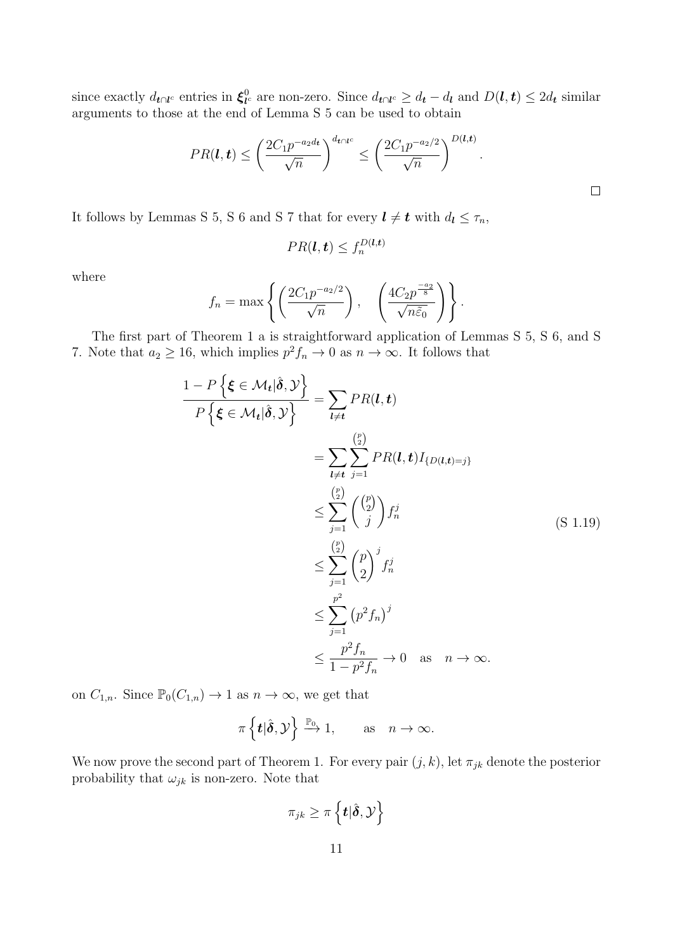since exactly  $d_{t\cap l^c}$  entries in  $\xi_{l'}^0$  $l_l^0$  are non-zero. Since  $d_{t\cap l^c} \geq d_t - d_l$  and  $D(l, t) \leq 2d_t$  similar arguments to those at the end of Lemma [S 5](#page-24-0) can be used to obtain

$$
PR(\boldsymbol{l},\boldsymbol{t}) \leq \left(\frac{2C_1p^{-a_2d_t}}{\sqrt{n}}\right)^{d_{\boldsymbol{t}\cap\boldsymbol{l}^c}} \leq \left(\frac{2C_1p^{-a_2/2}}{\sqrt{n}}\right)^{D(\boldsymbol{l},\boldsymbol{t})}.
$$

It follows by Lemmas [S 5,](#page-24-0) [S 6](#page-27-0) and [S 7](#page-29-1) that for every  $l \neq t$  with  $d_l \leq \tau_n$ ,

$$
PR(\boldsymbol{l}, \boldsymbol{t}) \le f_n^{D(\boldsymbol{l}, \boldsymbol{t})}
$$

where

$$
f_n = \max \left\{ \left( \frac{2C_1 p^{-a_2/2}}{\sqrt{n}} \right), \left( \frac{4C_2 p^{\frac{-a_2}{8}}}{\sqrt{n \tilde{\varepsilon}_0}} \right) \right\}.
$$

The first part of Theorem [1](#page-12-0) a is straightforward application of Lemmas [S 5,](#page-24-0) [S 6,](#page-27-0) and [S](#page-29-1) [7.](#page-29-1) Note that  $a_2 \geq 16$ , which implies  $p^2 f_n \to 0$  as  $n \to \infty$ . It follows that

$$
\frac{1-P\left\{\boldsymbol{\xi}\in\mathcal{M}_{t}|\hat{\boldsymbol{\delta}},\mathcal{Y}\right\}}{P\left\{\boldsymbol{\xi}\in\mathcal{M}_{t}|\hat{\boldsymbol{\delta}},\mathcal{Y}\right\}}=\sum_{l\neq t}PR(l,t)
$$
\n
$$
=\sum_{l\neq t}\sum_{j=1}^{\binom{p}{2}}PR(l,t)I_{\{D(l,t)=j\}}
$$
\n
$$
\leq \sum_{j=1}^{\binom{p}{2}}\binom{\binom{p}{2}}{j}f_{n}^{j}
$$
\n
$$
\leq \sum_{j=1}^{\binom{p}{2}}\binom{p}{2}^{j}f_{n}^{j}
$$
\n
$$
\leq \sum_{j=1}^{p^{2}}\binom{p}{2}^{j}f_{n}^{j}
$$
\n
$$
\leq \frac{p^{2}}{1-p^{2}}f_{n}^{j} \to 0 \text{ as } n \to \infty.
$$
\n(S 1.19)

on  $C_{1,n}$ . Since  $\mathbb{P}_0(C_{1,n}) \to 1$  as  $n \to \infty$ , we get that

$$
\pi\left\{\boldsymbol{t}|\hat{\boldsymbol{\delta}},\mathcal{Y}\right\}\xrightarrow{\mathbb{P}_{0}}1,\qquad\text{as}\quad n\to\infty.
$$

We now prove the second part of Theorem [1.](#page-12-0) For every pair  $(j, k)$ , let  $\pi_{jk}$  denote the posterior probability that  $\omega_{jk}$  is non-zero. Note that

$$
\pi_{jk} \geq \pi \left\{ \boldsymbol{t} | \hat{\boldsymbol{\delta}}, \mathcal{Y} \right\}
$$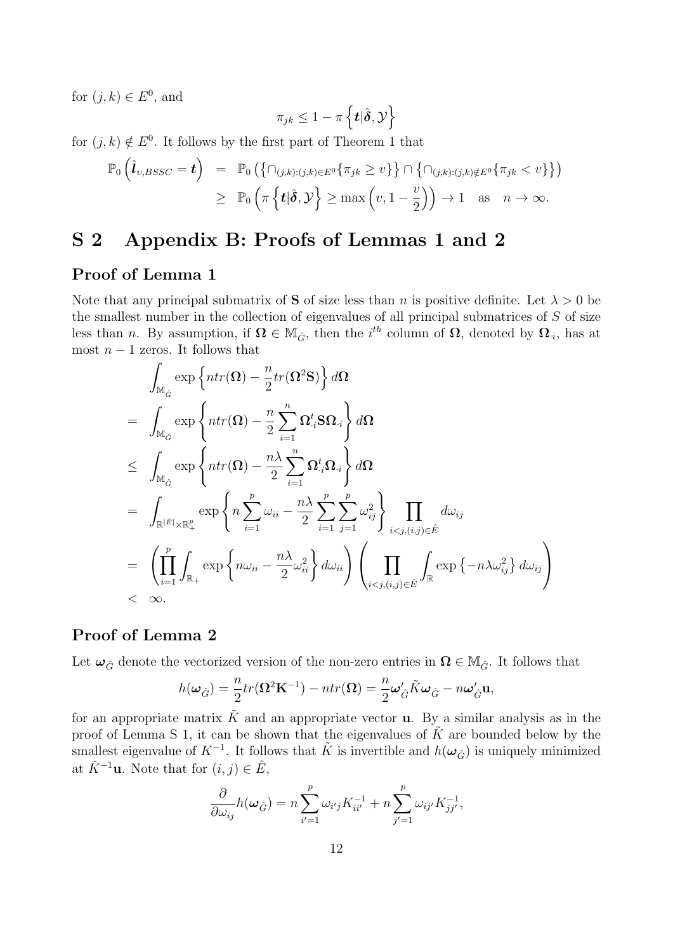for  $(j, k) \in E^0$ , and

$$
\pi_{jk} \leq 1 - \pi \left\{ \boldsymbol{t} | \hat{\boldsymbol{\delta}}, \mathcal{Y} \right\}
$$

for  $(j, k) \notin E^0$ . It follows by the first part of Theorem [1](#page-12-0) that

$$
\mathbb{P}_0\left(\hat{\boldsymbol{l}}_{v,BSSC}=\boldsymbol{t}\right) = \mathbb{P}_0\left(\left\{\cap_{(j,k):(j,k)\in E^0}\{\pi_{jk}\geq v\}\right\}\cap \left\{\cap_{(j,k):(j,k)\notin E^0}\{\pi_{jk}< v\}\right\}\right) \geq \mathbb{P}_0\left(\pi\left\{\boldsymbol{t}|\hat{\boldsymbol{\delta}},\mathcal{Y}\right\}\geq \max\left(v,1-\frac{v}{2}\right)\right)\to 1 \text{ as } n\to\infty.
$$

### S 2 Appendix B: Proofs of Lemmas 1 and 2

#### Proof of Lemma 1

Note that any principal submatrix of **S** of size less than n is positive definite. Let  $\lambda > 0$  be the smallest number in the collection of eigenvalues of all principal submatrices of  $S$  of size less than n. By assumption, if  $\Omega \in M_{\hat{G}}$ , then the *i*<sup>th</sup> column of  $\Omega$ , denoted by  $\Omega_{i}$ , has at most  $n-1$  zeros. It follows that

$$
\int_{\mathbb{M}_{\hat{G}}} \exp \left\{ ntr(\Omega) - \frac{n}{2} tr(\Omega^2 \mathbf{S}) \right\} d\Omega
$$
\n
$$
= \int_{\mathbb{M}_{\hat{G}}} \exp \left\{ ntr(\Omega) - \frac{n}{2} \sum_{i=1}^n \Omega_{\cdot i}^t \mathbf{S} \Omega_{\cdot i} \right\} d\Omega
$$
\n
$$
\leq \int_{\mathbb{M}_{\hat{G}}} \exp \left\{ ntr(\Omega) - \frac{n\lambda}{2} \sum_{i=1}^n \Omega_{\cdot i}^t \Omega_{\cdot i} \right\} d\Omega
$$
\n
$$
= \int_{\mathbb{R}^{|\hat{E}|} \times \mathbb{R}_{+}^p} \exp \left\{ n \sum_{i=1}^p \omega_{ii} - \frac{n\lambda}{2} \sum_{i=1}^p \sum_{j=1}^p \omega_{ij}^2 \right\} \prod_{i < j, (i,j) \in \hat{E}} d\omega_{ij}
$$
\n
$$
= \left( \prod_{i=1}^p \int_{\mathbb{R}_{+}} \exp \left\{ n \omega_{ii} - \frac{n\lambda}{2} \omega_{ii}^2 \right\} d\omega_{ii} \right) \left( \prod_{i < j, (i,j) \in \hat{E}} \int_{\mathbb{R}} \exp \left\{ -n \lambda \omega_{ij}^2 \right\} d\omega_{ij} \right)
$$
\n
$$
< \infty.
$$

#### Proof of Lemma 2

Let  $\omega_{\hat{G}}$  denote the vectorized version of the non-zero entries in  $\Omega \in M_{\hat{G}}$ . It follows that

$$
h(\omega_{\hat{G}}) = \frac{n}{2} tr(\Omega^2 \mathbf{K}^{-1}) - n tr(\Omega) = \frac{n}{2} \omega_{\hat{G}}' \tilde{K} \omega_{\hat{G}} - n \omega_{\hat{G}}' \mathbf{u},
$$

for an appropriate matrix  $\tilde{K}$  and an appropriate vector **u**. By a similar analysis as in the proof of Lemma [S 1,](#page-21-0) it can be shown that the eigenvalues of  $\tilde{K}$  are bounded below by the smallest eigenvalue of  $K^{-1}$ . It follows that  $\tilde{K}$  is invertible and  $h(\omega_{\hat{G}})$  is uniquely minimized at  $\tilde{K}^{-1}$ **u**. Note that for  $(i, j) \in \hat{E}$ ,

$$
\frac{\partial}{\partial \omega_{ij}} h(\boldsymbol{\omega}_{\hat{G}}) = n \sum_{i'=1}^p \omega_{i'j} K_{ii'}^{-1} + n \sum_{j'=1}^p \omega_{ij'} K_{jj'}^{-1},
$$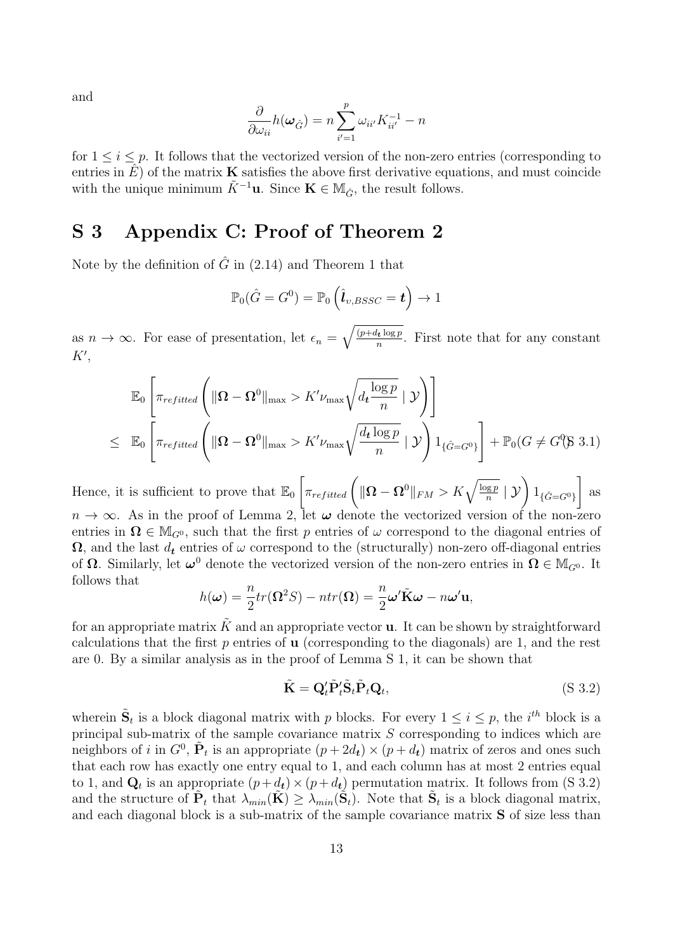and

$$
\frac{\partial}{\partial \omega_{ii}} h(\boldsymbol{\omega}_{\hat{G}}) = n \sum_{i'=1}^{p} \omega_{ii'} K_{ii'}^{-1} - n
$$

for  $1 \leq i \leq p$ . It follows that the vectorized version of the non-zero entries (corresponding to entries in  $\hat{E}$ ) of the matrix **K** satisfies the above first derivative equations, and must coincide with the unique minimum  $\tilde{K}^{-1}$ **u**. Since  $\mathbf{K} \in M_{\hat{G}}$ , the result follows.

### S 3 Appendix C: Proof of Theorem 2

Note by the definition of  $\hat{G}$  in [\(2.14\)](#page-6-1) and Theorem [1](#page-12-0) that

$$
\mathbb{P}_0(\hat{G}=G^0)=\mathbb{P}_0\left(\hat{\bm{l}}_{v,BSSC}=\bm{t}\right)\rightarrow 1
$$

as  $n \to \infty$ . For ease of presentation, let  $\epsilon_n = \sqrt{\frac{(p+d_t \log p)}{n}}$  $\frac{h_t \log p}{n}$ . First note that for any constant  $K',$ 

$$
\mathbb{E}_{0}\left[\pi_{refitted}\left(\|\Omega-\Omega^{0}\|_{\max}>K'\nu_{\max}\sqrt{d_{t}\frac{\log p}{n}}\mid\mathcal{Y}\right)\right]
$$
\n
$$
\leq \mathbb{E}_{0}\left[\pi_{refitted}\left(\|\Omega-\Omega^{0}\|_{\max}>K'\nu_{\max}\sqrt{\frac{d_{t}\log p}{n}}\mid\mathcal{Y}\right)\mathbb{1}_{\{\hat{G}=G^{0}\}}\right]+\mathbb{P}_{0}(G\neq G^{0}(3.1))
$$

Hence, it is sufficient to prove that  $\mathbb{E}_0 \left[ \pi_{refitted} \left( \|\mathbf{\Omega} - \mathbf{\Omega}^0\|_{FM} > K \sqrt{\frac{\log p}{n}} \mid \mathcal{Y} \right) \mathbb{1}_{\{\hat{G} = G^0\}} \right]$ 1 as  $n \to \infty$ . As in the proof of Lemma [2,](#page-8-0) let  $\omega$  denote the vectorized version of the non-zero entries in  $\Omega \in M_{G^0}$ , such that the first p entries of  $\omega$  correspond to the diagonal entries of  $\Omega$ , and the last  $d_t$  entries of  $\omega$  correspond to the (structurally) non-zero off-diagonal entries of  $\Omega$ . Similarly, let  $\omega^0$  denote the vectorized version of the non-zero entries in  $\Omega \in M_{G^0}$ . It follows that

$$
h(\boldsymbol{\omega}) = \frac{n}{2} tr(\Omega^2 S) - n tr(\Omega) = \frac{n}{2} \boldsymbol{\omega}' \tilde{\mathbf{K}} \boldsymbol{\omega} - n \boldsymbol{\omega}' \mathbf{u},
$$

for an appropriate matrix  $\tilde{K}$  and an appropriate vector **u**. It can be shown by straightforward calculations that the first  $p$  entries of **u** (corresponding to the diagonals) are 1, and the rest are 0. By a similar analysis as in the proof of Lemma [S 1,](#page-21-0) it can be shown that

$$
\tilde{\mathbf{K}} = \mathbf{Q}_t' \tilde{\mathbf{P}}_t' \tilde{\mathbf{S}}_t \tilde{\mathbf{P}}_t \mathbf{Q}_t, \tag{S 3.2}
$$

wherein  $\tilde{\mathbf{S}}_t$  is a block diagonal matrix with p blocks. For every  $1 \leq i \leq p$ , the *i*<sup>th</sup> block is a principal sub-matrix of the sample covariance matrix  $S$  corresponding to indices which are neighbors of i in  $G^0$ ,  $\tilde{\mathbf{P}}_t$  is an appropriate  $(p+2d_t) \times (p+d_t)$  matrix of zeros and ones such that each row has exactly one entry equal to 1, and each column has at most 2 entries equal to 1, and  $\mathbf{Q}_t$  is an appropriate  $(p+d_t) \times (p+d_t)$  permutation matrix. It follows from [\(S 3.2\)](#page-10-1) and the structure of  $\tilde{P}_t$  that  $\lambda_{min}(\tilde{K}) \geq \lambda_{min}(\tilde{S}_t)$ . Note that  $\tilde{S}_t$  is a block diagonal matrix, and each diagonal block is a sub-matrix of the sample covariance matrix S of size less than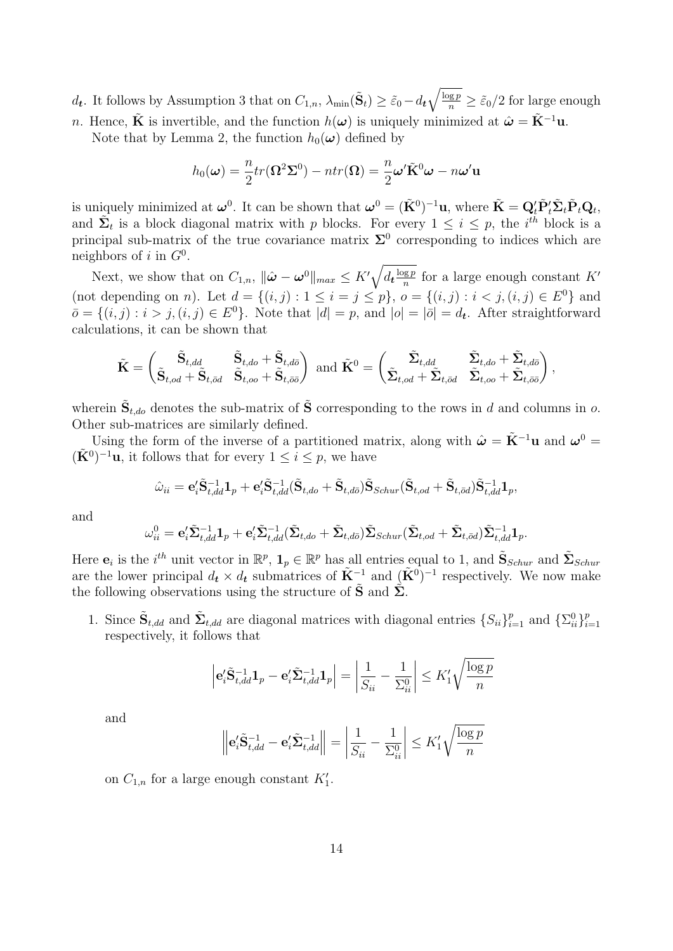$d_t$ . It follows by Assumption [3](#page-11-3) that on  $C_{1,n}$ ,  $\lambda_{\min}(\tilde{S}_t) \ge \tilde{\varepsilon}_0 - d_t \sqrt{\frac{\log p}{n}} \ge \tilde{\varepsilon}_0/2$  for large enough n. Hence,  $\tilde{\mathbf{K}}$  is invertible, and the function  $h(\boldsymbol{\omega})$  is uniquely minimized at  $\hat{\boldsymbol{\omega}} = \tilde{\mathbf{K}}^{-1}\mathbf{u}$ .

Note that by Lemma [2,](#page-8-0) the function  $h_0(\boldsymbol{\omega})$  defined by

$$
h_0(\boldsymbol{\omega}) = \frac{n}{2} tr(\Omega^2 \Sigma^0) - n tr(\Omega) = \frac{n}{2} \boldsymbol{\omega}' \tilde{\mathbf{K}}^0 \boldsymbol{\omega} - n \boldsymbol{\omega}' \mathbf{u}
$$

is uniquely minimized at  $\omega^0$ . It can be shown that  $\omega^0 = (\tilde{\mathbf{K}}^0)^{-1} \mathbf{u}$ , where  $\tilde{\mathbf{K}} = \mathbf{Q}_t' \tilde{\mathbf{P}}_t' \tilde{\mathbf{\Sigma}}_t \tilde{\mathbf{P}}_t \mathbf{Q}_t$ , and  $\tilde{\Sigma}_t$  is a block diagonal matrix with p blocks. For every  $1 \leq i \leq p$ , the  $i^{th}$  block is a principal sub-matrix of the true covariance matrix  $\Sigma^0$  corresponding to indices which are neighbors of i in  $G^0$ .

Next, we show that on  $C_{1,n}$ ,  $\|\hat{\boldsymbol{\omega}} - \boldsymbol{\omega}^0\|_{max} \leq K' \sqrt{d_t \frac{\log p}{n}}$  $\frac{ngp}{n}$  for a large enough constant  $K'$ (not depending on *n*). Let  $d = \{(i, j) : 1 \le i = j \le p\}$ ,  $o = \{(i, j) : i < j, (i, j) \in E^0\}$  and  $\bar{o} = \{(i, j) : i > j, (i, j) \in E^0\}$ . Note that  $|d| = p$ , and  $|o| = |\bar{o}| = d_t$ . After straightforward calculations, it can be shown that

$$
\tilde{\mathbf{K}} = \begin{pmatrix} \tilde{\mathbf{S}}_{t,dd} & \tilde{\mathbf{S}}_{t,do} + \tilde{\mathbf{S}}_{t,do} \\ \tilde{\mathbf{S}}_{t,od} + \tilde{\mathbf{S}}_{t,od} & \tilde{\mathbf{S}}_{t,oo} + \tilde{\mathbf{S}}_{t, \bar{o}\bar{o}} \end{pmatrix} \text{ and } \tilde{\mathbf{K}}^0 = \begin{pmatrix} \tilde{\Sigma}_{t,dd} & \tilde{\Sigma}_{t,do} + \tilde{\Sigma}_{t,do} \\ \tilde{\Sigma}_{t,od} + \tilde{\Sigma}_{t, \bar{o}\bar{o}} & \tilde{\Sigma}_{t,oo} + \tilde{\Sigma}_{t, \bar{o}\bar{o}} \end{pmatrix},
$$

wherein  $\tilde{\mathbf{S}}_{t,do}$  denotes the sub-matrix of  $\tilde{\mathbf{S}}$  corresponding to the rows in d and columns in o. Other sub-matrices are similarly defined.

Using the form of the inverse of a partitioned matrix, along with  $\hat{\boldsymbol{\omega}} = \tilde{\mathbf{K}}^{-1} \mathbf{u}$  and  $\boldsymbol{\omega}^0 =$  $(\tilde{\mathbf{K}}^0)^{-1}\mathbf{u}$ , it follows that for every  $1 \leq i \leq p$ , we have

$$
\hat{\omega}_{ii} = \mathbf{e}_i' \tilde{\mathbf{S}}_{t,dd}^{-1} \mathbf{1}_p + \mathbf{e}_i' \tilde{\mathbf{S}}_{t,dd}^{-1} (\tilde{\mathbf{S}}_{t,do} + \tilde{\mathbf{S}}_{t,do}) \tilde{\mathbf{S}}_{Schur} (\tilde{\mathbf{S}}_{t,od} + \tilde{\mathbf{S}}_{t,od}) \tilde{\mathbf{S}}_{t,dd}^{-1} \mathbf{1}_p,
$$

and

$$
\omega_{ii}^0 = \mathbf{e}_i' \tilde{\mathbf{\Sigma}}_{t,dd}^{-1} \mathbf{1}_p + \mathbf{e}_i' \tilde{\mathbf{\Sigma}}_{t,dd}^{-1} (\tilde{\mathbf{\Sigma}}_{t,do} + \tilde{\mathbf{\Sigma}}_{t,do}) \tilde{\mathbf{\Sigma}}_{Schur} (\tilde{\mathbf{\Sigma}}_{t,od} + \tilde{\mathbf{\Sigma}}_{t,od}) \tilde{\mathbf{\Sigma}}_{t,dd}^{-1} \mathbf{1}_p.
$$

Here  $e_i$  is the *i*<sup>th</sup> unit vector in  $\mathbb{R}^p$ ,  $\mathbf{1}_p \in \mathbb{R}^p$  has all entries equal to 1, and  $\tilde{\mathbf{S}}_{Schur}$  and  $\tilde{\mathbf{\Sigma}}_{Schur}$ are the lower principal  $d_t \times d_t$  submatrices of  $\tilde{K}^{-1}$  and  $(\tilde{K}^0)^{-1}$  respectively. We now make the following observations using the structure of  $\tilde{\mathbf{S}}$  and  $\tilde{\mathbf{\Sigma}}$ .

1. Since  $\tilde{\mathbf{S}}_{t,dd}$  and  $\tilde{\mathbf{\Sigma}}_{t,dd}$  are diagonal matrices with diagonal entries  $\{S_{ii}\}_{i=1}^p$  and  $\{\Sigma_{ii}^0\}_{i=1}^p$  $i=1$ respectively, it follows that

$$
\left|\mathbf{e}_{i}^{\prime}\tilde{\mathbf{S}}_{t,dd}^{-1}\mathbf{1}_{p}-\mathbf{e}_{i}^{\prime}\tilde{\mathbf{\Sigma}}_{t,dd}^{-1}\mathbf{1}_{p}\right|=\left|\frac{1}{S_{ii}}-\frac{1}{\Sigma_{ii}^{0}}\right|\leq K_{1}^{\prime}\sqrt{\frac{\log p}{n}}
$$

and

$$
\left\| \mathbf{e}_{i}^{\prime} \tilde{\mathbf{S}}_{t,dd}^{-1} - \mathbf{e}_{i}^{\prime} \tilde{\mathbf{\Sigma}}_{t,dd}^{-1} \right\| = \left| \frac{1}{S_{ii}} - \frac{1}{\Sigma_{ii}^{0}} \right| \leq K_{1}^{\prime} \sqrt{\frac{\log p}{n}}
$$

on  $C_{1,n}$  for a large enough constant  $K_1'$ .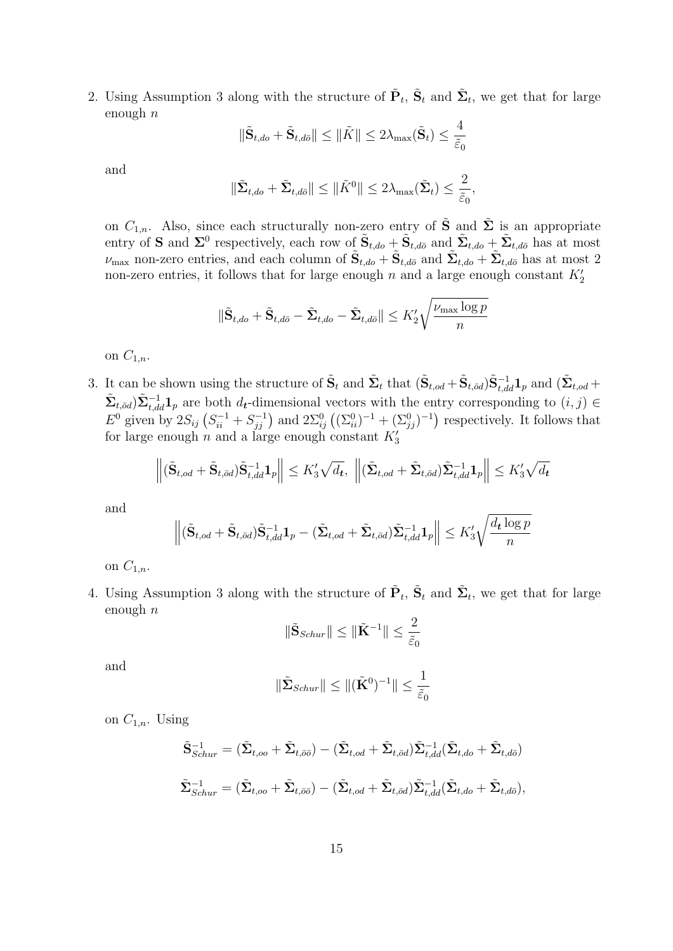2. Using Assumption [3](#page-11-3) along with the structure of  $\tilde{P}_t$ ,  $\tilde{S}_t$  and  $\tilde{\Sigma}_t$ , we get that for large enough  $n$ 

$$
\|\tilde{\mathbf{S}}_{t,do} + \tilde{\mathbf{S}}_{t,d\bar{o}}\| \le \|\tilde{K}\| \le 2\lambda_{\max}(\tilde{\mathbf{S}}_t) \le \frac{4}{\tilde{\varepsilon}_0}
$$

and

$$
\|\tilde{\Sigma}_{t,do} + \tilde{\Sigma}_{t,d\bar{o}}\| \le \|\tilde{K}^0\| \le 2\lambda_{\max}(\tilde{\Sigma}_t) \le \frac{2}{\tilde{\varepsilon}_0},
$$

on  $C_{1,n}$ . Also, since each structurally non-zero entry of  $\tilde{S}$  and  $\tilde{\Sigma}$  is an appropriate entry of **S** and  $\Sigma^0$  respectively, each row of  $\tilde{\mathbf{S}}_{t,do} + \tilde{\mathbf{S}}_{t,d\bar{o}}$  and  $\tilde{\Sigma}_{t,do} + \tilde{\Sigma}_{t,d\bar{o}}$  has at most  $\nu_{\text{max}}$  non-zero entries, and each column of  $\tilde{\mathbf{S}}_{t,do} + \tilde{\mathbf{S}}_{t,do}$  and  $\tilde{\mathbf{\Sigma}}_{t,do} + \tilde{\mathbf{\Sigma}}_{t,d\bar{o}}$  has at most 2 non-zero entries, it follows that for large enough  $n$  and a large enough constant  $K_2'$ 

$$
\|\tilde{\mathbf{S}}_{t,do} + \tilde{\mathbf{S}}_{t,d\bar{o}} - \tilde{\mathbf{\Sigma}}_{t,do} - \tilde{\mathbf{\Sigma}}_{t,d\bar{o}}\| \leq K_2' \sqrt{\frac{\nu_{\max} \log p}{n}}
$$

on  $C_{1,n}$ .

3. It can be shown using the structure of  $\tilde{S}_t$  and  $\tilde{\Sigma}_t$  that  $(\tilde{S}_{t,od} + \tilde{S}_{t,dd})\tilde{S}_{t,dd}^{-1}\mathbf{1}_p$  and  $(\tilde{\Sigma}_{t,od} + \tilde{S}_{t,dd})\tilde{S}_{t,dd}^{-1}\mathbf{1}_p$  $\tilde{\Sigma}_{t,\bar{v}d}$ ) $\tilde{\Sigma}_{t,dd}^{-1}$  are both  $d_t$ -dimensional vectors with the entry corresponding to  $(i, j) \in$  $E^0$  given by  $2S_{ij}$   $(S_{ii}^{-1} + S_{jj}^{-1})$  and  $2\Sigma_{ij}^0$   $((\Sigma_{ii}^0)^{-1} + (\Sigma_{jj}^0)^{-1})$  respectively. It follows that for large enough  $n$  and a large enough constant  $K_3$ 

$$
\left\| (\tilde{\mathbf{S}}_{t,od} + \tilde{\mathbf{S}}_{t,\bar{od}}) \tilde{\mathbf{S}}_{t,dd}^{-1} \mathbf{1}_p \right\| \leq K_3' \sqrt{d_t}, \, \left\| (\tilde{\mathbf{\Sigma}}_{t,od} + \tilde{\mathbf{\Sigma}}_{t,\bar{od}}) \tilde{\mathbf{\Sigma}}_{t,dd}^{-1} \mathbf{1}_p \right\| \leq K_3' \sqrt{d_t}
$$

and

$$
\left\| (\tilde{\mathbf{S}}_{t,od} + \tilde{\mathbf{S}}_{t,\bar{od}}) \tilde{\mathbf{S}}_{t,dd}^{-1} \mathbf{1}_p - (\tilde{\Sigma}_{t,od} + \tilde{\Sigma}_{t,\bar{od}}) \tilde{\Sigma}_{t,dd}^{-1} \mathbf{1}_p \right\| \leq K_3' \sqrt{\frac{d_t \log p}{n}}
$$

on  $C_{1,n}$ .

4. Using Assumption [3](#page-11-3) along with the structure of  $\tilde{P}_t$ ,  $\tilde{S}_t$  and  $\tilde{\Sigma}_t$ , we get that for large enough  $n$ 

$$
\|\tilde{\mathbf{S}}_{Schur}\| \le \|\tilde{\mathbf{K}}^{-1}\| \le \frac{2}{\tilde{\varepsilon}_0}
$$

and

$$
\|\tilde{\boldsymbol{\Sigma}}_{Schur}\| \leq \|(\tilde{\mathbf{K}}^0)^{-1}\| \leq \frac{1}{\tilde{\varepsilon}_0}
$$

on  $C_{1,n}$ . Using

$$
\tilde{\mathbf{S}}_{Schur}^{-1} = (\tilde{\Sigma}_{t,oo} + \tilde{\Sigma}_{t,\bar{o}\bar{o}}) - (\tilde{\Sigma}_{t,od} + \tilde{\Sigma}_{t,\bar{o}d})\tilde{\Sigma}_{t,dd}^{-1}(\tilde{\Sigma}_{t,do} + \tilde{\Sigma}_{t,d\bar{o}})
$$
  

$$
\tilde{\Sigma}_{Schur}^{-1} = (\tilde{\Sigma}_{t,oo} + \tilde{\Sigma}_{t,\bar{o}\bar{o}}) - (\tilde{\Sigma}_{t,od} + \tilde{\Sigma}_{t,\bar{o}d})\tilde{\Sigma}_{t,dd}^{-1}(\tilde{\Sigma}_{t,do} + \tilde{\Sigma}_{t,d\bar{o}}),
$$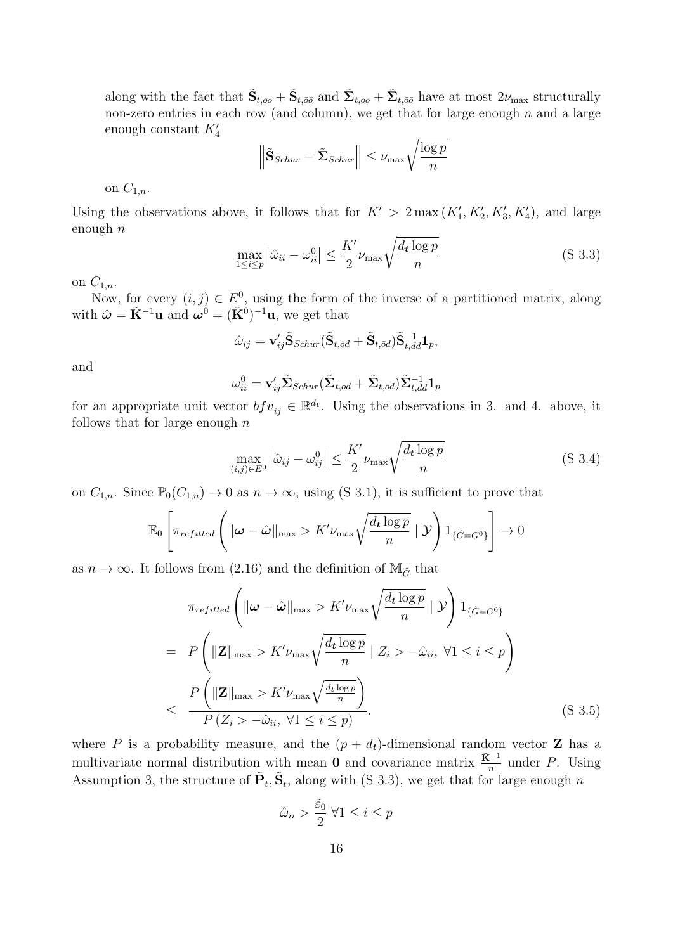along with the fact that  $\tilde{\mathbf{S}}_{t,oo} + \tilde{\mathbf{S}}_{t,\bar{o}\bar{o}}$  and  $\tilde{\mathbf{\Sigma}}_{t,oo} + \tilde{\mathbf{\Sigma}}_{t,\bar{o}\bar{o}}$  have at most  $2\nu_{\text{max}}$  structurally non-zero entries in each row (and column), we get that for large enough  $n$  and a large enough constant  $K_4'$ 

$$
\left\|\tilde{\mathbf{S}}_{Schur} - \tilde{\mathbf{\Sigma}}_{Schur}\right\| \leq \nu_{\max} \sqrt{\frac{\log p}{n}}
$$

on  $C_{1,n}$ .

Using the observations above, it follows that for  $K' > 2 \max(K'_1, K'_2, K'_3, K'_4)$ , and large enough  $n$ 

$$
\max_{1 \le i \le p} |\hat{\omega}_{ii} - \omega_{ii}^0| \le \frac{K'}{2} \nu_{\text{max}} \sqrt{\frac{d_t \log p}{n}} \tag{S 3.3}
$$

on  $C_{1,n}$ .

Now, for every  $(i, j) \in E^0$ , using the form of the inverse of a partitioned matrix, along with  $\hat{\boldsymbol{\omega}} = \tilde{\mathbf{K}}^{-1} \mathbf{u}$  and  $\hat{\boldsymbol{\omega}}^{0} = (\tilde{\mathbf{K}}^{0})^{-1} \mathbf{u}$ , we get that

$$
\hat{\omega}_{ij} = \mathbf{v}_{ij}'\tilde{\mathbf{S}}_{Schur}(\tilde{\mathbf{S}}_{t,od} + \tilde{\mathbf{S}}_{t, \bar{o}d})\tilde{\mathbf{S}}_{t,dd}^{-1}\mathbf{1}_p,
$$

and

$$
\omega_{ii}^0 = \mathbf{v}_{ij}' \tilde{\mathbf{\Sigma}}_{Schur} (\tilde{\mathbf{\Sigma}}_{t,od} + \tilde{\mathbf{\Sigma}}_{t,\bar{o}d}) \tilde{\mathbf{\Sigma}}_{t,dd}^{-1} \mathbf{1}_p
$$

for an appropriate unit vector  $bf_{ij} \in \mathbb{R}^{d_t}$ . Using the observations in 3. and 4. above, it follows that for large enough  $n$ 

$$
\max_{(i,j)\in E^0} |\hat{\omega}_{ij} - \omega_{ij}^0| \le \frac{K'}{2} \nu_{\text{max}} \sqrt{\frac{d_t \log p}{n}}
$$
 (S.3.4)

on  $C_{1,n}$ . Since  $\mathbb{P}_0(C_{1,n}) \to 0$  as  $n \to \infty$ , using [\(S 3.1\)](#page-10-0), it is sufficient to prove that

$$
\mathbb{E}_0\left[\pi_{refitted}\left(\|\boldsymbol{\omega}-\hat{\boldsymbol{\omega}}\|_{\max} > K'\nu_{\max}\sqrt{\frac{d_t\log p}{n}}\mid \mathcal{Y}\right)\mathbb{1}_{\{\hat{G}=G^0\}}\right] \to 0
$$

as  $n \to \infty$ . It follows from [\(2.16\)](#page-7-1) and the definition of  $\mathbb{M}_{\hat{G}}$  that

$$
\pi_{refitted} \left( \|\boldsymbol{\omega} - \hat{\boldsymbol{\omega}}\|_{\max} > K' \nu_{\max} \sqrt{\frac{d_t \log p}{n}} \mid \mathcal{Y} \right) 1_{\{\hat{G} = G^0\}}
$$
\n
$$
= P \left( \|\mathbf{Z}\|_{\max} > K' \nu_{\max} \sqrt{\frac{d_t \log p}{n}} \mid Z_i > -\hat{\omega}_{ii}, \ \forall 1 \leq i \leq p \right)
$$
\n
$$
\leq \frac{P \left( \|\mathbf{Z}\|_{\max} > K' \nu_{\max} \sqrt{\frac{d_t \log p}{n}} \right)}{P \left( Z_i > -\hat{\omega}_{ii}, \ \forall 1 \leq i \leq p \right)}.
$$
\n(S 3.5)

where P is a probability measure, and the  $(p + d_t)$ -dimensional random vector Z has a multivariate normal distribution with mean **0** and covariance matrix  $\frac{\tilde{\mathbf{K}}^{-1}}{n}$  under P. Using Assumption [3,](#page-11-3) the structure of  $\tilde{P}_t$ ,  $\tilde{S}_t$ , along with [\(S 3.3\)](#page-10-2), we get that for large enough n

$$
\hat{\omega}_{ii} > \frac{\tilde{\varepsilon}_0}{2} \ \forall 1 \leq i \leq p
$$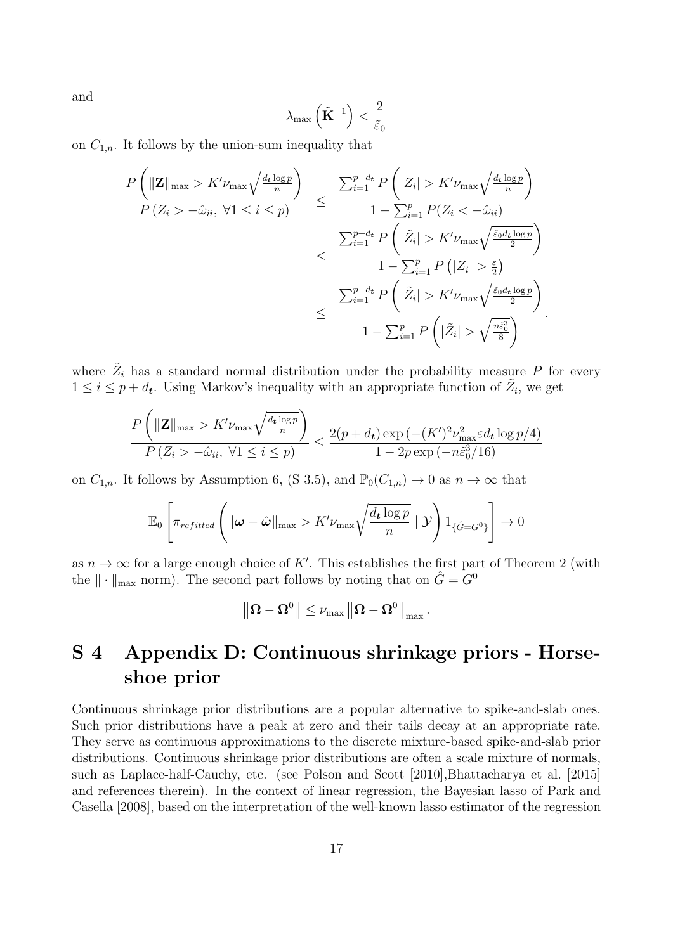and

$$
\lambda_{\max}\left(\tilde{\mathbf{K}}^{-1}\right) < \frac{2}{\tilde{\varepsilon}_0}
$$

on  $C_{1,n}$ . It follows by the union-sum inequality that

$$
\frac{P\left(\|\mathbf{Z}\|_{\max} > K'\nu_{\max}\sqrt{\frac{d_t \log p}{n}}\right)}{P\left(Z_i > -\hat{\omega}_{ii}, \forall 1 \leq i \leq p\right)} \leq \frac{\sum_{i=1}^{p+d_t} P\left(|Z_i| > K'\nu_{\max}\sqrt{\frac{d_t \log p}{n}}\right)}{1 - \sum_{i=1}^p P\left(Z_i < -\hat{\omega}_{ii}\right)}
$$
\n
$$
\leq \frac{\sum_{i=1}^{p+d_t} P\left(|\tilde{Z}_i| > K'\nu_{\max}\sqrt{\frac{\tilde{\varepsilon}_0 d_t \log p}{2}}\right)}{1 - \sum_{i=1}^p P\left(|Z_i| > \frac{\varepsilon}{2}\right)}
$$
\n
$$
\leq \frac{\sum_{i=1}^{p+d_t} P\left(|\tilde{Z}_i| > K'\nu_{\max}\sqrt{\frac{\tilde{\varepsilon}_0 d_t \log p}{2}}\right)}{1 - \sum_{i=1}^p P\left(|\tilde{Z}_i| > \sqrt{\frac{n\tilde{\varepsilon}_0^3}{8}}\right)}.
$$

where  $\tilde{Z}_i$  has a standard normal distribution under the probability measure P for every  $1 \leq i \leq p+d_t$ . Using Markov's inequality with an appropriate function of  $\tilde{Z}_i$ , we get

$$
\frac{P\left(\|\mathbf{Z}\|_{\max} > K'\nu_{\max}\sqrt{\frac{d_t \log p}{n}}\right)}{P\left(Z_i > -\hat{\omega}_{ii}, \ \forall 1 \le i \le p\right)} \le \frac{2(p+d_t)\exp\left(-(K')^2\nu_{\max}^2 \varepsilon d_t \log p/4\right)}{1 - 2p\exp\left(-n\tilde{\varepsilon}_0^3/16\right)}
$$

on  $C_{1,n}$ . It follows by Assumption [6,](#page-12-2) [\(S 3.5\)](#page-11-4), and  $\mathbb{P}_0(C_{1,n}) \to 0$  as  $n \to \infty$  that

$$
\mathbb{E}_0\left[\pi_{refitted}\left(\|\boldsymbol{\omega}-\hat{\boldsymbol{\omega}}\|_{\max} > K'\nu_{\max}\sqrt{\frac{d_t\log p}{n}}\mid \mathcal{Y}\right)\mathbb{1}_{\{\hat{G}=G^0\}}\right] \to 0
$$

as  $n \to \infty$  for a large enough choice of K'. This establishes the first part of Theorem [2](#page-13-1) (with the  $\|\cdot\|_{\max}$  norm). The second part follows by noting that on  $\hat{G}=G^0$ 

$$
\left\Vert \boldsymbol{\Omega}-\boldsymbol{\Omega}^{0}\right\Vert \leq\nu_{\max}\left\Vert \boldsymbol{\Omega}-\boldsymbol{\Omega}^{0}\right\Vert _{\max}
$$

.

## S 4 Appendix D: Continuous shrinkage priors - Horseshoe prior

Continuous shrinkage prior distributions are a popular alternative to spike-and-slab ones. Such prior distributions have a peak at zero and their tails decay at an appropriate rate. They serve as continuous approximations to the discrete mixture-based spike-and-slab prior distributions. Continuous shrinkage prior distributions are often a scale mixture of normals, such as Laplace-half-Cauchy, etc. (see [Polson and Scott \[2010\]](#page-20-12)[,Bhattacharya et al. \[2015\]](#page-18-4) and references therein). In the context of linear regression, the Bayesian lasso of [Park and](#page-20-5) [Casella \[2008\]](#page-20-5), based on the interpretation of the well-known lasso estimator of the regression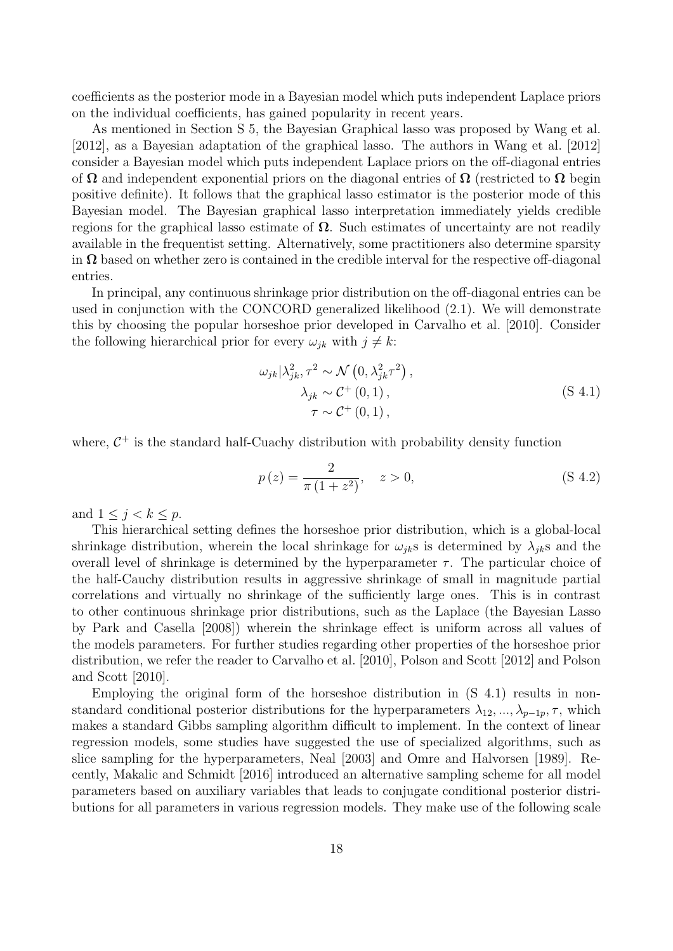coefficients as the posterior mode in a Bayesian model which puts independent Laplace priors on the individual coefficients, has gained popularity in recent years.

As mentioned in Section [S 5,](#page-40-0) the Bayesian Graphical lasso was proposed by [Wang et al.](#page-20-3) [\[2012\]](#page-20-3), as a Bayesian adaptation of the graphical lasso. The authors in [Wang et al. \[2012\]](#page-20-3) consider a Bayesian model which puts independent Laplace priors on the off-diagonal entries of  $\Omega$  and independent exponential priors on the diagonal entries of  $\Omega$  (restricted to  $\Omega$  begin positive definite). It follows that the graphical lasso estimator is the posterior mode of this Bayesian model. The Bayesian graphical lasso interpretation immediately yields credible regions for the graphical lasso estimate of  $\Omega$ . Such estimates of uncertainty are not readily available in the frequentist setting. Alternatively, some practitioners also determine sparsity in  $\Omega$  based on whether zero is contained in the credible interval for the respective off-diagonal entries.

In principal, any continuous shrinkage prior distribution on the off-diagonal entries can be used in conjunction with the CONCORD generalized likelihood [\(2.1\)](#page-2-2). We will demonstrate this by choosing the popular horseshoe prior developed in [Carvalho et al. \[2010\]](#page-19-12). Consider the following hierarchical prior for every  $\omega_{ik}$  with  $j \neq k$ :

$$
\omega_{jk} |\lambda_{jk}^2, \tau^2 \sim \mathcal{N}\left(0, \lambda_{jk}^2 \tau^2\right),
$$
  
\n
$$
\lambda_{jk} \sim \mathcal{C}^+\left(0, 1\right),
$$
  
\n
$$
\tau \sim \mathcal{C}^+\left(0, 1\right),
$$
\n(S 4.1)

where,  $C^+$  is the standard half-Cuachy distribution with probability density function

$$
p(z) = \frac{2}{\pi (1 + z^2)}, \quad z > 0,
$$
 (S 4.2)

and  $1 \leq j < k \leq p$ .

This hierarchical setting defines the horseshoe prior distribution, which is a global-local shrinkage distribution, wherein the local shrinkage for  $\omega_{ik}$ s is determined by  $\lambda_{ik}$ s and the overall level of shrinkage is determined by the hyperparameter  $\tau$ . The particular choice of the half-Cauchy distribution results in aggressive shrinkage of small in magnitude partial correlations and virtually no shrinkage of the sufficiently large ones. This is in contrast to other continuous shrinkage prior distributions, such as the Laplace (the Bayesian Lasso by [Park and Casella \[2008\]](#page-20-5)) wherein the shrinkage effect is uniform across all values of the models parameters. For further studies regarding other properties of the horseshoe prior distribution, we refer the reader to [Carvalho et al. \[2010\]](#page-19-12), [Polson and Scott \[2012\]](#page-20-13) and [Polson](#page-20-12) [and Scott \[2010\]](#page-20-12).

Employing the original form of the horseshoe distribution in [\(S 4.1\)](#page-15-1) results in nonstandard conditional posterior distributions for the hyperparameters  $\lambda_{12}, ..., \lambda_{p-1p}, \tau$ , which makes a standard Gibbs sampling algorithm difficult to implement. In the context of linear regression models, some studies have suggested the use of specialized algorithms, such as slice sampling for the hyperparameters, [Neal \[2003\]](#page-19-13) and [Omre and Halvorsen \[1989\]](#page-19-14). Recently, [Makalic and Schmidt \[2016\]](#page-19-15) introduced an alternative sampling scheme for all model parameters based on auxiliary variables that leads to conjugate conditional posterior distributions for all parameters in various regression models. They make use of the following scale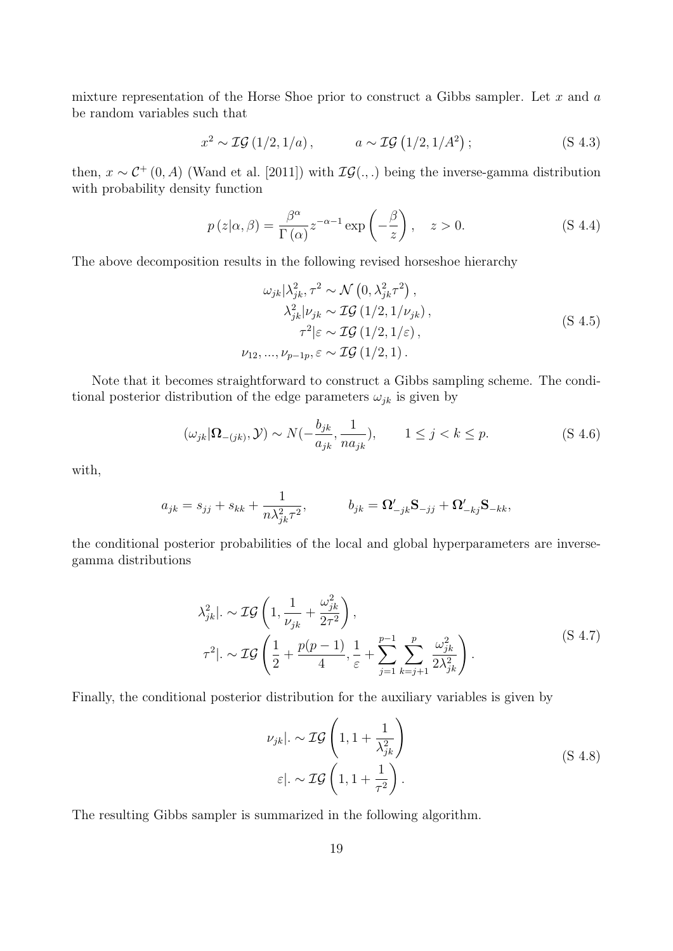mixture representation of the Horse Shoe prior to construct a Gibbs sampler. Let  $x$  and  $a$ be random variables such that

$$
x^2 \sim \mathcal{IG}\left(1/2, 1/a\right), \qquad a \sim \mathcal{IG}\left(1/2, 1/A^2\right); \qquad (S\ 4.3)
$$

then,  $x \sim C^+(0, A)$  [\(Wand et al. \[2011\]](#page-20-14)) with  $\mathcal{IG}(.,.)$  being the inverse-gamma distribution with probability density function

$$
p(z|\alpha, \beta) = \frac{\beta^{\alpha}}{\Gamma(\alpha)} z^{-\alpha - 1} \exp\left(-\frac{\beta}{z}\right), \quad z > 0.
$$
 (S 4.4)

The above decomposition results in the following revised horseshoe hierarchy

$$
\omega_{jk} |\lambda_{jk}^2, \tau^2 \sim \mathcal{N}\left(0, \lambda_{jk}^2 \tau^2\right),
$$
  
\n
$$
\lambda_{jk}^2 |\nu_{jk} \sim \mathcal{IG}\left(1/2, 1/\nu_{jk}\right),
$$
  
\n
$$
\tau^2 |\varepsilon \sim \mathcal{IG}\left(1/2, 1/\varepsilon\right),
$$
  
\n
$$
\nu_{12}, ..., \nu_{p-1p}, \varepsilon \sim \mathcal{IG}\left(1/2, 1\right).
$$
\n(S 4.5)

Note that it becomes straightforward to construct a Gibbs sampling scheme. The conditional posterior distribution of the edge parameters  $\omega_{jk}$  is given by

$$
(\omega_{jk}|\Omega_{-(jk)}, \mathcal{Y}) \sim N(-\frac{b_{jk}}{a_{jk}}, \frac{1}{na_{jk}}), \qquad 1 \le j < k \le p. \tag{S 4.6}
$$

with,

$$
a_{jk} = s_{jj} + s_{kk} + \frac{1}{n\lambda_{jk}^2 \tau^2}, \qquad b_{jk} = \mathbf{\Omega'}_{-jk} \mathbf{S}_{-jj} + \mathbf{\Omega'}_{-kj} \mathbf{S}_{-kk},
$$

the conditional posterior probabilities of the local and global hyperparameters are inversegamma distributions

$$
\lambda_{jk}^2 \bigg| \sim \mathcal{IG}\left(1, \frac{1}{\nu_{jk}} + \frac{\omega_{jk}^2}{2\tau^2}\right),
$$
\n
$$
\tau^2 \bigg| \sim \mathcal{IG}\left(\frac{1}{2} + \frac{p(p-1)}{4}, \frac{1}{\varepsilon} + \sum_{j=1}^{p-1} \sum_{k=j+1}^p \frac{\omega_{jk}^2}{2\lambda_{jk}^2}\right).
$$
\n(S 4.7)

Finally, the conditional posterior distribution for the auxiliary variables is given by

$$
\nu_{jk}|. \sim \mathcal{IG}\left(1, 1 + \frac{1}{\lambda_{jk}^2}\right)
$$
  
\n
$$
\varepsilon|. \sim \mathcal{IG}\left(1, 1 + \frac{1}{\tau^2}\right).
$$
 (S 4.8)

The resulting Gibbs sampler is summarized in the following algorithm.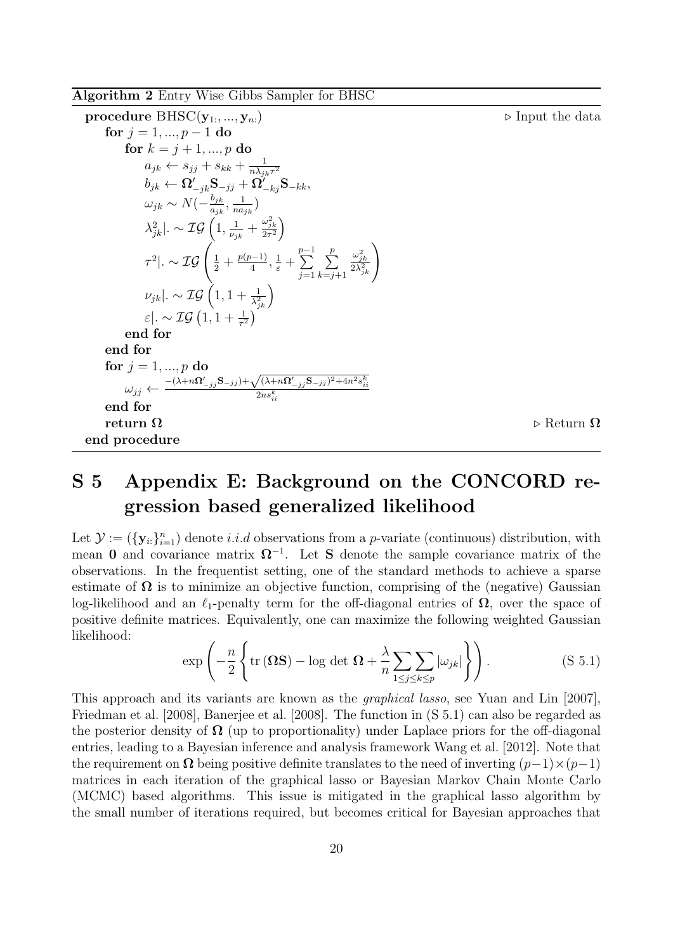Algorithm 2 Entry Wise Gibbs Sampler for BHSC

procedure BHSC(y<sub>1</sub>,...,y<sub>n</sub>.)

\nfor 
$$
j = 1, ..., p - 1
$$
 do

\nfor  $k = j + 1, ..., p$  do

\n $a_{jk} \leftarrow s_{jj} + s_{kk} + \frac{1}{n\lambda_{jk}r^2}$ 

\n $b_{jk} \leftarrow \Omega'_{-jk} \mathbf{S}_{-jj} + \Omega'_{-kj} \mathbf{S}_{-kk},$ 

\n $\omega_{jk} \sim N\left(-\frac{b_{jk}}{a_{jk}}, \frac{1}{na_{jk}}\right)$ 

\n $\lambda_{jk}^2 \mid \sim \mathcal{IG}\left(1, \frac{1}{\nu_{jk}} + \frac{\omega_{jk}^2}{2r^2}\right)$ 

\n $\tau^2 \mid \sim \mathcal{IG}\left(\frac{1}{2} + \frac{p(p-1)}{4}, \frac{1}{\varepsilon} + \sum_{j=1}^{p-1} \sum_{k=j+1}^{p} \frac{\omega_{jk}^2}{2\lambda_{jk}^2}\right)$ 

\n $\nu_{jk} \mid \sim \mathcal{IG}\left(1, 1 + \frac{1}{\lambda_{jk}^2}\right)$ 

\n $\varepsilon \mid \sim \mathcal{IG}\left(1, 1 + \frac{1}{\lambda_{jk}^2}\right)$ 

\nend for

\nend for

\nend for

\n $j \leftarrow \frac{-(\lambda + n\Omega'_{-jj} \mathbf{S}_{-jj} + \sqrt{(\lambda + n\Omega'_{-jj} \mathbf{S}_{-jj})^2 + 4n^2 s_{ii}^k}}$ 

\nend for

\nreturn Ω

\nbe

\nreturn Ω

# S 5 Appendix E: Background on the CONCORD regression based generalized likelihood

<span id="page-40-0"></span>Let  $\mathcal{Y} := (\{\mathbf{y}_i\}_{i=1}^n)$  denote *i.i.d* observations from a *p*-variate (continuous) distribution, with mean 0 and covariance matrix  $\Omega^{-1}$ . Let S denote the sample covariance matrix of the observations. In the frequentist setting, one of the standard methods to achieve a sparse estimate of  $\Omega$  is to minimize an objective function, comprising of the (negative) Gaussian log-likelihood and an  $\ell_1$ -penalty term for the off-diagonal entries of  $\Omega$ , over the space of positive definite matrices. Equivalently, one can maximize the following weighted Gaussian likelihood:

<span id="page-40-1"></span>
$$
\exp\left(-\frac{n}{2}\left\{\text{tr}\left(\mathbf{\Omega}\mathbf{S}\right)-\log\det\,\mathbf{\Omega}+\frac{\lambda}{n}\sum_{1\leq j\leq k\leq p}|\omega_{jk}|\right\}\right).
$$
 (S 5.1)

This approach and its variants are known as the graphical lasso, see [Yuan and Lin \[2007\]](#page-20-1), [Friedman et al. \[2008\]](#page-19-3), [Banerjee et al. \[2008\]](#page-18-5). The function in [\(S 5.1\)](#page-40-1) can also be regarded as the posterior density of  $\Omega$  (up to proportionality) under Laplace priors for the off-diagonal entries, leading to a Bayesian inference and analysis framework [Wang et al. \[2012\]](#page-20-3). Note that the requirement on  $\Omega$  being positive definite translates to the need of inverting  $(p-1)\times(p-1)$ matrices in each iteration of the graphical lasso or Bayesian Markov Chain Monte Carlo (MCMC) based algorithms. This issue is mitigated in the graphical lasso algorithm by the small number of iterations required, but becomes critical for Bayesian approaches that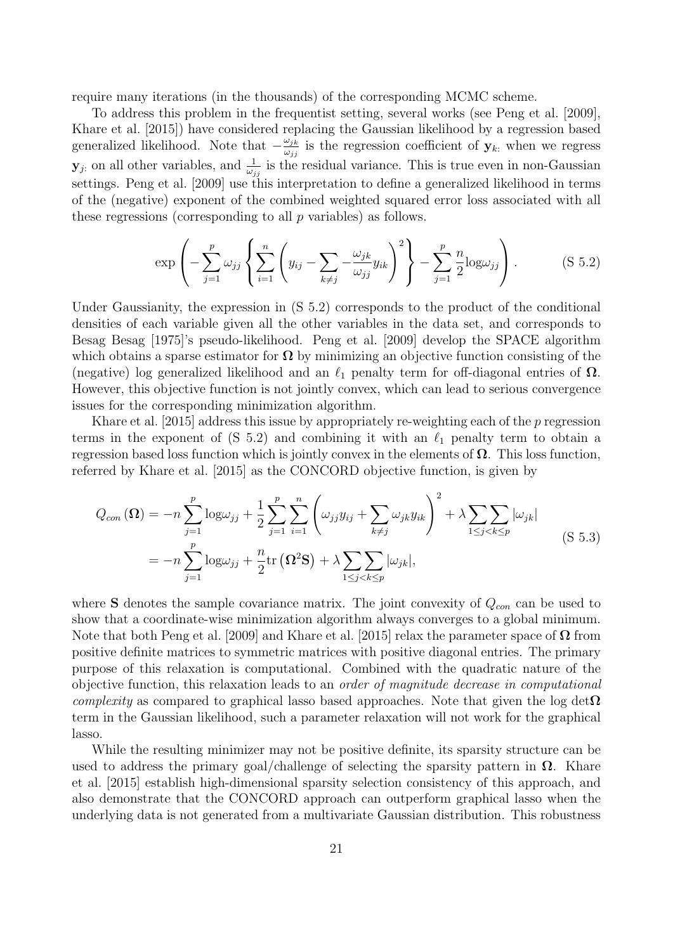require many iterations (in the thousands) of the corresponding MCMC scheme.

To address this problem in the frequentist setting, several works (see [Peng et al. \[2009\]](#page-20-2), [Khare et al. \[2015\]](#page-19-5)) have considered replacing the Gaussian likelihood by a regression based generalized likelihood. Note that  $-\frac{\omega_{jk}}{\omega_{jj}}$  $\frac{\omega_{jk}}{\omega_{jj}}$  is the regression coefficient of  $\mathbf{y}_{k}$  when we regress  $\mathbf{y}_j$  on all other variables, and  $\frac{1}{\omega_{jj}}$  is the residual variance. This is true even in non-Gaussian settings. [Peng et al. \[2009\]](#page-20-2) use this interpretation to define a generalized likelihood in terms of the (negative) exponent of the combined weighted squared error loss associated with all these regressions (corresponding to all  $p$  variables) as follows.

<span id="page-41-0"></span>
$$
\exp\left(-\sum_{j=1}^p \omega_{jj} \left\{ \sum_{i=1}^n \left(y_{ij} - \sum_{k \neq j} -\frac{\omega_{jk}}{\omega_{jj}} y_{ik} \right)^2 \right\} - \sum_{j=1}^p \frac{n}{2} \log \omega_{jj} \right). \tag{S 5.2}
$$

Under Gaussianity, the expression in [\(S 5.2\)](#page-41-0) corresponds to the product of the conditional densities of each variable given all the other variables in the data set, and corresponds to Besag [Besag \[1975\]](#page-18-6)'s pseudo-likelihood. [Peng et al. \[2009\]](#page-20-2) develop the SPACE algorithm which obtains a sparse estimator for  $\Omega$  by minimizing an objective function consisting of the (negative) log generalized likelihood and an  $\ell_1$  penalty term for off-diagonal entries of  $\Omega$ . However, this objective function is not jointly convex, which can lead to serious convergence issues for the corresponding minimization algorithm.

[Khare et al. \[2015\]](#page-19-5) address this issue by appropriately re-weighting each of the p regression terms in the exponent of  $(S 5.2)$  and combining it with an  $\ell_1$  penalty term to obtain a regression based loss function which is jointly convex in the elements of  $\Omega$ . This loss function, referred by [Khare et al. \[2015\]](#page-19-5) as the CONCORD objective function, is given by

$$
Q_{con}(\Omega) = -n \sum_{j=1}^{p} \log \omega_{jj} + \frac{1}{2} \sum_{j=1}^{p} \sum_{i=1}^{n} \left( \omega_{jj} y_{ij} + \sum_{k \neq j} \omega_{jk} y_{ik} \right)^{2} + \lambda \sum_{1 \leq j < k \leq p} |\omega_{jk}|
$$
\n
$$
= -n \sum_{j=1}^{p} \log \omega_{jj} + \frac{n}{2} \text{tr}(\Omega^{2} \mathbf{S}) + \lambda \sum_{1 \leq j < k \leq p} |\omega_{jk}|,
$$
\n(S 5.3)

where S denotes the sample covariance matrix. The joint convexity of  $Q_{con}$  can be used to show that a coordinate-wise minimization algorithm always converges to a global minimum. Note that both [Peng et al. \[2009\]](#page-20-2) and [Khare et al. \[2015\]](#page-19-5) relax the parameter space of  $\Omega$  from positive definite matrices to symmetric matrices with positive diagonal entries. The primary purpose of this relaxation is computational. Combined with the quadratic nature of the objective function, this relaxation leads to an order of magnitude decrease in computational *complexity* as compared to graphical lasso based approaches. Note that given the log det $\Omega$ term in the Gaussian likelihood, such a parameter relaxation will not work for the graphical lasso.

While the resulting minimizer may not be positive definite, its sparsity structure can be used to address the primary goal/challenge of selecting the sparsity pattern in  $\Omega$ . [Khare](#page-19-5) [et al. \[2015\]](#page-19-5) establish high-dimensional sparsity selection consistency of this approach, and also demonstrate that the CONCORD approach can outperform graphical lasso when the underlying data is not generated from a multivariate Gaussian distribution. This robustness